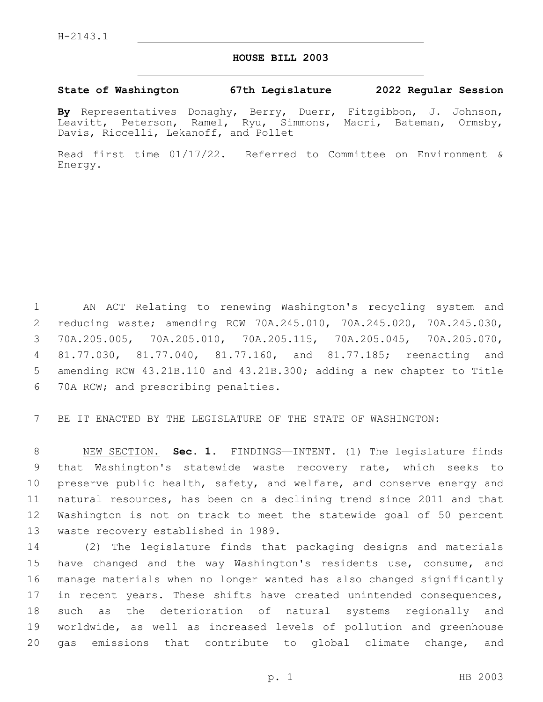## **HOUSE BILL 2003**

## **State of Washington 67th Legislature 2022 Regular Session**

**By** Representatives Donaghy, Berry, Duerr, Fitzgibbon, J. Johnson, Leavitt, Peterson, Ramel, Ryu, Simmons, Macri, Bateman, Ormsby, Davis, Riccelli, Lekanoff, and Pollet

Read first time 01/17/22. Referred to Committee on Environment & Energy.

 AN ACT Relating to renewing Washington's recycling system and reducing waste; amending RCW 70A.245.010, 70A.245.020, 70A.245.030, 70A.205.005, 70A.205.010, 70A.205.115, 70A.205.045, 70A.205.070, 81.77.030, 81.77.040, 81.77.160, and 81.77.185; reenacting and amending RCW 43.21B.110 and 43.21B.300; adding a new chapter to Title 6 70A RCW; and prescribing penalties.

7 BE IT ENACTED BY THE LEGISLATURE OF THE STATE OF WASHINGTON:

 NEW SECTION. **Sec. 1.** FINDINGS—INTENT. (1) The legislature finds that Washington's statewide waste recovery rate, which seeks to preserve public health, safety, and welfare, and conserve energy and natural resources, has been on a declining trend since 2011 and that Washington is not on track to meet the statewide goal of 50 percent waste recovery established in 1989.

 (2) The legislature finds that packaging designs and materials have changed and the way Washington's residents use, consume, and manage materials when no longer wanted has also changed significantly 17 in recent years. These shifts have created unintended consequences, such as the deterioration of natural systems regionally and worldwide, as well as increased levels of pollution and greenhouse 20 gas emissions that contribute to global climate change, and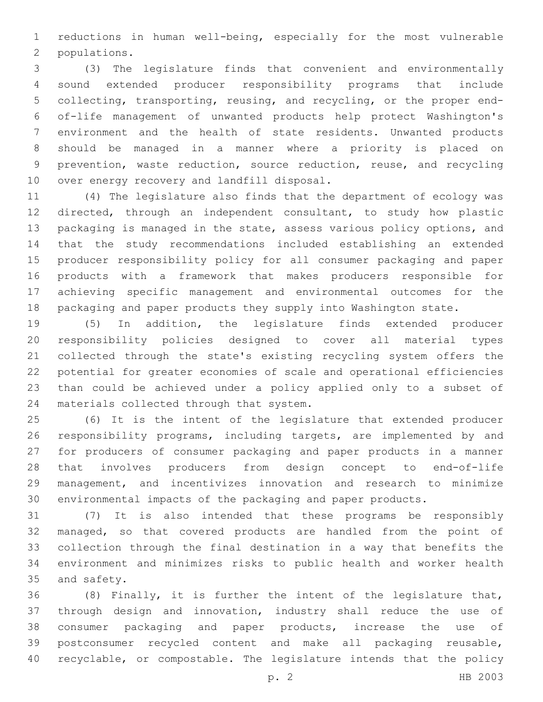reductions in human well-being, especially for the most vulnerable 2 populations.

 (3) The legislature finds that convenient and environmentally sound extended producer responsibility programs that include collecting, transporting, reusing, and recycling, or the proper end- of-life management of unwanted products help protect Washington's environment and the health of state residents. Unwanted products should be managed in a manner where a priority is placed on prevention, waste reduction, source reduction, reuse, and recycling 10 over energy recovery and landfill disposal.

 (4) The legislature also finds that the department of ecology was directed, through an independent consultant, to study how plastic packaging is managed in the state, assess various policy options, and that the study recommendations included establishing an extended producer responsibility policy for all consumer packaging and paper products with a framework that makes producers responsible for achieving specific management and environmental outcomes for the packaging and paper products they supply into Washington state.

 (5) In addition, the legislature finds extended producer responsibility policies designed to cover all material types collected through the state's existing recycling system offers the potential for greater economies of scale and operational efficiencies than could be achieved under a policy applied only to a subset of 24 materials collected through that system.

 (6) It is the intent of the legislature that extended producer responsibility programs, including targets, are implemented by and for producers of consumer packaging and paper products in a manner that involves producers from design concept to end-of-life management, and incentivizes innovation and research to minimize environmental impacts of the packaging and paper products.

 (7) It is also intended that these programs be responsibly managed, so that covered products are handled from the point of collection through the final destination in a way that benefits the environment and minimizes risks to public health and worker health 35 and safety.

 (8) Finally, it is further the intent of the legislature that, through design and innovation, industry shall reduce the use of consumer packaging and paper products, increase the use of postconsumer recycled content and make all packaging reusable, recyclable, or compostable. The legislature intends that the policy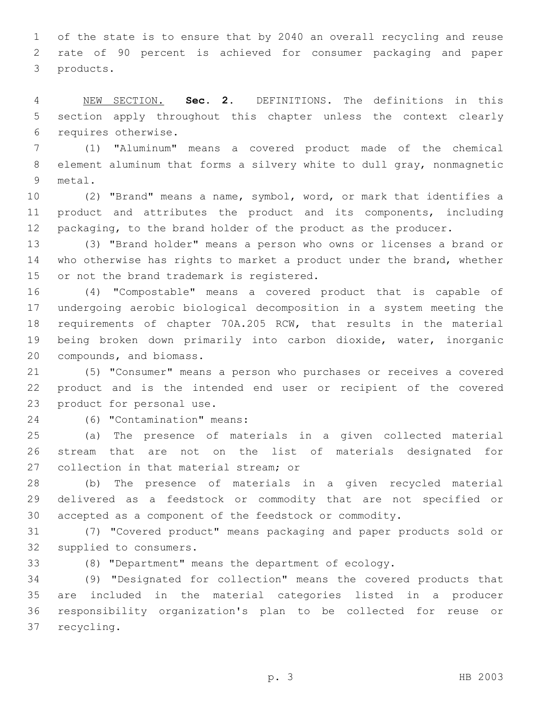of the state is to ensure that by 2040 an overall recycling and reuse rate of 90 percent is achieved for consumer packaging and paper 3 products.

 NEW SECTION. **Sec. 2.** DEFINITIONS. The definitions in this section apply throughout this chapter unless the context clearly requires otherwise.

 (1) "Aluminum" means a covered product made of the chemical element aluminum that forms a silvery white to dull gray, nonmagnetic 9 metal.

 (2) "Brand" means a name, symbol, word, or mark that identifies a product and attributes the product and its components, including 12 packaging, to the brand holder of the product as the producer.

 (3) "Brand holder" means a person who owns or licenses a brand or who otherwise has rights to market a product under the brand, whether 15 or not the brand trademark is registered.

 (4) "Compostable" means a covered product that is capable of undergoing aerobic biological decomposition in a system meeting the requirements of chapter 70A.205 RCW, that results in the material being broken down primarily into carbon dioxide, water, inorganic 20 compounds, and biomass.

 (5) "Consumer" means a person who purchases or receives a covered product and is the intended end user or recipient of the covered 23 product for personal use.

24 (6) "Contamination" means:

 (a) The presence of materials in a given collected material stream that are not on the list of materials designated for 27 collection in that material stream; or

 (b) The presence of materials in a given recycled material delivered as a feedstock or commodity that are not specified or accepted as a component of the feedstock or commodity.

 (7) "Covered product" means packaging and paper products sold or 32 supplied to consumers.

(8) "Department" means the department of ecology.

 (9) "Designated for collection" means the covered products that are included in the material categories listed in a producer responsibility organization's plan to be collected for reuse or 37 recycling.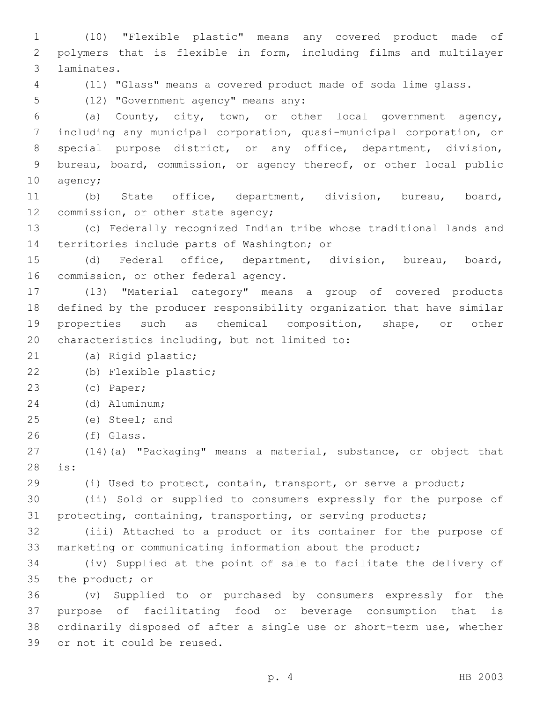1 (10) "Flexible plastic" means any covered product made of 2 polymers that is flexible in form, including films and multilayer laminates.3 4 (11) "Glass" means a covered product made of soda lime glass. 5 (12) "Government agency" means any: 6 (a) County, city, town, or other local government agency, 7 including any municipal corporation, quasi-municipal corporation, or 8 special purpose district, or any office, department, division, 9 bureau, board, commission, or agency thereof, or other local public 10 agency; 11 (b) State office, department, division, bureau, board, 12 commission, or other state agency; 13 (c) Federally recognized Indian tribe whose traditional lands and 14 territories include parts of Washington; or 15 (d) Federal office, department, division, bureau, board, 16 commission, or other federal agency. 17 (13) "Material category" means a group of covered products 18 defined by the producer responsibility organization that have similar 19 properties such as chemical composition, shape, or other 20 characteristics including, but not limited to: 21 (a) Rigid plastic; 22 (b) Flexible plastic; 23 (c) Paper; (d) Aluminum;24 25 (e) Steel; and 26 (f) Glass. 27 (14)(a) "Packaging" means a material, substance, or object that is:28 29 (i) Used to protect, contain, transport, or serve a product; 30 (ii) Sold or supplied to consumers expressly for the purpose of 31 protecting, containing, transporting, or serving products; 32 (iii) Attached to a product or its container for the purpose of 33 marketing or communicating information about the product; 34 (iv) Supplied at the point of sale to facilitate the delivery of 35 the product; or 36 (v) Supplied to or purchased by consumers expressly for the 37 purpose of facilitating food or beverage consumption that is 38 ordinarily disposed of after a single use or short-term use, whether 39 or not it could be reused.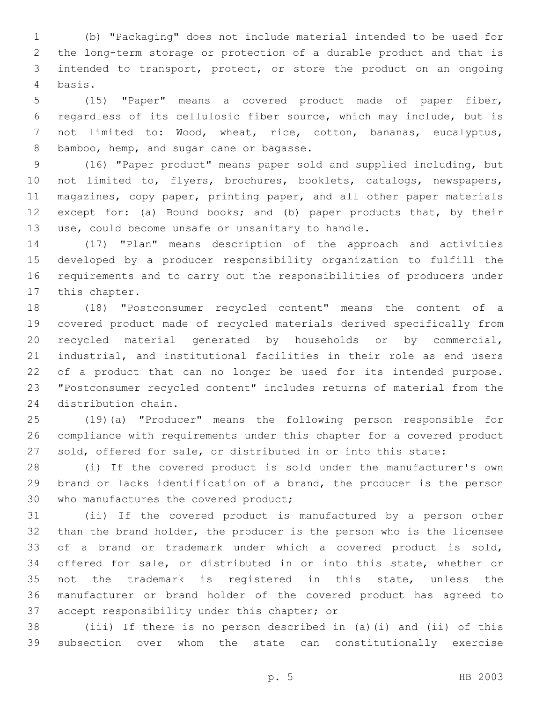(b) "Packaging" does not include material intended to be used for the long-term storage or protection of a durable product and that is intended to transport, protect, or store the product on an ongoing basis.4

 (15) "Paper" means a covered product made of paper fiber, regardless of its cellulosic fiber source, which may include, but is not limited to: Wood, wheat, rice, cotton, bananas, eucalyptus, 8 bamboo, hemp, and sugar cane or bagasse.

 (16) "Paper product" means paper sold and supplied including, but not limited to, flyers, brochures, booklets, catalogs, newspapers, magazines, copy paper, printing paper, and all other paper materials except for: (a) Bound books; and (b) paper products that, by their 13 use, could become unsafe or unsanitary to handle.

 (17) "Plan" means description of the approach and activities developed by a producer responsibility organization to fulfill the requirements and to carry out the responsibilities of producers under 17 this chapter.

 (18) "Postconsumer recycled content" means the content of a covered product made of recycled materials derived specifically from recycled material generated by households or by commercial, industrial, and institutional facilities in their role as end users of a product that can no longer be used for its intended purpose. "Postconsumer recycled content" includes returns of material from the 24 distribution chain.

 (19)(a) "Producer" means the following person responsible for compliance with requirements under this chapter for a covered product sold, offered for sale, or distributed in or into this state:

 (i) If the covered product is sold under the manufacturer's own brand or lacks identification of a brand, the producer is the person 30 who manufactures the covered product;

 (ii) If the covered product is manufactured by a person other than the brand holder, the producer is the person who is the licensee of a brand or trademark under which a covered product is sold, offered for sale, or distributed in or into this state, whether or not the trademark is registered in this state, unless the manufacturer or brand holder of the covered product has agreed to 37 accept responsibility under this chapter; or

 (iii) If there is no person described in (a)(i) and (ii) of this subsection over whom the state can constitutionally exercise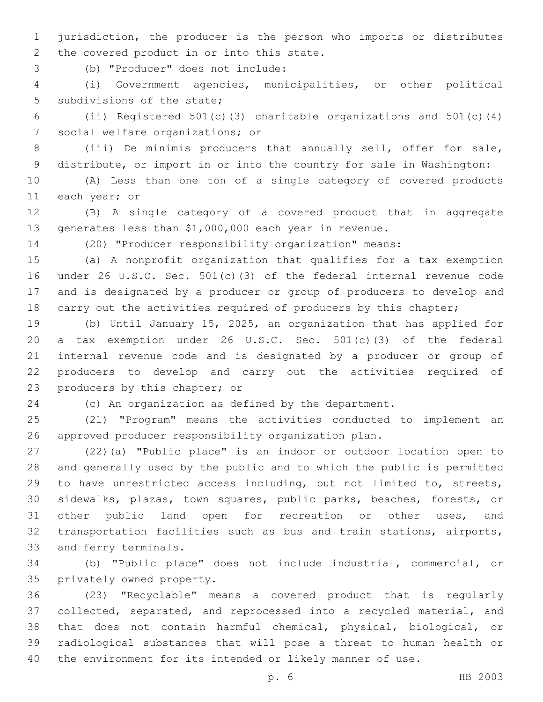jurisdiction, the producer is the person who imports or distributes 2 the covered product in or into this state.

(b) "Producer" does not include:3

 (i) Government agencies, municipalities, or other political 5 subdivisions of the state;

 (ii) Registered 501(c)(3) charitable organizations and 501(c)(4) 7 social welfare organizations; or

 (iii) De minimis producers that annually sell, offer for sale, distribute, or import in or into the country for sale in Washington:

 (A) Less than one ton of a single category of covered products 11 each year; or

 (B) A single category of a covered product that in aggregate generates less than \$1,000,000 each year in revenue.

(20) "Producer responsibility organization" means:

 (a) A nonprofit organization that qualifies for a tax exemption under 26 U.S.C. Sec. 501(c)(3) of the federal internal revenue code and is designated by a producer or group of producers to develop and 18 carry out the activities required of producers by this chapter;

 (b) Until January 15, 2025, an organization that has applied for a tax exemption under 26 U.S.C. Sec. 501(c)(3) of the federal internal revenue code and is designated by a producer or group of producers to develop and carry out the activities required of 23 producers by this chapter; or

(c) An organization as defined by the department.

 (21) "Program" means the activities conducted to implement an approved producer responsibility organization plan.

 (22)(a) "Public place" is an indoor or outdoor location open to and generally used by the public and to which the public is permitted to have unrestricted access including, but not limited to, streets, sidewalks, plazas, town squares, public parks, beaches, forests, or other public land open for recreation or other uses, and transportation facilities such as bus and train stations, airports, 33 and ferry terminals.

 (b) "Public place" does not include industrial, commercial, or 35 privately owned property.

 (23) "Recyclable" means a covered product that is regularly collected, separated, and reprocessed into a recycled material, and that does not contain harmful chemical, physical, biological, or radiological substances that will pose a threat to human health or the environment for its intended or likely manner of use.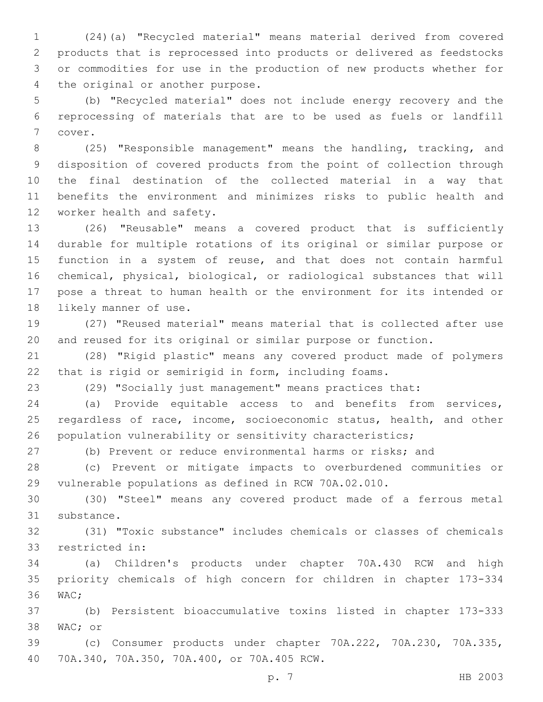(24)(a) "Recycled material" means material derived from covered products that is reprocessed into products or delivered as feedstocks or commodities for use in the production of new products whether for 4 the original or another purpose.

 (b) "Recycled material" does not include energy recovery and the reprocessing of materials that are to be used as fuels or landfill 7 cover.

 (25) "Responsible management" means the handling, tracking, and disposition of covered products from the point of collection through the final destination of the collected material in a way that benefits the environment and minimizes risks to public health and 12 worker health and safety.

 (26) "Reusable" means a covered product that is sufficiently durable for multiple rotations of its original or similar purpose or function in a system of reuse, and that does not contain harmful chemical, physical, biological, or radiological substances that will pose a threat to human health or the environment for its intended or 18 likely manner of use.

 (27) "Reused material" means material that is collected after use and reused for its original or similar purpose or function.

 (28) "Rigid plastic" means any covered product made of polymers that is rigid or semirigid in form, including foams.

(29) "Socially just management" means practices that:

 (a) Provide equitable access to and benefits from services, 25 regardless of race, income, socioeconomic status, health, and other population vulnerability or sensitivity characteristics;

(b) Prevent or reduce environmental harms or risks; and

 (c) Prevent or mitigate impacts to overburdened communities or vulnerable populations as defined in RCW 70A.02.010.

 (30) "Steel" means any covered product made of a ferrous metal 31 substance.

 (31) "Toxic substance" includes chemicals or classes of chemicals 33 restricted in:

 (a) Children's products under chapter 70A.430 RCW and high priority chemicals of high concern for children in chapter 173-334 36 WAC;

 (b) Persistent bioaccumulative toxins listed in chapter 173-333 38 WAC; or

 (c) Consumer products under chapter 70A.222, 70A.230, 70A.335, 70A.340, 70A.350, 70A.400, or 70A.405 RCW.40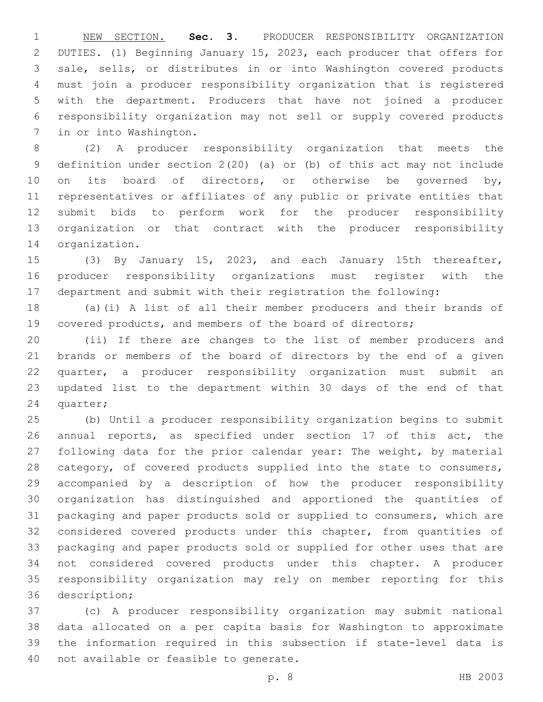NEW SECTION. **Sec. 3.** PRODUCER RESPONSIBILITY ORGANIZATION DUTIES. (1) Beginning January 15, 2023, each producer that offers for sale, sells, or distributes in or into Washington covered products must join a producer responsibility organization that is registered with the department. Producers that have not joined a producer responsibility organization may not sell or supply covered products in or into Washington.

 (2) A producer responsibility organization that meets the definition under section 2(20) (a) or (b) of this act may not include 10 on its board of directors, or otherwise be governed by, representatives or affiliates of any public or private entities that submit bids to perform work for the producer responsibility organization or that contract with the producer responsibility 14 organization.

 (3) By January 15, 2023, and each January 15th thereafter, producer responsibility organizations must register with the department and submit with their registration the following:

 (a)(i) A list of all their member producers and their brands of covered products, and members of the board of directors;

 (ii) If there are changes to the list of member producers and brands or members of the board of directors by the end of a given quarter, a producer responsibility organization must submit an updated list to the department within 30 days of the end of that 24 quarter;

 (b) Until a producer responsibility organization begins to submit annual reports, as specified under section 17 of this act, the following data for the prior calendar year: The weight, by material category, of covered products supplied into the state to consumers, accompanied by a description of how the producer responsibility organization has distinguished and apportioned the quantities of packaging and paper products sold or supplied to consumers, which are considered covered products under this chapter, from quantities of packaging and paper products sold or supplied for other uses that are not considered covered products under this chapter. A producer responsibility organization may rely on member reporting for this 36 description;

 (c) A producer responsibility organization may submit national data allocated on a per capita basis for Washington to approximate the information required in this subsection if state-level data is 40 not available or feasible to generate.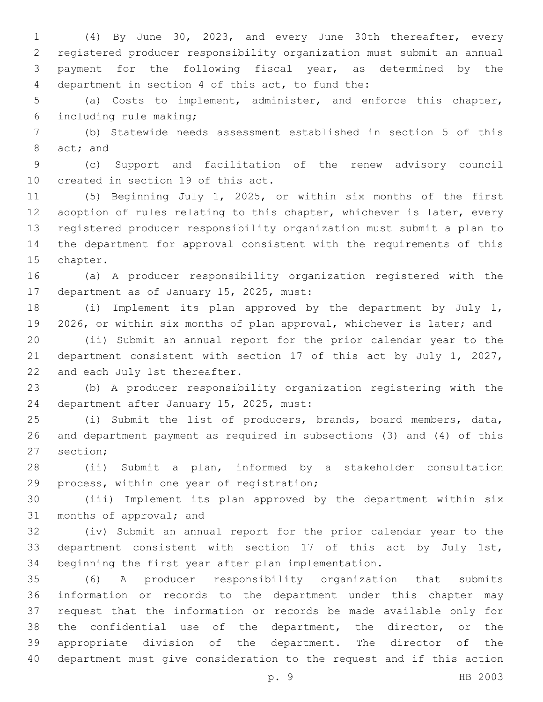(4) By June 30, 2023, and every June 30th thereafter, every registered producer responsibility organization must submit an annual payment for the following fiscal year, as determined by the department in section 4 of this act, to fund the:4

 (a) Costs to implement, administer, and enforce this chapter, including rule making;6

 (b) Statewide needs assessment established in section 5 of this 8 act; and

 (c) Support and facilitation of the renew advisory council 10 created in section 19 of this act.

 (5) Beginning July 1, 2025, or within six months of the first 12 adoption of rules relating to this chapter, whichever is later, every registered producer responsibility organization must submit a plan to the department for approval consistent with the requirements of this 15 chapter.

 (a) A producer responsibility organization registered with the 17 department as of January 15, 2025, must:

 (i) Implement its plan approved by the department by July 1, 2026, or within six months of plan approval, whichever is later; and

 (ii) Submit an annual report for the prior calendar year to the 21 department consistent with section 17 of this act by July 1, 2027, 22 and each July 1st thereafter.

 (b) A producer responsibility organization registering with the 24 department after January 15, 2025, must:

 (i) Submit the list of producers, brands, board members, data, and department payment as required in subsections (3) and (4) of this 27 section;

 (ii) Submit a plan, informed by a stakeholder consultation 29 process, within one year of registration;

 (iii) Implement its plan approved by the department within six 31 months of approval; and

 (iv) Submit an annual report for the prior calendar year to the department consistent with section 17 of this act by July 1st, beginning the first year after plan implementation.

 (6) A producer responsibility organization that submits information or records to the department under this chapter may request that the information or records be made available only for the confidential use of the department, the director, or the appropriate division of the department. The director of the department must give consideration to the request and if this action

p. 9 HB 2003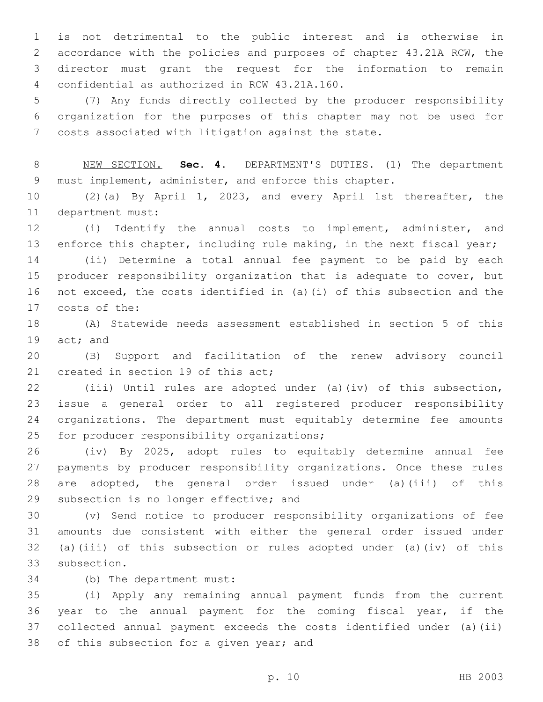is not detrimental to the public interest and is otherwise in accordance with the policies and purposes of chapter 43.21A RCW, the director must grant the request for the information to remain confidential as authorized in RCW 43.21A.160.4

 (7) Any funds directly collected by the producer responsibility organization for the purposes of this chapter may not be used for costs associated with litigation against the state.

 NEW SECTION. **Sec. 4.** DEPARTMENT'S DUTIES. (1) The department must implement, administer, and enforce this chapter.

 (2)(a) By April 1, 2023, and every April 1st thereafter, the 11 department must:

 (i) Identify the annual costs to implement, administer, and 13 enforce this chapter, including rule making, in the next fiscal year;

 (ii) Determine a total annual fee payment to be paid by each producer responsibility organization that is adequate to cover, but not exceed, the costs identified in (a)(i) of this subsection and the 17 costs of the:

 (A) Statewide needs assessment established in section 5 of this 19 act; and

 (B) Support and facilitation of the renew advisory council 21 created in section 19 of this act;

 (iii) Until rules are adopted under (a)(iv) of this subsection, issue a general order to all registered producer responsibility organizations. The department must equitably determine fee amounts 25 for producer responsibility organizations;

 (iv) By 2025, adopt rules to equitably determine annual fee payments by producer responsibility organizations. Once these rules are adopted, the general order issued under (a)(iii) of this 29 subsection is no longer effective; and

 (v) Send notice to producer responsibility organizations of fee amounts due consistent with either the general order issued under (a)(iii) of this subsection or rules adopted under (a)(iv) of this 33 subsection.

34 (b) The department must:

 (i) Apply any remaining annual payment funds from the current year to the annual payment for the coming fiscal year, if the collected annual payment exceeds the costs identified under (a)(ii) 38 of this subsection for a given year; and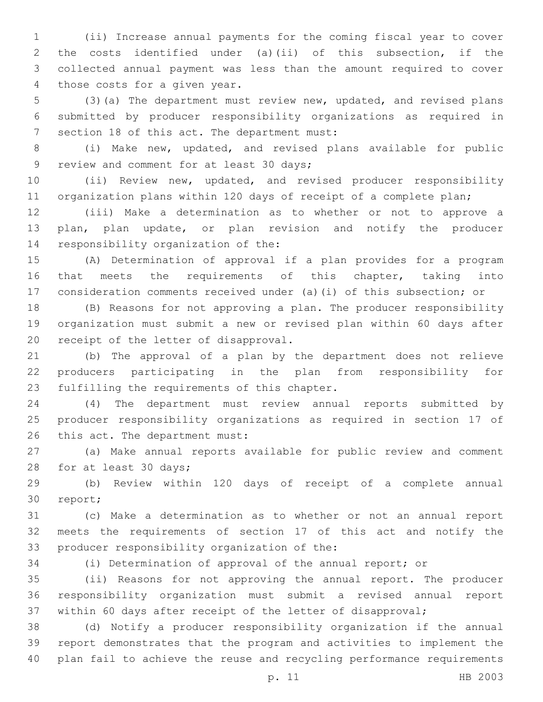(ii) Increase annual payments for the coming fiscal year to cover the costs identified under (a)(ii) of this subsection, if the collected annual payment was less than the amount required to cover 4 those costs for a given year.

 (3)(a) The department must review new, updated, and revised plans submitted by producer responsibility organizations as required in 7 section 18 of this act. The department must:

 (i) Make new, updated, and revised plans available for public 9 review and comment for at least 30 days;

 (ii) Review new, updated, and revised producer responsibility 11 organization plans within 120 days of receipt of a complete plan;

 (iii) Make a determination as to whether or not to approve a 13 plan, plan update, or plan revision and notify the producer 14 responsibility organization of the:

 (A) Determination of approval if a plan provides for a program 16 that meets the requirements of this chapter, taking into consideration comments received under (a)(i) of this subsection; or

 (B) Reasons for not approving a plan. The producer responsibility organization must submit a new or revised plan within 60 days after 20 receipt of the letter of disapproval.

 (b) The approval of a plan by the department does not relieve producers participating in the plan from responsibility for 23 fulfilling the requirements of this chapter.

 (4) The department must review annual reports submitted by producer responsibility organizations as required in section 17 of 26 this act. The department must:

 (a) Make annual reports available for public review and comment 28 for at least 30 days;

 (b) Review within 120 days of receipt of a complete annual 30 report;

 (c) Make a determination as to whether or not an annual report meets the requirements of section 17 of this act and notify the 33 producer responsibility organization of the:

(i) Determination of approval of the annual report; or

 (ii) Reasons for not approving the annual report. The producer responsibility organization must submit a revised annual report within 60 days after receipt of the letter of disapproval;

 (d) Notify a producer responsibility organization if the annual report demonstrates that the program and activities to implement the plan fail to achieve the reuse and recycling performance requirements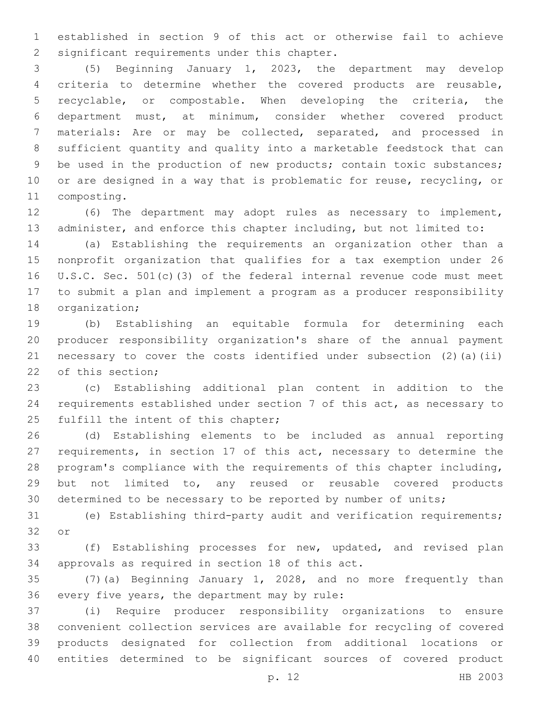established in section 9 of this act or otherwise fail to achieve 2 significant requirements under this chapter.

 (5) Beginning January 1, 2023, the department may develop criteria to determine whether the covered products are reusable, recyclable, or compostable. When developing the criteria, the department must, at minimum, consider whether covered product materials: Are or may be collected, separated, and processed in sufficient quantity and quality into a marketable feedstock that can 9 be used in the production of new products; contain toxic substances; or are designed in a way that is problematic for reuse, recycling, or 11 composting.

 (6) The department may adopt rules as necessary to implement, administer, and enforce this chapter including, but not limited to:

 (a) Establishing the requirements an organization other than a nonprofit organization that qualifies for a tax exemption under 26 U.S.C. Sec. 501(c)(3) of the federal internal revenue code must meet to submit a plan and implement a program as a producer responsibility 18 organization;

 (b) Establishing an equitable formula for determining each producer responsibility organization's share of the annual payment necessary to cover the costs identified under subsection (2)(a)(ii) 22 of this section:

 (c) Establishing additional plan content in addition to the requirements established under section 7 of this act, as necessary to 25 fulfill the intent of this chapter;

 (d) Establishing elements to be included as annual reporting requirements, in section 17 of this act, necessary to determine the program's compliance with the requirements of this chapter including, but not limited to, any reused or reusable covered products determined to be necessary to be reported by number of units;

 (e) Establishing third-party audit and verification requirements; 32 or

 (f) Establishing processes for new, updated, and revised plan 34 approvals as required in section 18 of this act.

 (7)(a) Beginning January 1, 2028, and no more frequently than 36 every five years, the department may by rule:

 (i) Require producer responsibility organizations to ensure convenient collection services are available for recycling of covered products designated for collection from additional locations or entities determined to be significant sources of covered product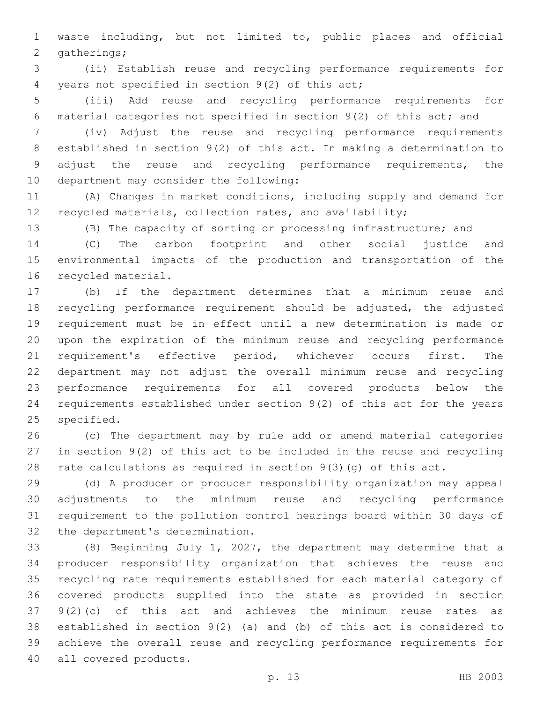waste including, but not limited to, public places and official 2 gatherings;

 (ii) Establish reuse and recycling performance requirements for years not specified in section 9(2) of this act;4

 (iii) Add reuse and recycling performance requirements for material categories not specified in section 9(2) of this act; and

 (iv) Adjust the reuse and recycling performance requirements established in section 9(2) of this act. In making a determination to adjust the reuse and recycling performance requirements, the 10 department may consider the following:

 (A) Changes in market conditions, including supply and demand for recycled materials, collection rates, and availability;

(B) The capacity of sorting or processing infrastructure; and

 (C) The carbon footprint and other social justice and environmental impacts of the production and transportation of the 16 recycled material.

 (b) If the department determines that a minimum reuse and recycling performance requirement should be adjusted, the adjusted requirement must be in effect until a new determination is made or upon the expiration of the minimum reuse and recycling performance requirement's effective period, whichever occurs first. The department may not adjust the overall minimum reuse and recycling performance requirements for all covered products below the requirements established under section 9(2) of this act for the years 25 specified.

 (c) The department may by rule add or amend material categories in section 9(2) of this act to be included in the reuse and recycling rate calculations as required in section 9(3)(g) of this act.

 (d) A producer or producer responsibility organization may appeal adjustments to the minimum reuse and recycling performance requirement to the pollution control hearings board within 30 days of 32 the department's determination.

 (8) Beginning July 1, 2027, the department may determine that a producer responsibility organization that achieves the reuse and recycling rate requirements established for each material category of covered products supplied into the state as provided in section 9(2)(c) of this act and achieves the minimum reuse rates as established in section 9(2) (a) and (b) of this act is considered to achieve the overall reuse and recycling performance requirements for 40 all covered products.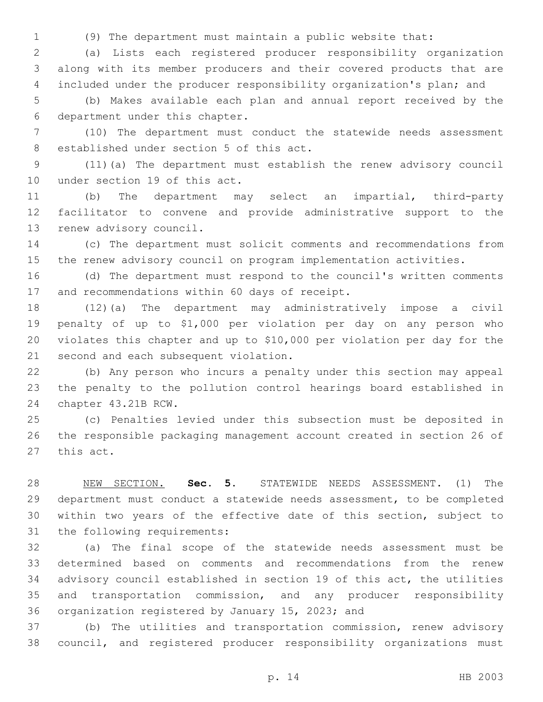(9) The department must maintain a public website that:

 (a) Lists each registered producer responsibility organization along with its member producers and their covered products that are included under the producer responsibility organization's plan; and

 (b) Makes available each plan and annual report received by the 6 department under this chapter.

 (10) The department must conduct the statewide needs assessment 8 established under section 5 of this act.

 (11)(a) The department must establish the renew advisory council 10 under section 19 of this act.

 (b) The department may select an impartial, third-party facilitator to convene and provide administrative support to the 13 renew advisory council.

 (c) The department must solicit comments and recommendations from the renew advisory council on program implementation activities.

 (d) The department must respond to the council's written comments 17 and recommendations within 60 days of receipt.

 (12)(a) The department may administratively impose a civil penalty of up to \$1,000 per violation per day on any person who violates this chapter and up to \$10,000 per violation per day for the 21 second and each subsequent violation.

 (b) Any person who incurs a penalty under this section may appeal the penalty to the pollution control hearings board established in 24 chapter 43.21B RCW.

 (c) Penalties levied under this subsection must be deposited in the responsible packaging management account created in section 26 of 27 this act.

 NEW SECTION. **Sec. 5.** STATEWIDE NEEDS ASSESSMENT. (1) The department must conduct a statewide needs assessment, to be completed within two years of the effective date of this section, subject to the following requirements:

 (a) The final scope of the statewide needs assessment must be determined based on comments and recommendations from the renew advisory council established in section 19 of this act, the utilities and transportation commission, and any producer responsibility 36 organization registered by January 15, 2023; and

 (b) The utilities and transportation commission, renew advisory council, and registered producer responsibility organizations must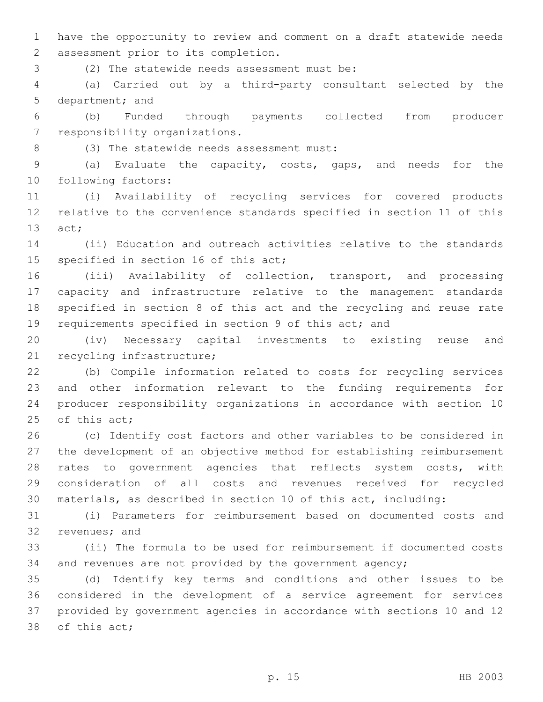have the opportunity to review and comment on a draft statewide needs 2 assessment prior to its completion.

(2) The statewide needs assessment must be:3

 (a) Carried out by a third-party consultant selected by the 5 department; and

 (b) Funded through payments collected from producer 7 responsibility organizations.

(3) The statewide needs assessment must:8

 (a) Evaluate the capacity, costs, gaps, and needs for the 10 following factors:

 (i) Availability of recycling services for covered products relative to the convenience standards specified in section 11 of this 13 act;

 (ii) Education and outreach activities relative to the standards 15 specified in section 16 of this act;

 (iii) Availability of collection, transport, and processing capacity and infrastructure relative to the management standards specified in section 8 of this act and the recycling and reuse rate requirements specified in section 9 of this act; and

 (iv) Necessary capital investments to existing reuse and 21 recycling infrastructure;

 (b) Compile information related to costs for recycling services and other information relevant to the funding requirements for producer responsibility organizations in accordance with section 10 25 of this  $act;$ 

 (c) Identify cost factors and other variables to be considered in the development of an objective method for establishing reimbursement rates to government agencies that reflects system costs, with consideration of all costs and revenues received for recycled materials, as described in section 10 of this act, including:

 (i) Parameters for reimbursement based on documented costs and 32 revenues; and

 (ii) The formula to be used for reimbursement if documented costs and revenues are not provided by the government agency;

 (d) Identify key terms and conditions and other issues to be considered in the development of a service agreement for services provided by government agencies in accordance with sections 10 and 12 38 of this act;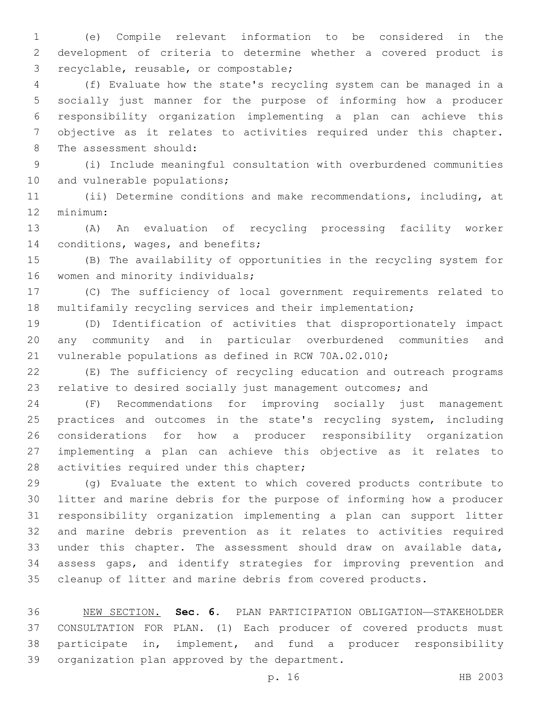(e) Compile relevant information to be considered in the development of criteria to determine whether a covered product is recyclable, reusable, or compostable;3

 (f) Evaluate how the state's recycling system can be managed in a socially just manner for the purpose of informing how a producer responsibility organization implementing a plan can achieve this objective as it relates to activities required under this chapter. 8 The assessment should:

 (i) Include meaningful consultation with overburdened communities 10 and vulnerable populations;

 (ii) Determine conditions and make recommendations, including, at 12 minimum:

 (A) An evaluation of recycling processing facility worker 14 conditions, wages, and benefits;

 (B) The availability of opportunities in the recycling system for 16 women and minority individuals;

 (C) The sufficiency of local government requirements related to multifamily recycling services and their implementation;

 (D) Identification of activities that disproportionately impact any community and in particular overburdened communities and vulnerable populations as defined in RCW 70A.02.010;

 (E) The sufficiency of recycling education and outreach programs relative to desired socially just management outcomes; and

 (F) Recommendations for improving socially just management 25 practices and outcomes in the state's recycling system, including considerations for how a producer responsibility organization implementing a plan can achieve this objective as it relates to 28 activities required under this chapter;

 (g) Evaluate the extent to which covered products contribute to litter and marine debris for the purpose of informing how a producer responsibility organization implementing a plan can support litter and marine debris prevention as it relates to activities required under this chapter. The assessment should draw on available data, assess gaps, and identify strategies for improving prevention and cleanup of litter and marine debris from covered products.

 NEW SECTION. **Sec. 6.** PLAN PARTICIPATION OBLIGATION—STAKEHOLDER CONSULTATION FOR PLAN. (1) Each producer of covered products must participate in, implement, and fund a producer responsibility organization plan approved by the department.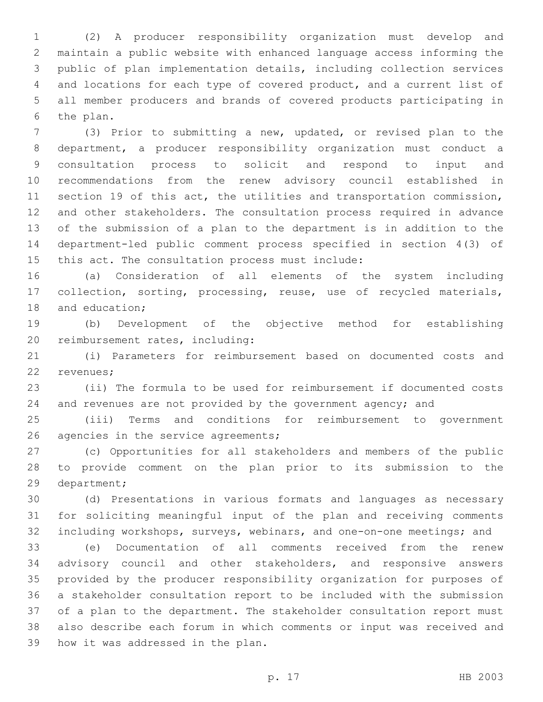(2) A producer responsibility organization must develop and maintain a public website with enhanced language access informing the public of plan implementation details, including collection services and locations for each type of covered product, and a current list of all member producers and brands of covered products participating in 6 the plan.

 (3) Prior to submitting a new, updated, or revised plan to the department, a producer responsibility organization must conduct a consultation process to solicit and respond to input and recommendations from the renew advisory council established in section 19 of this act, the utilities and transportation commission, and other stakeholders. The consultation process required in advance of the submission of a plan to the department is in addition to the department-led public comment process specified in section 4(3) of 15 this act. The consultation process must include:

 (a) Consideration of all elements of the system including collection, sorting, processing, reuse, use of recycled materials, 18 and education;

 (b) Development of the objective method for establishing 20 reimbursement rates, including:

 (i) Parameters for reimbursement based on documented costs and 22 revenues;

 (ii) The formula to be used for reimbursement if documented costs and revenues are not provided by the government agency; and

 (iii) Terms and conditions for reimbursement to government 26 agencies in the service agreements;

 (c) Opportunities for all stakeholders and members of the public to provide comment on the plan prior to its submission to the 29 department;

 (d) Presentations in various formats and languages as necessary for soliciting meaningful input of the plan and receiving comments including workshops, surveys, webinars, and one-on-one meetings; and

 (e) Documentation of all comments received from the renew advisory council and other stakeholders, and responsive answers provided by the producer responsibility organization for purposes of a stakeholder consultation report to be included with the submission of a plan to the department. The stakeholder consultation report must also describe each forum in which comments or input was received and 39 how it was addressed in the plan.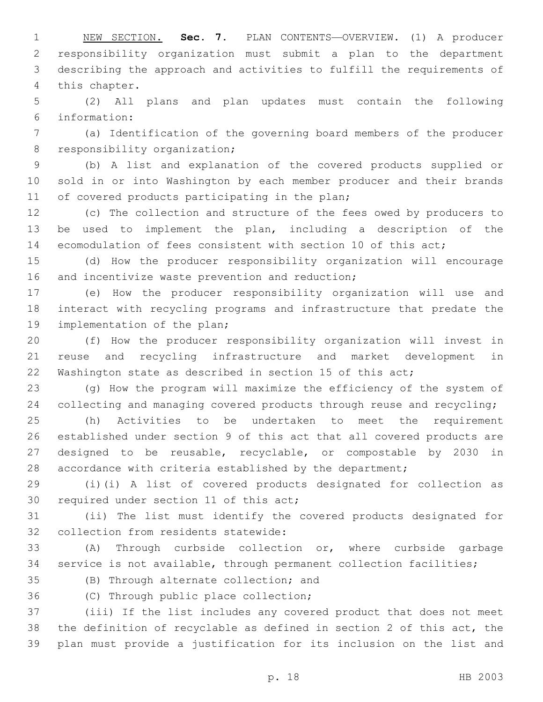NEW SECTION. **Sec. 7.** PLAN CONTENTS—OVERVIEW. (1) A producer responsibility organization must submit a plan to the department describing the approach and activities to fulfill the requirements of this chapter.

 (2) All plans and plan updates must contain the following information:6

 (a) Identification of the governing board members of the producer 8 responsibility organization;

 (b) A list and explanation of the covered products supplied or sold in or into Washington by each member producer and their brands 11 of covered products participating in the plan;

 (c) The collection and structure of the fees owed by producers to be used to implement the plan, including a description of the 14 ecomodulation of fees consistent with section 10 of this act;

 (d) How the producer responsibility organization will encourage 16 and incentivize waste prevention and reduction;

 (e) How the producer responsibility organization will use and interact with recycling programs and infrastructure that predate the 19 implementation of the plan;

 (f) How the producer responsibility organization will invest in reuse and recycling infrastructure and market development in Washington state as described in section 15 of this act;

 (g) How the program will maximize the efficiency of the system of collecting and managing covered products through reuse and recycling;

 (h) Activities to be undertaken to meet the requirement established under section 9 of this act that all covered products are designed to be reusable, recyclable, or compostable by 2030 in 28 accordance with criteria established by the department;

 (i)(i) A list of covered products designated for collection as 30 required under section 11 of this act;

 (ii) The list must identify the covered products designated for 32 collection from residents statewide:

 (A) Through curbside collection or, where curbside garbage service is not available, through permanent collection facilities;

35 (B) Through alternate collection; and

36 (C) Through public place collection;

 (iii) If the list includes any covered product that does not meet the definition of recyclable as defined in section 2 of this act, the plan must provide a justification for its inclusion on the list and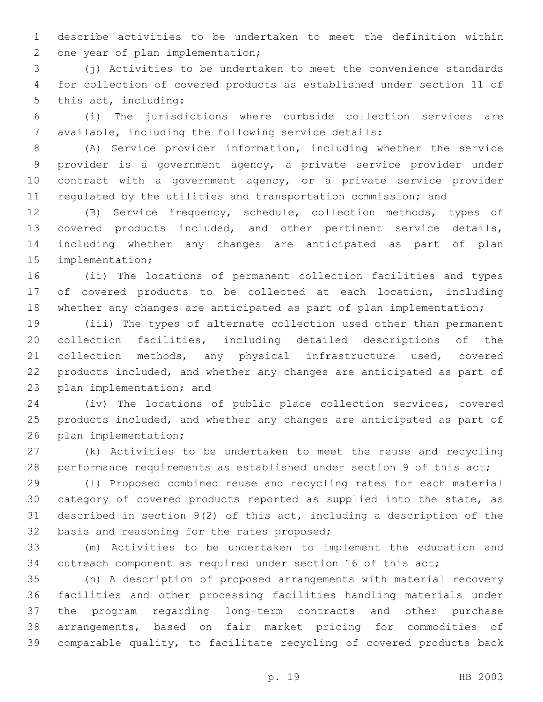describe activities to be undertaken to meet the definition within 2 one year of plan implementation;

 (j) Activities to be undertaken to meet the convenience standards for collection of covered products as established under section 11 of 5 this act, including:

 (i) The jurisdictions where curbside collection services are available, including the following service details:

 (A) Service provider information, including whether the service provider is a government agency, a private service provider under contract with a government agency, or a private service provider regulated by the utilities and transportation commission; and

 (B) Service frequency, schedule, collection methods, types of covered products included, and other pertinent service details, including whether any changes are anticipated as part of plan 15 implementation;

 (ii) The locations of permanent collection facilities and types of covered products to be collected at each location, including 18 whether any changes are anticipated as part of plan implementation;

 (iii) The types of alternate collection used other than permanent collection facilities, including detailed descriptions of the collection methods, any physical infrastructure used, covered products included, and whether any changes are anticipated as part of 23 plan implementation; and

 (iv) The locations of public place collection services, covered products included, and whether any changes are anticipated as part of 26 plan implementation;

 (k) Activities to be undertaken to meet the reuse and recycling 28 performance requirements as established under section 9 of this act;

 (l) Proposed combined reuse and recycling rates for each material category of covered products reported as supplied into the state, as described in section 9(2) of this act, including a description of the 32 basis and reasoning for the rates proposed;

 (m) Activities to be undertaken to implement the education and outreach component as required under section 16 of this act;

 (n) A description of proposed arrangements with material recovery facilities and other processing facilities handling materials under the program regarding long-term contracts and other purchase arrangements, based on fair market pricing for commodities of comparable quality, to facilitate recycling of covered products back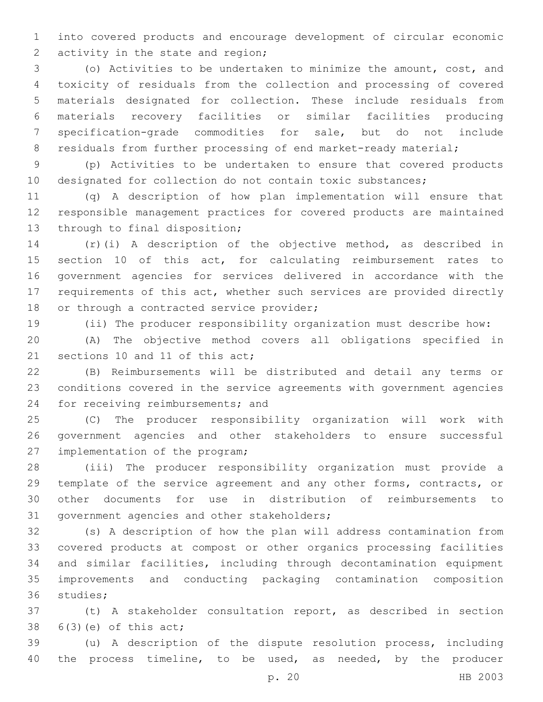into covered products and encourage development of circular economic 2 activity in the state and region;

 (o) Activities to be undertaken to minimize the amount, cost, and toxicity of residuals from the collection and processing of covered materials designated for collection. These include residuals from materials recovery facilities or similar facilities producing specification-grade commodities for sale, but do not include 8 residuals from further processing of end market-ready material;

 (p) Activities to be undertaken to ensure that covered products designated for collection do not contain toxic substances;

 (q) A description of how plan implementation will ensure that responsible management practices for covered products are maintained 13 through to final disposition;

 (r)(i) A description of the objective method, as described in section 10 of this act, for calculating reimbursement rates to government agencies for services delivered in accordance with the requirements of this act, whether such services are provided directly 18 or through a contracted service provider;

(ii) The producer responsibility organization must describe how:

 (A) The objective method covers all obligations specified in 21 sections 10 and 11 of this act;

 (B) Reimbursements will be distributed and detail any terms or conditions covered in the service agreements with government agencies 24 for receiving reimbursements; and

 (C) The producer responsibility organization will work with government agencies and other stakeholders to ensure successful 27 implementation of the program;

 (iii) The producer responsibility organization must provide a template of the service agreement and any other forms, contracts, or other documents for use in distribution of reimbursements to 31 government agencies and other stakeholders;

 (s) A description of how the plan will address contamination from covered products at compost or other organics processing facilities and similar facilities, including through decontamination equipment improvements and conducting packaging contamination composition 36 studies;

 (t) A stakeholder consultation report, as described in section  $6(3)(e)$  of this act;

 (u) A description of the dispute resolution process, including the process timeline, to be used, as needed, by the producer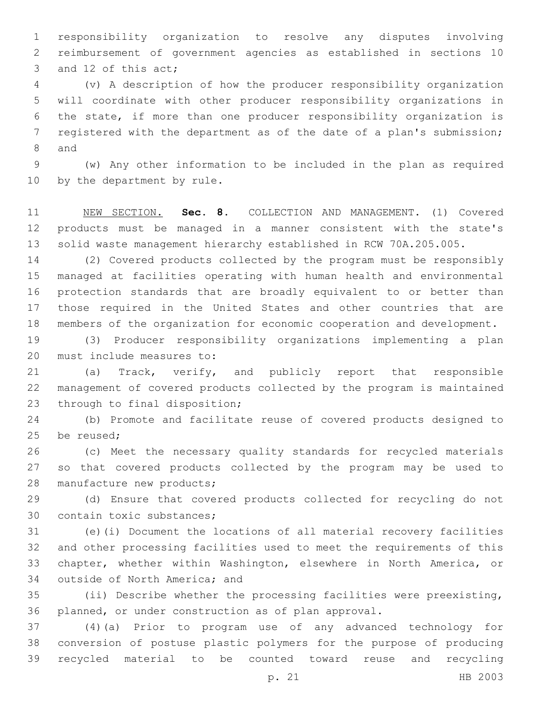responsibility organization to resolve any disputes involving reimbursement of government agencies as established in sections 10 3 and 12 of this act;

 (v) A description of how the producer responsibility organization will coordinate with other producer responsibility organizations in the state, if more than one producer responsibility organization is registered with the department as of the date of a plan's submission; 8 and

 (w) Any other information to be included in the plan as required 10 by the department by rule.

 NEW SECTION. **Sec. 8.** COLLECTION AND MANAGEMENT. (1) Covered products must be managed in a manner consistent with the state's solid waste management hierarchy established in RCW 70A.205.005.

 (2) Covered products collected by the program must be responsibly managed at facilities operating with human health and environmental protection standards that are broadly equivalent to or better than those required in the United States and other countries that are members of the organization for economic cooperation and development.

 (3) Producer responsibility organizations implementing a plan 20 must include measures to:

 (a) Track, verify, and publicly report that responsible management of covered products collected by the program is maintained 23 through to final disposition;

 (b) Promote and facilitate reuse of covered products designed to 25 be reused:

 (c) Meet the necessary quality standards for recycled materials so that covered products collected by the program may be used to 28 manufacture new products;

 (d) Ensure that covered products collected for recycling do not 30 contain toxic substances;

 (e)(i) Document the locations of all material recovery facilities and other processing facilities used to meet the requirements of this chapter, whether within Washington, elsewhere in North America, or 34 outside of North America; and

 (ii) Describe whether the processing facilities were preexisting, planned, or under construction as of plan approval.

 (4)(a) Prior to program use of any advanced technology for conversion of postuse plastic polymers for the purpose of producing recycled material to be counted toward reuse and recycling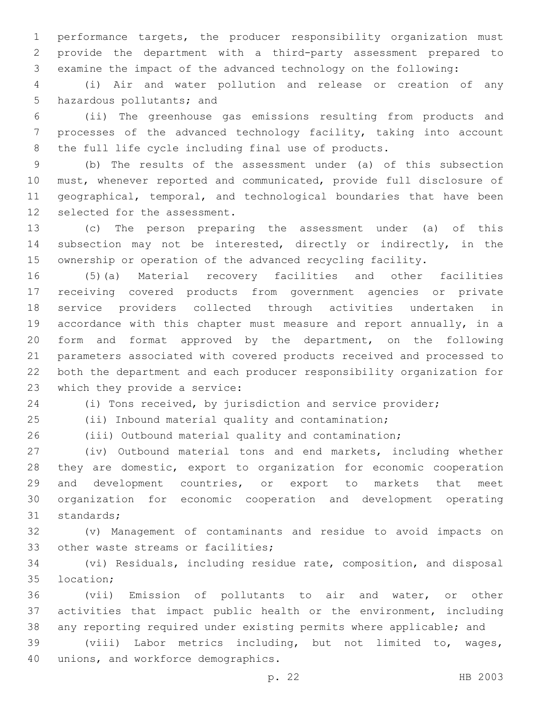performance targets, the producer responsibility organization must provide the department with a third-party assessment prepared to examine the impact of the advanced technology on the following:

 (i) Air and water pollution and release or creation of any 5 hazardous pollutants; and

 (ii) The greenhouse gas emissions resulting from products and processes of the advanced technology facility, taking into account the full life cycle including final use of products.

 (b) The results of the assessment under (a) of this subsection must, whenever reported and communicated, provide full disclosure of geographical, temporal, and technological boundaries that have been 12 selected for the assessment.

 (c) The person preparing the assessment under (a) of this subsection may not be interested, directly or indirectly, in the ownership or operation of the advanced recycling facility.

 (5)(a) Material recovery facilities and other facilities receiving covered products from government agencies or private service providers collected through activities undertaken in accordance with this chapter must measure and report annually, in a form and format approved by the department, on the following parameters associated with covered products received and processed to both the department and each producer responsibility organization for 23 which they provide a service:

(i) Tons received, by jurisdiction and service provider;

 (ii) Inbound material quality and contamination; (iii) Outbound material quality and contamination;

 (iv) Outbound material tons and end markets, including whether they are domestic, export to organization for economic cooperation and development countries, or export to markets that meet organization for economic cooperation and development operating 31 standards;

 (v) Management of contaminants and residue to avoid impacts on 33 other waste streams or facilities;

 (vi) Residuals, including residue rate, composition, and disposal 35 location;

 (vii) Emission of pollutants to air and water, or other activities that impact public health or the environment, including any reporting required under existing permits where applicable; and

 (viii) Labor metrics including, but not limited to, wages, 40 unions, and workforce demographics.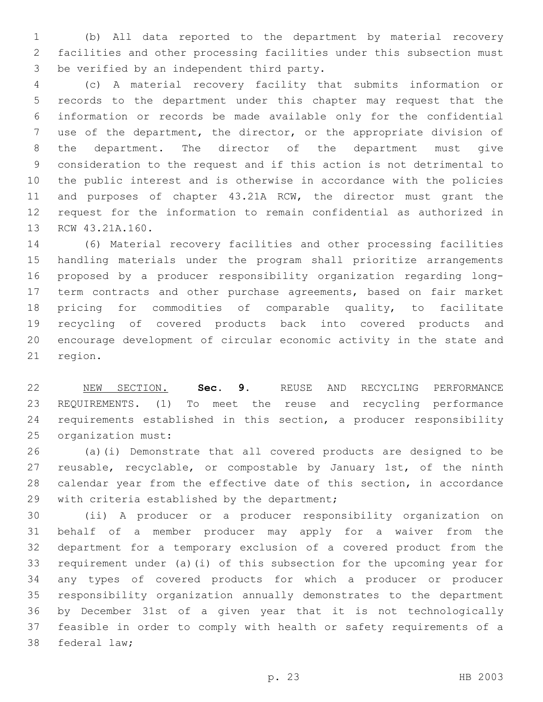(b) All data reported to the department by material recovery facilities and other processing facilities under this subsection must 3 be verified by an independent third party.

 (c) A material recovery facility that submits information or records to the department under this chapter may request that the information or records be made available only for the confidential use of the department, the director, or the appropriate division of the department. The director of the department must give consideration to the request and if this action is not detrimental to the public interest and is otherwise in accordance with the policies and purposes of chapter 43.21A RCW, the director must grant the request for the information to remain confidential as authorized in 13 RCW 43.21A.160.

 (6) Material recovery facilities and other processing facilities handling materials under the program shall prioritize arrangements proposed by a producer responsibility organization regarding long- term contracts and other purchase agreements, based on fair market pricing for commodities of comparable quality, to facilitate recycling of covered products back into covered products and encourage development of circular economic activity in the state and 21 region.

 NEW SECTION. **Sec. 9.** REUSE AND RECYCLING PERFORMANCE REQUIREMENTS. (1) To meet the reuse and recycling performance requirements established in this section, a producer responsibility organization must:

 (a)(i) Demonstrate that all covered products are designed to be reusable, recyclable, or compostable by January 1st, of the ninth calendar year from the effective date of this section, in accordance 29 with criteria established by the department;

 (ii) A producer or a producer responsibility organization on behalf of a member producer may apply for a waiver from the department for a temporary exclusion of a covered product from the requirement under (a)(i) of this subsection for the upcoming year for any types of covered products for which a producer or producer responsibility organization annually demonstrates to the department by December 31st of a given year that it is not technologically feasible in order to comply with health or safety requirements of a 38 federal law;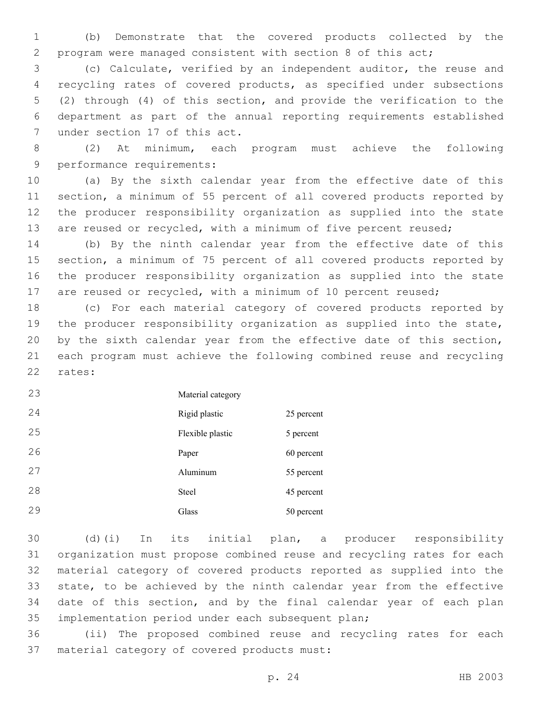(b) Demonstrate that the covered products collected by the program were managed consistent with section 8 of this act;

 (c) Calculate, verified by an independent auditor, the reuse and recycling rates of covered products, as specified under subsections (2) through (4) of this section, and provide the verification to the department as part of the annual reporting requirements established 7 under section 17 of this act.

 (2) At minimum, each program must achieve the following 9 performance requirements:

 (a) By the sixth calendar year from the effective date of this section, a minimum of 55 percent of all covered products reported by the producer responsibility organization as supplied into the state 13 are reused or recycled, with a minimum of five percent reused;

 (b) By the ninth calendar year from the effective date of this section, a minimum of 75 percent of all covered products reported by the producer responsibility organization as supplied into the state 17 are reused or recycled, with a minimum of 10 percent reused;

 (c) For each material category of covered products reported by the producer responsibility organization as supplied into the state, by the sixth calendar year from the effective date of this section, each program must achieve the following combined reuse and recycling 22 rates:

| 23 | Material category |            |
|----|-------------------|------------|
| 24 | Rigid plastic     | 25 percent |
| 25 | Flexible plastic  | 5 percent  |
| 26 | Paper             | 60 percent |
| 27 | Aluminum          | 55 percent |
| 28 | <b>Steel</b>      | 45 percent |
| 29 | Glass             | 50 percent |

 (d)(i) In its initial plan, a producer responsibility organization must propose combined reuse and recycling rates for each material category of covered products reported as supplied into the state, to be achieved by the ninth calendar year from the effective date of this section, and by the final calendar year of each plan 35 implementation period under each subsequent plan;

 (ii) The proposed combined reuse and recycling rates for each 37 material category of covered products must: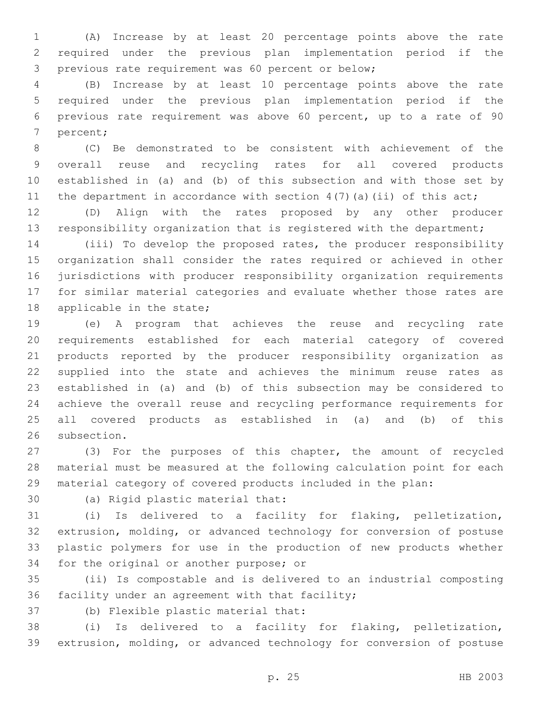(A) Increase by at least 20 percentage points above the rate required under the previous plan implementation period if the 3 previous rate requirement was 60 percent or below;

 (B) Increase by at least 10 percentage points above the rate required under the previous plan implementation period if the previous rate requirement was above 60 percent, up to a rate of 90 7 percent;

 (C) Be demonstrated to be consistent with achievement of the overall reuse and recycling rates for all covered products established in (a) and (b) of this subsection and with those set by 11 the department in accordance with section  $4(7)(a)(ii)$  of this act;

 (D) Align with the rates proposed by any other producer responsibility organization that is registered with the department;

 (iii) To develop the proposed rates, the producer responsibility organization shall consider the rates required or achieved in other jurisdictions with producer responsibility organization requirements for similar material categories and evaluate whether those rates are 18 applicable in the state;

 (e) A program that achieves the reuse and recycling rate requirements established for each material category of covered products reported by the producer responsibility organization as supplied into the state and achieves the minimum reuse rates as established in (a) and (b) of this subsection may be considered to achieve the overall reuse and recycling performance requirements for all covered products as established in (a) and (b) of this 26 subsection.

 (3) For the purposes of this chapter, the amount of recycled material must be measured at the following calculation point for each material category of covered products included in the plan:

30 (a) Rigid plastic material that:

 (i) Is delivered to a facility for flaking, pelletization, extrusion, molding, or advanced technology for conversion of postuse plastic polymers for use in the production of new products whether 34 for the original or another purpose; or

 (ii) Is compostable and is delivered to an industrial composting 36 facility under an agreement with that facility;

37 (b) Flexible plastic material that:

 (i) Is delivered to a facility for flaking, pelletization, extrusion, molding, or advanced technology for conversion of postuse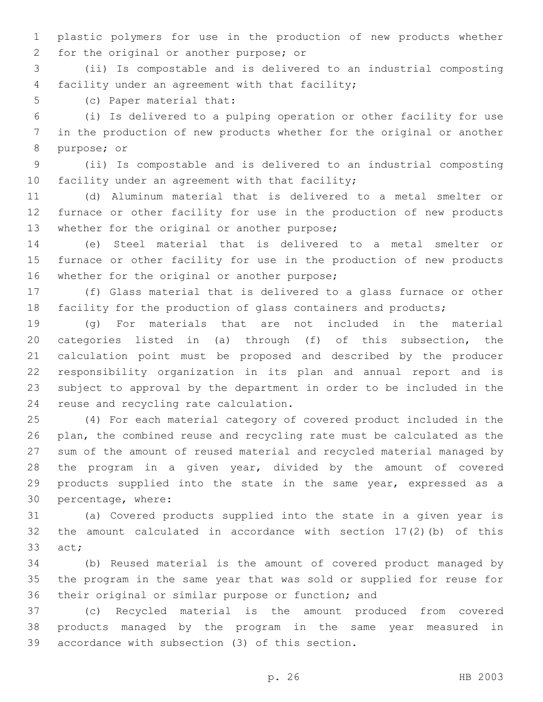plastic polymers for use in the production of new products whether for the original or another purpose; or2

 (ii) Is compostable and is delivered to an industrial composting 4 facility under an agreement with that facility;

5 (c) Paper material that:

 (i) Is delivered to a pulping operation or other facility for use in the production of new products whether for the original or another 8 purpose; or

 (ii) Is compostable and is delivered to an industrial composting 10 facility under an agreement with that facility;

 (d) Aluminum material that is delivered to a metal smelter or furnace or other facility for use in the production of new products 13 whether for the original or another purpose;

 (e) Steel material that is delivered to a metal smelter or furnace or other facility for use in the production of new products 16 whether for the original or another purpose;

 (f) Glass material that is delivered to a glass furnace or other 18 facility for the production of glass containers and products;

 (g) For materials that are not included in the material categories listed in (a) through (f) of this subsection, the calculation point must be proposed and described by the producer responsibility organization in its plan and annual report and is subject to approval by the department in order to be included in the 24 reuse and recycling rate calculation.

 (4) For each material category of covered product included in the plan, the combined reuse and recycling rate must be calculated as the sum of the amount of reused material and recycled material managed by the program in a given year, divided by the amount of covered products supplied into the state in the same year, expressed as a 30 percentage, where:

 (a) Covered products supplied into the state in a given year is the amount calculated in accordance with section 17(2)(b) of this 33 act;

 (b) Reused material is the amount of covered product managed by the program in the same year that was sold or supplied for reuse for their original or similar purpose or function; and

 (c) Recycled material is the amount produced from covered products managed by the program in the same year measured in 39 accordance with subsection (3) of this section.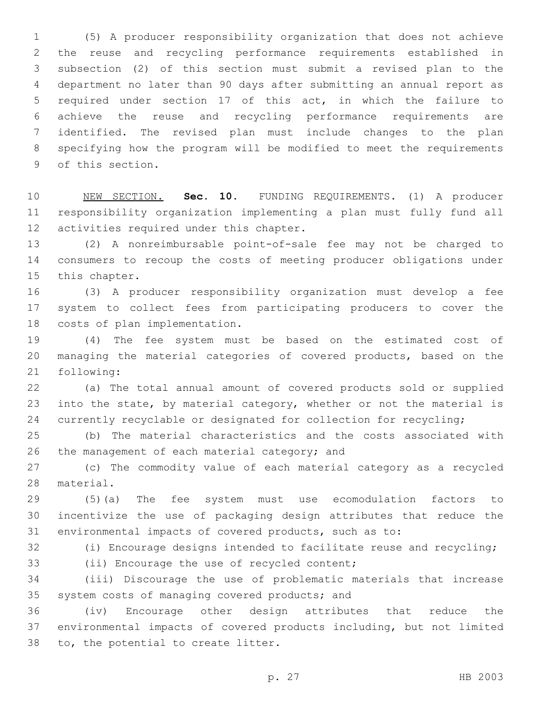(5) A producer responsibility organization that does not achieve the reuse and recycling performance requirements established in subsection (2) of this section must submit a revised plan to the department no later than 90 days after submitting an annual report as required under section 17 of this act, in which the failure to achieve the reuse and recycling performance requirements are identified. The revised plan must include changes to the plan specifying how the program will be modified to meet the requirements 9 of this section.

 NEW SECTION. **Sec. 10.** FUNDING REQUIREMENTS. (1) A producer responsibility organization implementing a plan must fully fund all activities required under this chapter.

 (2) A nonreimbursable point-of-sale fee may not be charged to consumers to recoup the costs of meeting producer obligations under 15 this chapter.

 (3) A producer responsibility organization must develop a fee system to collect fees from participating producers to cover the 18 costs of plan implementation.

 (4) The fee system must be based on the estimated cost of managing the material categories of covered products, based on the 21 following:

 (a) The total annual amount of covered products sold or supplied into the state, by material category, whether or not the material is 24 currently recyclable or designated for collection for recycling;

 (b) The material characteristics and the costs associated with 26 the management of each material category; and

 (c) The commodity value of each material category as a recycled 28 material.

 (5)(a) The fee system must use ecomodulation factors to incentivize the use of packaging design attributes that reduce the environmental impacts of covered products, such as to:

(i) Encourage designs intended to facilitate reuse and recycling;

33 (ii) Encourage the use of recycled content;

 (iii) Discourage the use of problematic materials that increase 35 system costs of managing covered products; and

 (iv) Encourage other design attributes that reduce the environmental impacts of covered products including, but not limited 38 to, the potential to create litter.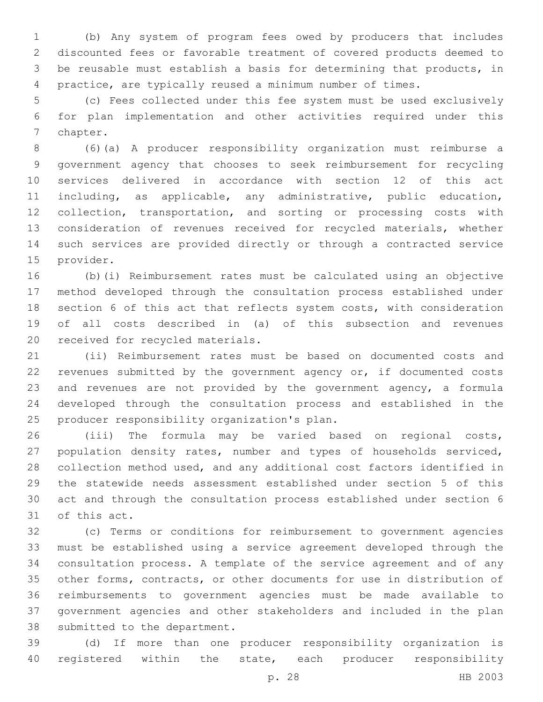(b) Any system of program fees owed by producers that includes discounted fees or favorable treatment of covered products deemed to be reusable must establish a basis for determining that products, in practice, are typically reused a minimum number of times.

 (c) Fees collected under this fee system must be used exclusively for plan implementation and other activities required under this 7 chapter.

 (6)(a) A producer responsibility organization must reimburse a government agency that chooses to seek reimbursement for recycling services delivered in accordance with section 12 of this act including, as applicable, any administrative, public education, collection, transportation, and sorting or processing costs with consideration of revenues received for recycled materials, whether such services are provided directly or through a contracted service 15 provider.

 (b)(i) Reimbursement rates must be calculated using an objective method developed through the consultation process established under section 6 of this act that reflects system costs, with consideration of all costs described in (a) of this subsection and revenues 20 received for recycled materials.

 (ii) Reimbursement rates must be based on documented costs and revenues submitted by the government agency or, if documented costs and revenues are not provided by the government agency, a formula developed through the consultation process and established in the 25 producer responsibility organization's plan.

 (iii) The formula may be varied based on regional costs, population density rates, number and types of households serviced, collection method used, and any additional cost factors identified in the statewide needs assessment established under section 5 of this act and through the consultation process established under section 6 31 of this act.

 (c) Terms or conditions for reimbursement to government agencies must be established using a service agreement developed through the consultation process. A template of the service agreement and of any other forms, contracts, or other documents for use in distribution of reimbursements to government agencies must be made available to government agencies and other stakeholders and included in the plan 38 submitted to the department.

 (d) If more than one producer responsibility organization is registered within the state, each producer responsibility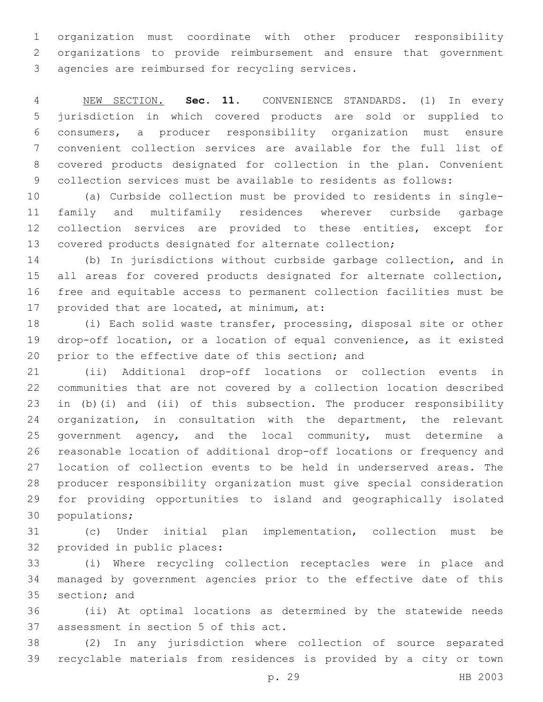organization must coordinate with other producer responsibility organizations to provide reimbursement and ensure that government 3 agencies are reimbursed for recycling services.

 NEW SECTION. **Sec. 11.** CONVENIENCE STANDARDS. (1) In every jurisdiction in which covered products are sold or supplied to consumers, a producer responsibility organization must ensure convenient collection services are available for the full list of covered products designated for collection in the plan. Convenient collection services must be available to residents as follows:

 (a) Curbside collection must be provided to residents in single- family and multifamily residences wherever curbside garbage collection services are provided to these entities, except for covered products designated for alternate collection;

 (b) In jurisdictions without curbside garbage collection, and in all areas for covered products designated for alternate collection, free and equitable access to permanent collection facilities must be 17 provided that are located, at minimum, at:

 (i) Each solid waste transfer, processing, disposal site or other drop-off location, or a location of equal convenience, as it existed 20 prior to the effective date of this section; and

 (ii) Additional drop-off locations or collection events in communities that are not covered by a collection location described in (b)(i) and (ii) of this subsection. The producer responsibility organization, in consultation with the department, the relevant government agency, and the local community, must determine a reasonable location of additional drop-off locations or frequency and location of collection events to be held in underserved areas. The producer responsibility organization must give special consideration for providing opportunities to island and geographically isolated 30 populations;

 (c) Under initial plan implementation, collection must be 32 provided in public places:

 (i) Where recycling collection receptacles were in place and managed by government agencies prior to the effective date of this 35 section; and

 (ii) At optimal locations as determined by the statewide needs 37 assessment in section 5 of this act.

 (2) In any jurisdiction where collection of source separated recyclable materials from residences is provided by a city or town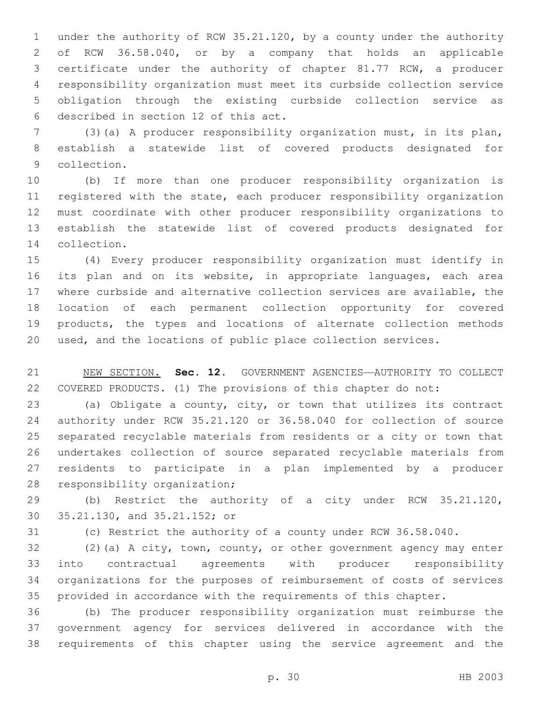under the authority of RCW 35.21.120, by a county under the authority of RCW 36.58.040, or by a company that holds an applicable certificate under the authority of chapter 81.77 RCW, a producer responsibility organization must meet its curbside collection service obligation through the existing curbside collection service as described in section 12 of this act.6

 (3)(a) A producer responsibility organization must, in its plan, establish a statewide list of covered products designated for 9 collection.

 (b) If more than one producer responsibility organization is registered with the state, each producer responsibility organization must coordinate with other producer responsibility organizations to establish the statewide list of covered products designated for 14 collection.

 (4) Every producer responsibility organization must identify in its plan and on its website, in appropriate languages, each area where curbside and alternative collection services are available, the location of each permanent collection opportunity for covered products, the types and locations of alternate collection methods used, and the locations of public place collection services.

 NEW SECTION. **Sec. 12.** GOVERNMENT AGENCIES—AUTHORITY TO COLLECT COVERED PRODUCTS. (1) The provisions of this chapter do not:

 (a) Obligate a county, city, or town that utilizes its contract authority under RCW 35.21.120 or 36.58.040 for collection of source separated recyclable materials from residents or a city or town that undertakes collection of source separated recyclable materials from residents to participate in a plan implemented by a producer 28 responsibility organization;

 (b) Restrict the authority of a city under RCW 35.21.120, 30 35.21.130, and 35.21.152; or

(c) Restrict the authority of a county under RCW 36.58.040.

 (2)(a) A city, town, county, or other government agency may enter into contractual agreements with producer responsibility organizations for the purposes of reimbursement of costs of services provided in accordance with the requirements of this chapter.

 (b) The producer responsibility organization must reimburse the government agency for services delivered in accordance with the requirements of this chapter using the service agreement and the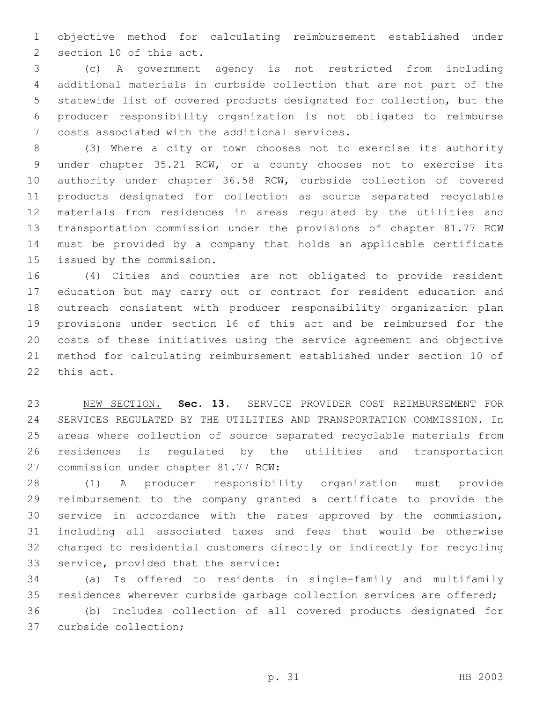objective method for calculating reimbursement established under 2 section 10 of this act.

 (c) A government agency is not restricted from including additional materials in curbside collection that are not part of the statewide list of covered products designated for collection, but the producer responsibility organization is not obligated to reimburse 7 costs associated with the additional services.

 (3) Where a city or town chooses not to exercise its authority under chapter 35.21 RCW, or a county chooses not to exercise its authority under chapter 36.58 RCW, curbside collection of covered products designated for collection as source separated recyclable materials from residences in areas regulated by the utilities and transportation commission under the provisions of chapter 81.77 RCW must be provided by a company that holds an applicable certificate 15 issued by the commission.

 (4) Cities and counties are not obligated to provide resident education but may carry out or contract for resident education and outreach consistent with producer responsibility organization plan provisions under section 16 of this act and be reimbursed for the costs of these initiatives using the service agreement and objective method for calculating reimbursement established under section 10 of 22 this act.

 NEW SECTION. **Sec. 13.** SERVICE PROVIDER COST REIMBURSEMENT FOR SERVICES REGULATED BY THE UTILITIES AND TRANSPORTATION COMMISSION. In areas where collection of source separated recyclable materials from residences is regulated by the utilities and transportation commission under chapter 81.77 RCW:

 (1) A producer responsibility organization must provide reimbursement to the company granted a certificate to provide the service in accordance with the rates approved by the commission, including all associated taxes and fees that would be otherwise charged to residential customers directly or indirectly for recycling 33 service, provided that the service:

 (a) Is offered to residents in single-family and multifamily residences wherever curbside garbage collection services are offered; (b) Includes collection of all covered products designated for 37 curbside collection;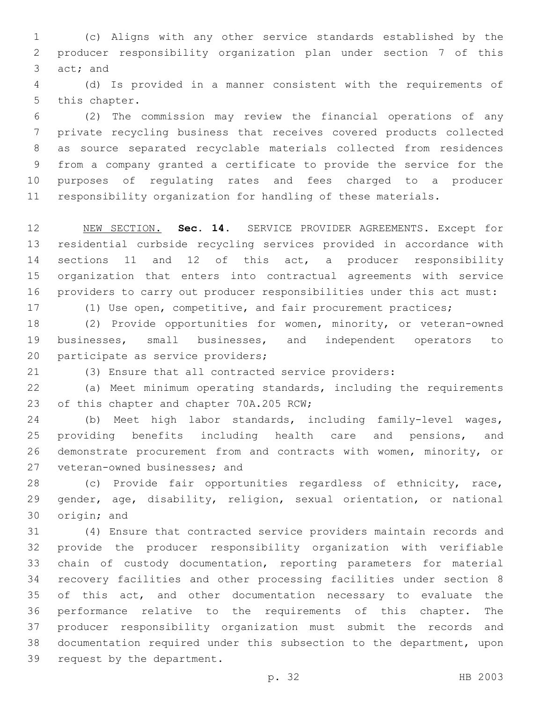(c) Aligns with any other service standards established by the producer responsibility organization plan under section 7 of this 3 act; and

 (d) Is provided in a manner consistent with the requirements of 5 this chapter.

 (2) The commission may review the financial operations of any private recycling business that receives covered products collected as source separated recyclable materials collected from residences from a company granted a certificate to provide the service for the purposes of regulating rates and fees charged to a producer responsibility organization for handling of these materials.

 NEW SECTION. **Sec. 14.** SERVICE PROVIDER AGREEMENTS. Except for residential curbside recycling services provided in accordance with sections 11 and 12 of this act, a producer responsibility organization that enters into contractual agreements with service providers to carry out producer responsibilities under this act must:

(1) Use open, competitive, and fair procurement practices;

 (2) Provide opportunities for women, minority, or veteran-owned businesses, small businesses, and independent operators to 20 participate as service providers;

(3) Ensure that all contracted service providers:

 (a) Meet minimum operating standards, including the requirements 23 of this chapter and chapter 70A.205 RCW;

 (b) Meet high labor standards, including family-level wages, providing benefits including health care and pensions, and demonstrate procurement from and contracts with women, minority, or 27 veteran-owned businesses; and

 (c) Provide fair opportunities regardless of ethnicity, race, gender, age, disability, religion, sexual orientation, or national 30 origin; and

 (4) Ensure that contracted service providers maintain records and provide the producer responsibility organization with verifiable chain of custody documentation, reporting parameters for material recovery facilities and other processing facilities under section 8 of this act, and other documentation necessary to evaluate the performance relative to the requirements of this chapter. The producer responsibility organization must submit the records and documentation required under this subsection to the department, upon 39 request by the department.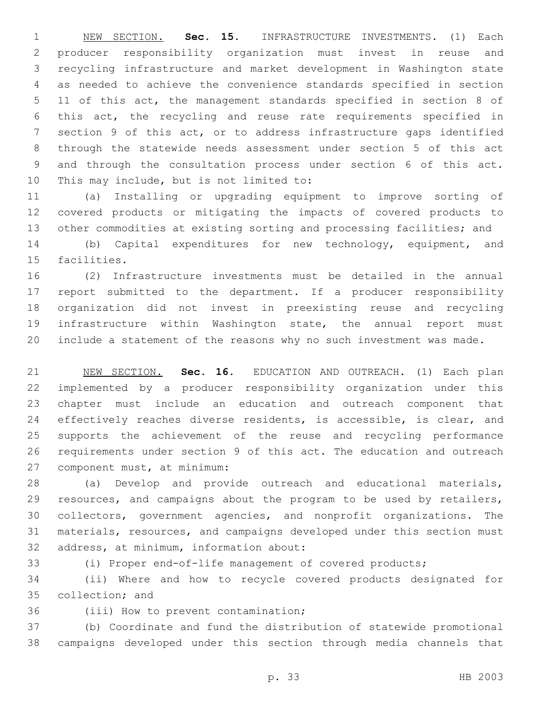NEW SECTION. **Sec. 15.** INFRASTRUCTURE INVESTMENTS. (1) Each producer responsibility organization must invest in reuse and recycling infrastructure and market development in Washington state as needed to achieve the convenience standards specified in section 11 of this act, the management standards specified in section 8 of this act, the recycling and reuse rate requirements specified in section 9 of this act, or to address infrastructure gaps identified through the statewide needs assessment under section 5 of this act and through the consultation process under section 6 of this act. This may include, but is not limited to:

 (a) Installing or upgrading equipment to improve sorting of covered products or mitigating the impacts of covered products to other commodities at existing sorting and processing facilities; and

 (b) Capital expenditures for new technology, equipment, and 15 facilities.

 (2) Infrastructure investments must be detailed in the annual report submitted to the department. If a producer responsibility organization did not invest in preexisting reuse and recycling infrastructure within Washington state, the annual report must include a statement of the reasons why no such investment was made.

 NEW SECTION. **Sec. 16.** EDUCATION AND OUTREACH. (1) Each plan implemented by a producer responsibility organization under this chapter must include an education and outreach component that 24 effectively reaches diverse residents, is accessible, is clear, and supports the achievement of the reuse and recycling performance requirements under section 9 of this act. The education and outreach component must, at minimum:

 (a) Develop and provide outreach and educational materials, 29 resources, and campaigns about the program to be used by retailers, collectors, government agencies, and nonprofit organizations. The materials, resources, and campaigns developed under this section must 32 address, at minimum, information about:

(i) Proper end-of-life management of covered products;

 (ii) Where and how to recycle covered products designated for 35 collection; and

36 (iii) How to prevent contamination;

 (b) Coordinate and fund the distribution of statewide promotional campaigns developed under this section through media channels that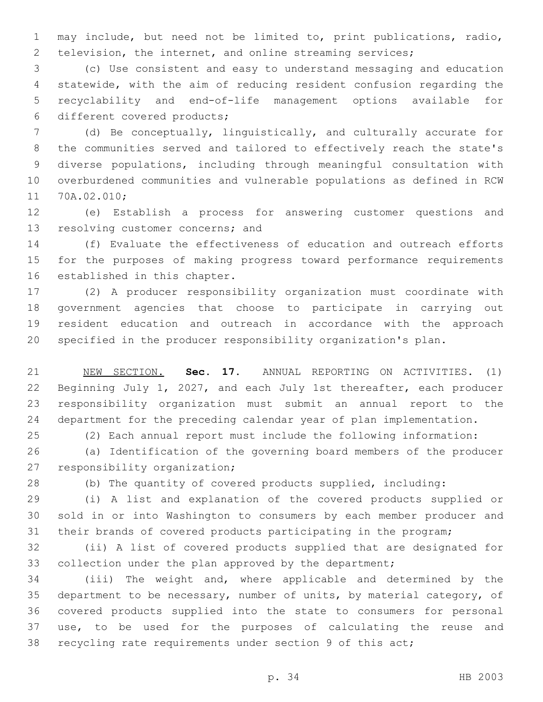may include, but need not be limited to, print publications, radio, 2 television, the internet, and online streaming services;

 (c) Use consistent and easy to understand messaging and education statewide, with the aim of reducing resident confusion regarding the recyclability and end-of-life management options available for 6 different covered products;

 (d) Be conceptually, linguistically, and culturally accurate for the communities served and tailored to effectively reach the state's diverse populations, including through meaningful consultation with overburdened communities and vulnerable populations as defined in RCW 11 70A.02.010;

 (e) Establish a process for answering customer questions and 13 resolving customer concerns; and

 (f) Evaluate the effectiveness of education and outreach efforts for the purposes of making progress toward performance requirements 16 established in this chapter.

 (2) A producer responsibility organization must coordinate with government agencies that choose to participate in carrying out resident education and outreach in accordance with the approach specified in the producer responsibility organization's plan.

 NEW SECTION. **Sec. 17.** ANNUAL REPORTING ON ACTIVITIES. (1) Beginning July 1, 2027, and each July 1st thereafter, each producer responsibility organization must submit an annual report to the department for the preceding calendar year of plan implementation.

(2) Each annual report must include the following information:

 (a) Identification of the governing board members of the producer 27 responsibility organization;

(b) The quantity of covered products supplied, including:

 (i) A list and explanation of the covered products supplied or sold in or into Washington to consumers by each member producer and their brands of covered products participating in the program;

 (ii) A list of covered products supplied that are designated for collection under the plan approved by the department;

 (iii) The weight and, where applicable and determined by the department to be necessary, number of units, by material category, of covered products supplied into the state to consumers for personal use, to be used for the purposes of calculating the reuse and recycling rate requirements under section 9 of this act;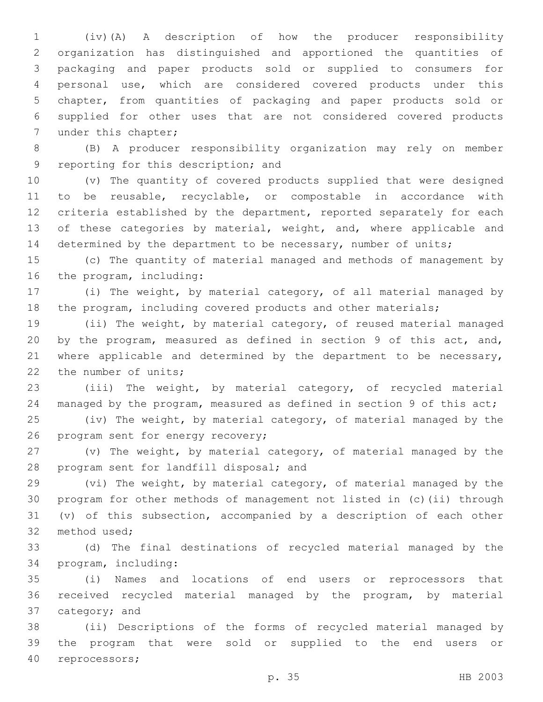(iv)(A) A description of how the producer responsibility organization has distinguished and apportioned the quantities of packaging and paper products sold or supplied to consumers for personal use, which are considered covered products under this chapter, from quantities of packaging and paper products sold or supplied for other uses that are not considered covered products 7 under this chapter;

 (B) A producer responsibility organization may rely on member 9 reporting for this description; and

 (v) The quantity of covered products supplied that were designed to be reusable, recyclable, or compostable in accordance with criteria established by the department, reported separately for each 13 of these categories by material, weight, and, where applicable and 14 determined by the department to be necessary, number of units;

 (c) The quantity of material managed and methods of management by 16 the program, including:

 (i) The weight, by material category, of all material managed by the program, including covered products and other materials;

 (ii) The weight, by material category, of reused material managed by the program, measured as defined in section 9 of this act, and, 21 where applicable and determined by the department to be necessary, 22 the number of units;

 (iii) The weight, by material category, of recycled material managed by the program, measured as defined in section 9 of this act;

 (iv) The weight, by material category, of material managed by the 26 program sent for energy recovery;

 (v) The weight, by material category, of material managed by the 28 program sent for landfill disposal; and

 (vi) The weight, by material category, of material managed by the program for other methods of management not listed in (c)(ii) through (v) of this subsection, accompanied by a description of each other 32 method used;

 (d) The final destinations of recycled material managed by the 34 program, including:

 (i) Names and locations of end users or reprocessors that received recycled material managed by the program, by material 37 category; and

 (ii) Descriptions of the forms of recycled material managed by the program that were sold or supplied to the end users or 40 reprocessors;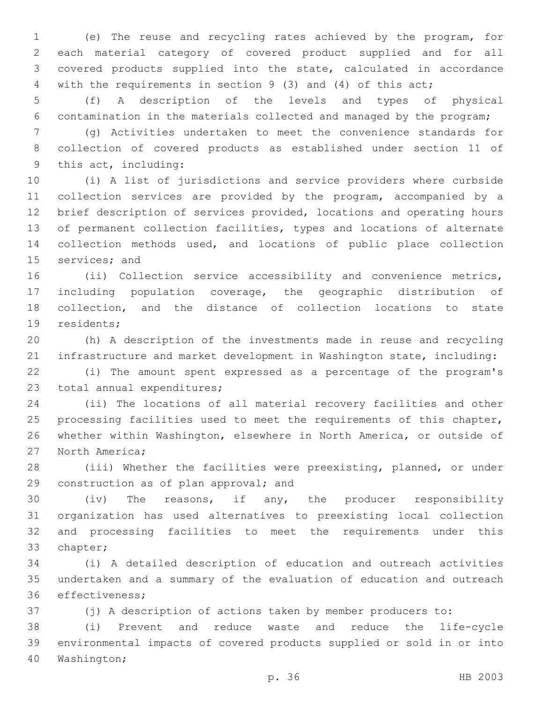(e) The reuse and recycling rates achieved by the program, for each material category of covered product supplied and for all covered products supplied into the state, calculated in accordance with the requirements in section 9 (3) and (4) of this act;

 (f) A description of the levels and types of physical contamination in the materials collected and managed by the program;

 (g) Activities undertaken to meet the convenience standards for collection of covered products as established under section 11 of 9 this act, including:

 (i) A list of jurisdictions and service providers where curbside collection services are provided by the program, accompanied by a brief description of services provided, locations and operating hours of permanent collection facilities, types and locations of alternate collection methods used, and locations of public place collection 15 services; and

 (ii) Collection service accessibility and convenience metrics, including population coverage, the geographic distribution of collection, and the distance of collection locations to state 19 residents;

 (h) A description of the investments made in reuse and recycling infrastructure and market development in Washington state, including:

 (i) The amount spent expressed as a percentage of the program's 23 total annual expenditures;

 (ii) The locations of all material recovery facilities and other processing facilities used to meet the requirements of this chapter, whether within Washington, elsewhere in North America, or outside of 27 North America;

 (iii) Whether the facilities were preexisting, planned, or under 29 construction as of plan approval; and

 (iv) The reasons, if any, the producer responsibility organization has used alternatives to preexisting local collection and processing facilities to meet the requirements under this 33 chapter;

 (i) A detailed description of education and outreach activities undertaken and a summary of the evaluation of education and outreach 36 effectiveness;

(j) A description of actions taken by member producers to:

 (i) Prevent and reduce waste and reduce the life-cycle environmental impacts of covered products supplied or sold in or into 40 Washington;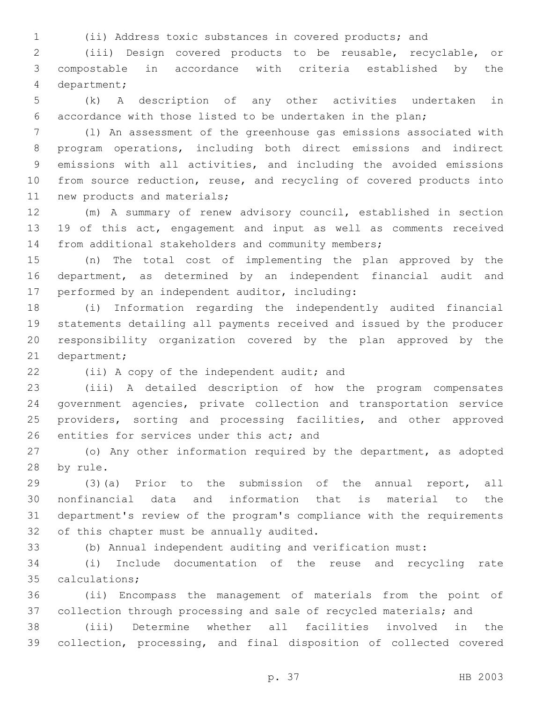(ii) Address toxic substances in covered products; and

 (iii) Design covered products to be reusable, recyclable, or compostable in accordance with criteria established by the department;4

 (k) A description of any other activities undertaken in accordance with those listed to be undertaken in the plan;

 (l) An assessment of the greenhouse gas emissions associated with program operations, including both direct emissions and indirect emissions with all activities, and including the avoided emissions from source reduction, reuse, and recycling of covered products into 11 new products and materials;

 (m) A summary of renew advisory council, established in section 19 of this act, engagement and input as well as comments received from additional stakeholders and community members;

 (n) The total cost of implementing the plan approved by the department, as determined by an independent financial audit and 17 performed by an independent auditor, including:

 (i) Information regarding the independently audited financial statements detailing all payments received and issued by the producer responsibility organization covered by the plan approved by the 21 department;

22 (ii) A copy of the independent audit; and

 (iii) A detailed description of how the program compensates government agencies, private collection and transportation service 25 providers, sorting and processing facilities, and other approved 26 entities for services under this act; and

 (o) Any other information required by the department, as adopted 28 by rule.

 (3)(a) Prior to the submission of the annual report, all nonfinancial data and information that is material to the department's review of the program's compliance with the requirements 32 of this chapter must be annually audited.

(b) Annual independent auditing and verification must:

 (i) Include documentation of the reuse and recycling rate 35 calculations;

 (ii) Encompass the management of materials from the point of 37 collection through processing and sale of recycled materials; and

 (iii) Determine whether all facilities involved in the collection, processing, and final disposition of collected covered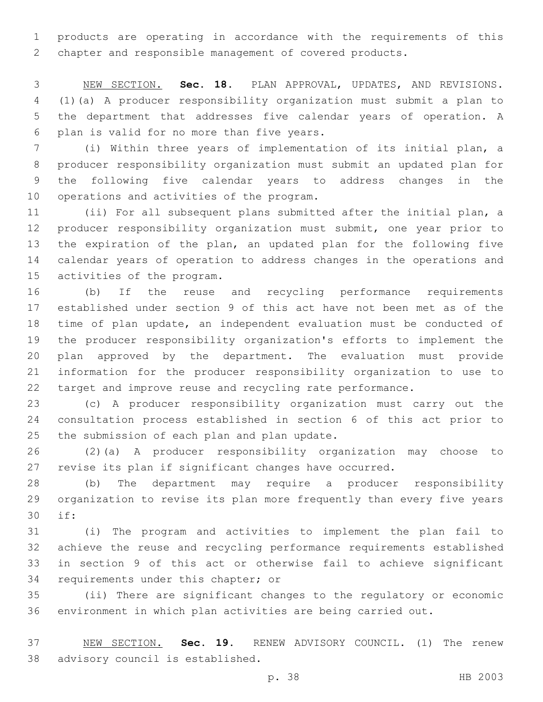products are operating in accordance with the requirements of this chapter and responsible management of covered products.

 NEW SECTION. **Sec. 18.** PLAN APPROVAL, UPDATES, AND REVISIONS. (1)(a) A producer responsibility organization must submit a plan to the department that addresses five calendar years of operation. A plan is valid for no more than five years.

 (i) Within three years of implementation of its initial plan, a producer responsibility organization must submit an updated plan for the following five calendar years to address changes in the 10 operations and activities of the program.

 (ii) For all subsequent plans submitted after the initial plan, a producer responsibility organization must submit, one year prior to the expiration of the plan, an updated plan for the following five calendar years of operation to address changes in the operations and 15 activities of the program.

 (b) If the reuse and recycling performance requirements established under section 9 of this act have not been met as of the time of plan update, an independent evaluation must be conducted of the producer responsibility organization's efforts to implement the plan approved by the department. The evaluation must provide information for the producer responsibility organization to use to target and improve reuse and recycling rate performance.

 (c) A producer responsibility organization must carry out the consultation process established in section 6 of this act prior to 25 the submission of each plan and plan update.

 (2)(a) A producer responsibility organization may choose to revise its plan if significant changes have occurred.

 (b) The department may require a producer responsibility organization to revise its plan more frequently than every five years if:30

 (i) The program and activities to implement the plan fail to achieve the reuse and recycling performance requirements established in section 9 of this act or otherwise fail to achieve significant 34 requirements under this chapter; or

 (ii) There are significant changes to the regulatory or economic environment in which plan activities are being carried out.

 NEW SECTION. **Sec. 19.** RENEW ADVISORY COUNCIL. (1) The renew advisory council is established.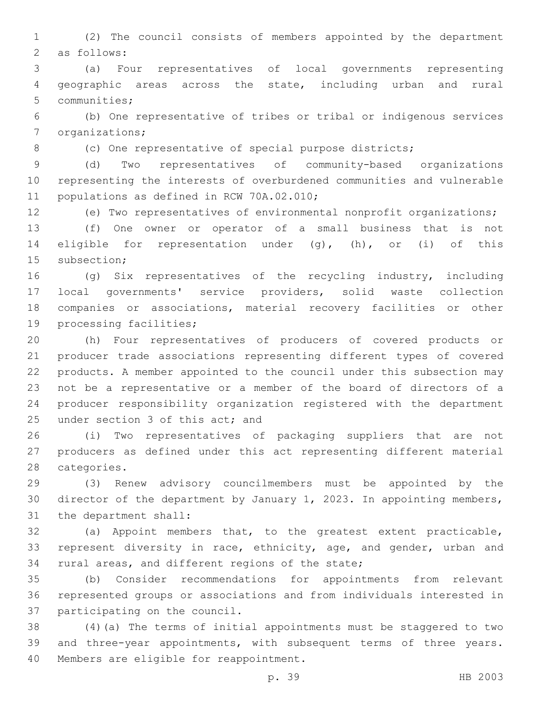(2) The council consists of members appointed by the department 2 as follows:

 (a) Four representatives of local governments representing geographic areas across the state, including urban and rural 5 communities;

 (b) One representative of tribes or tribal or indigenous services 7 organizations;

(c) One representative of special purpose districts;

 (d) Two representatives of community-based organizations representing the interests of overburdened communities and vulnerable 11 populations as defined in RCW 70A.02.010;

(e) Two representatives of environmental nonprofit organizations;

 (f) One owner or operator of a small business that is not eligible for representation under (g), (h), or (i) of this 15 subsection;

 (g) Six representatives of the recycling industry, including local governments' service providers, solid waste collection companies or associations, material recovery facilities or other 19 processing facilities;

 (h) Four representatives of producers of covered products or producer trade associations representing different types of covered products. A member appointed to the council under this subsection may not be a representative or a member of the board of directors of a producer responsibility organization registered with the department 25 under section 3 of this act; and

 (i) Two representatives of packaging suppliers that are not producers as defined under this act representing different material 28 categories.

 (3) Renew advisory councilmembers must be appointed by the director of the department by January 1, 2023. In appointing members, 31 the department shall:

 (a) Appoint members that, to the greatest extent practicable, 33 represent diversity in race, ethnicity, age, and gender, urban and 34 rural areas, and different regions of the state;

 (b) Consider recommendations for appointments from relevant represented groups or associations and from individuals interested in 37 participating on the council.

 (4)(a) The terms of initial appointments must be staggered to two and three-year appointments, with subsequent terms of three years. 40 Members are eligible for reappointment.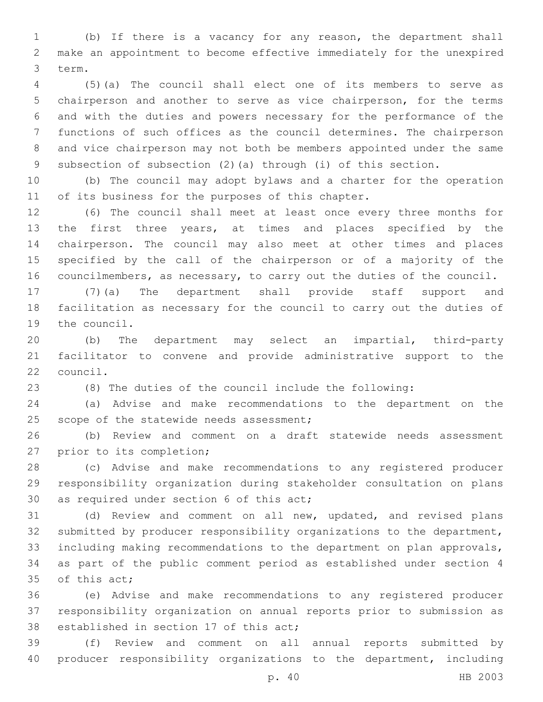(b) If there is a vacancy for any reason, the department shall make an appointment to become effective immediately for the unexpired 3 term.

 (5)(a) The council shall elect one of its members to serve as chairperson and another to serve as vice chairperson, for the terms and with the duties and powers necessary for the performance of the functions of such offices as the council determines. The chairperson and vice chairperson may not both be members appointed under the same subsection of subsection (2)(a) through (i) of this section.

 (b) The council may adopt bylaws and a charter for the operation 11 of its business for the purposes of this chapter.

 (6) The council shall meet at least once every three months for 13 the first three years, at times and places specified by the chairperson. The council may also meet at other times and places specified by the call of the chairperson or of a majority of the councilmembers, as necessary, to carry out the duties of the council.

 (7)(a) The department shall provide staff support and facilitation as necessary for the council to carry out the duties of 19 the council.

 (b) The department may select an impartial, third-party facilitator to convene and provide administrative support to the 22 council.

(8) The duties of the council include the following:

 (a) Advise and make recommendations to the department on the 25 scope of the statewide needs assessment;

 (b) Review and comment on a draft statewide needs assessment 27 prior to its completion;

 (c) Advise and make recommendations to any registered producer responsibility organization during stakeholder consultation on plans 30 as required under section 6 of this act;

 (d) Review and comment on all new, updated, and revised plans submitted by producer responsibility organizations to the department, including making recommendations to the department on plan approvals, as part of the public comment period as established under section 4 35 of this act;

 (e) Advise and make recommendations to any registered producer responsibility organization on annual reports prior to submission as 38 established in section 17 of this act;

 (f) Review and comment on all annual reports submitted by producer responsibility organizations to the department, including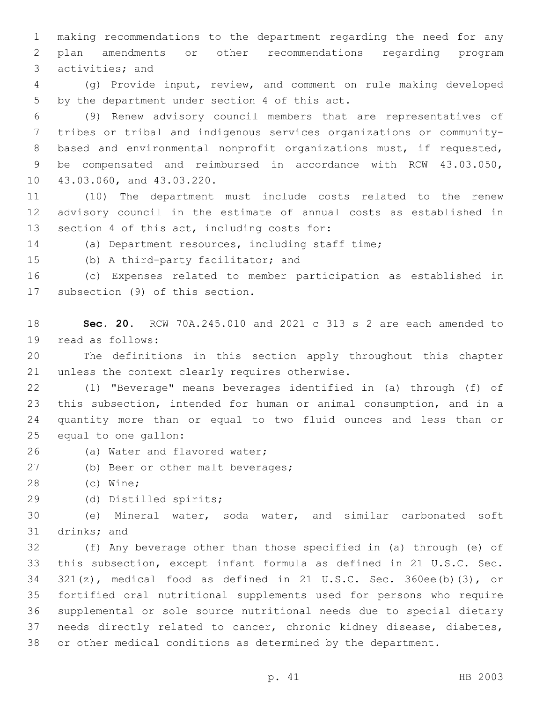making recommendations to the department regarding the need for any plan amendments or other recommendations regarding program 3 activities; and

 (g) Provide input, review, and comment on rule making developed 5 by the department under section 4 of this act.

 (9) Renew advisory council members that are representatives of tribes or tribal and indigenous services organizations or community- based and environmental nonprofit organizations must, if requested, be compensated and reimbursed in accordance with RCW 43.03.050, 10 43.03.060, and 43.03.220.

 (10) The department must include costs related to the renew advisory council in the estimate of annual costs as established in 13 section 4 of this act, including costs for:

(a) Department resources, including staff time;

15 (b) A third-party facilitator; and

 (c) Expenses related to member participation as established in 17 subsection (9) of this section.

 **Sec. 20.** RCW 70A.245.010 and 2021 c 313 s 2 are each amended to 19 read as follows:

 The definitions in this section apply throughout this chapter 21 unless the context clearly requires otherwise.

 (1) "Beverage" means beverages identified in (a) through (f) of this subsection, intended for human or animal consumption, and in a quantity more than or equal to two fluid ounces and less than or 25 equal to one gallon:

- 26 (a) Water and flavored water;
- 27 (b) Beer or other malt beverages;
- (c) Wine;28
- (d) Distilled spirits;29

 (e) Mineral water, soda water, and similar carbonated soft 31 drinks; and

 (f) Any beverage other than those specified in (a) through (e) of this subsection, except infant formula as defined in 21 U.S.C. Sec. 321(z), medical food as defined in 21 U.S.C. Sec. 360ee(b)(3), or fortified oral nutritional supplements used for persons who require supplemental or sole source nutritional needs due to special dietary needs directly related to cancer, chronic kidney disease, diabetes, or other medical conditions as determined by the department.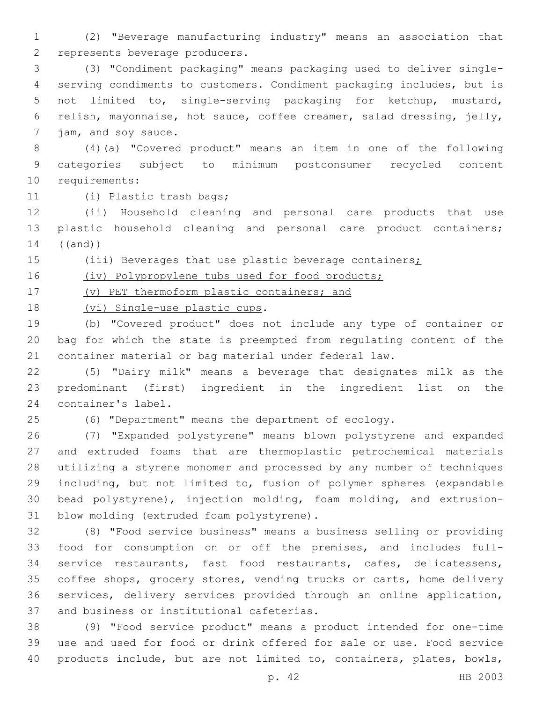(2) "Beverage manufacturing industry" means an association that 2 represents beverage producers.

 (3) "Condiment packaging" means packaging used to deliver single- serving condiments to customers. Condiment packaging includes, but is not limited to, single-serving packaging for ketchup, mustard, relish, mayonnaise, hot sauce, coffee creamer, salad dressing, jelly, 7 jam, and soy sauce.

 (4)(a) "Covered product" means an item in one of the following categories subject to minimum postconsumer recycled content 10 requirements:

11 (i) Plastic trash bags;

 (ii) Household cleaning and personal care products that use plastic household cleaning and personal care product containers; ((and))

15 (iii) Beverages that use plastic beverage containers;

16 (iv) Polypropylene tubs used for food products;

(v) PET thermoform plastic containers; and

18 (vi) Single-use plastic cups.

 (b) "Covered product" does not include any type of container or bag for which the state is preempted from regulating content of the container material or bag material under federal law.

 (5) "Dairy milk" means a beverage that designates milk as the predominant (first) ingredient in the ingredient list on the 24 container's label.

(6) "Department" means the department of ecology.

 (7) "Expanded polystyrene" means blown polystyrene and expanded and extruded foams that are thermoplastic petrochemical materials utilizing a styrene monomer and processed by any number of techniques including, but not limited to, fusion of polymer spheres (expandable bead polystyrene), injection molding, foam molding, and extrusion-31 blow molding (extruded foam polystyrene).

 (8) "Food service business" means a business selling or providing food for consumption on or off the premises, and includes full- service restaurants, fast food restaurants, cafes, delicatessens, coffee shops, grocery stores, vending trucks or carts, home delivery services, delivery services provided through an online application, 37 and business or institutional cafeterias.

 (9) "Food service product" means a product intended for one-time use and used for food or drink offered for sale or use. Food service products include, but are not limited to, containers, plates, bowls,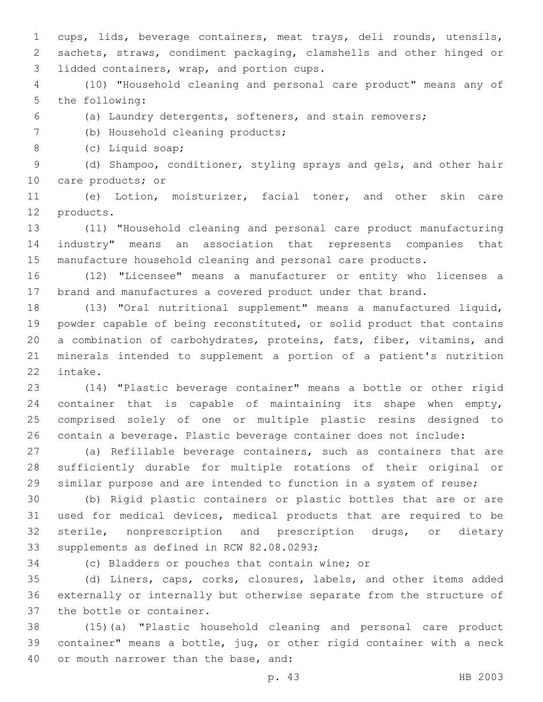cups, lids, beverage containers, meat trays, deli rounds, utensils, sachets, straws, condiment packaging, clamshells and other hinged or 3 lidded containers, wrap, and portion cups.

 (10) "Household cleaning and personal care product" means any of 5 the following:

(a) Laundry detergents, softeners, and stain removers;

(b) Household cleaning products;7

8 (c) Liquid soap;

 (d) Shampoo, conditioner, styling sprays and gels, and other hair 10 care products; or

 (e) Lotion, moisturizer, facial toner, and other skin care 12 products.

 (11) "Household cleaning and personal care product manufacturing industry" means an association that represents companies that manufacture household cleaning and personal care products.

 (12) "Licensee" means a manufacturer or entity who licenses a brand and manufactures a covered product under that brand.

 (13) "Oral nutritional supplement" means a manufactured liquid, powder capable of being reconstituted, or solid product that contains a combination of carbohydrates, proteins, fats, fiber, vitamins, and minerals intended to supplement a portion of a patient's nutrition 22 intake.

 (14) "Plastic beverage container" means a bottle or other rigid container that is capable of maintaining its shape when empty, comprised solely of one or multiple plastic resins designed to contain a beverage. Plastic beverage container does not include:

 (a) Refillable beverage containers, such as containers that are sufficiently durable for multiple rotations of their original or similar purpose and are intended to function in a system of reuse;

 (b) Rigid plastic containers or plastic bottles that are or are used for medical devices, medical products that are required to be sterile, nonprescription and prescription drugs, or dietary 33 supplements as defined in RCW 82.08.0293;

34 (c) Bladders or pouches that contain wine; or

 (d) Liners, caps, corks, closures, labels, and other items added externally or internally but otherwise separate from the structure of 37 the bottle or container.

 (15)(a) "Plastic household cleaning and personal care product container" means a bottle, jug, or other rigid container with a neck 40 or mouth narrower than the base, and: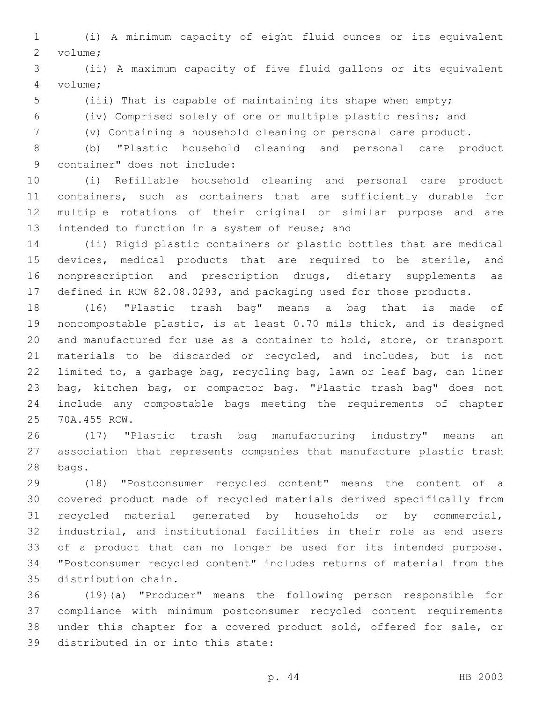(i) A minimum capacity of eight fluid ounces or its equivalent 2 volume;

 (ii) A maximum capacity of five fluid gallons or its equivalent volume;4

(iii) That is capable of maintaining its shape when empty;

(iv) Comprised solely of one or multiple plastic resins; and

(v) Containing a household cleaning or personal care product.

 (b) "Plastic household cleaning and personal care product 9 container" does not include:

 (i) Refillable household cleaning and personal care product containers, such as containers that are sufficiently durable for multiple rotations of their original or similar purpose and are 13 intended to function in a system of reuse; and

 (ii) Rigid plastic containers or plastic bottles that are medical devices, medical products that are required to be sterile, and nonprescription and prescription drugs, dietary supplements as defined in RCW 82.08.0293, and packaging used for those products.

 (16) "Plastic trash bag" means a bag that is made of noncompostable plastic, is at least 0.70 mils thick, and is designed and manufactured for use as a container to hold, store, or transport materials to be discarded or recycled, and includes, but is not limited to, a garbage bag, recycling bag, lawn or leaf bag, can liner bag, kitchen bag, or compactor bag. "Plastic trash bag" does not include any compostable bags meeting the requirements of chapter 25 70A.455 RCW.

 (17) "Plastic trash bag manufacturing industry" means an association that represents companies that manufacture plastic trash 28 bags.

 (18) "Postconsumer recycled content" means the content of a covered product made of recycled materials derived specifically from recycled material generated by households or by commercial, industrial, and institutional facilities in their role as end users of a product that can no longer be used for its intended purpose. "Postconsumer recycled content" includes returns of material from the 35 distribution chain.

 (19)(a) "Producer" means the following person responsible for compliance with minimum postconsumer recycled content requirements under this chapter for a covered product sold, offered for sale, or 39 distributed in or into this state: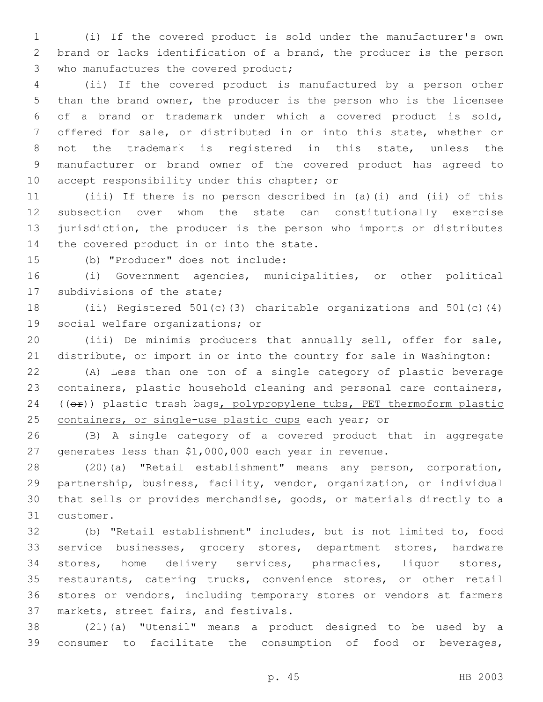(i) If the covered product is sold under the manufacturer's own brand or lacks identification of a brand, the producer is the person 3 who manufactures the covered product;

 (ii) If the covered product is manufactured by a person other than the brand owner, the producer is the person who is the licensee of a brand or trademark under which a covered product is sold, offered for sale, or distributed in or into this state, whether or not the trademark is registered in this state, unless the manufacturer or brand owner of the covered product has agreed to 10 accept responsibility under this chapter; or

 (iii) If there is no person described in (a)(i) and (ii) of this subsection over whom the state can constitutionally exercise jurisdiction, the producer is the person who imports or distributes 14 the covered product in or into the state.

15 (b) "Producer" does not include:

 (i) Government agencies, municipalities, or other political 17 subdivisions of the state;

 (ii) Registered 501(c)(3) charitable organizations and 501(c)(4) 19 social welfare organizations; or

 (iii) De minimis producers that annually sell, offer for sale, distribute, or import in or into the country for sale in Washington:

 (A) Less than one ton of a single category of plastic beverage containers, plastic household cleaning and personal care containers, 24 ((or)) plastic trash bags, polypropylene tubs, PET thermoform plastic 25 containers, or single-use plastic cups each year; or

 (B) A single category of a covered product that in aggregate generates less than \$1,000,000 each year in revenue.

 (20)(a) "Retail establishment" means any person, corporation, partnership, business, facility, vendor, organization, or individual that sells or provides merchandise, goods, or materials directly to a 31 customer.

 (b) "Retail establishment" includes, but is not limited to, food service businesses, grocery stores, department stores, hardware stores, home delivery services, pharmacies, liquor stores, restaurants, catering trucks, convenience stores, or other retail stores or vendors, including temporary stores or vendors at farmers 37 markets, street fairs, and festivals.

 (21)(a) "Utensil" means a product designed to be used by a consumer to facilitate the consumption of food or beverages,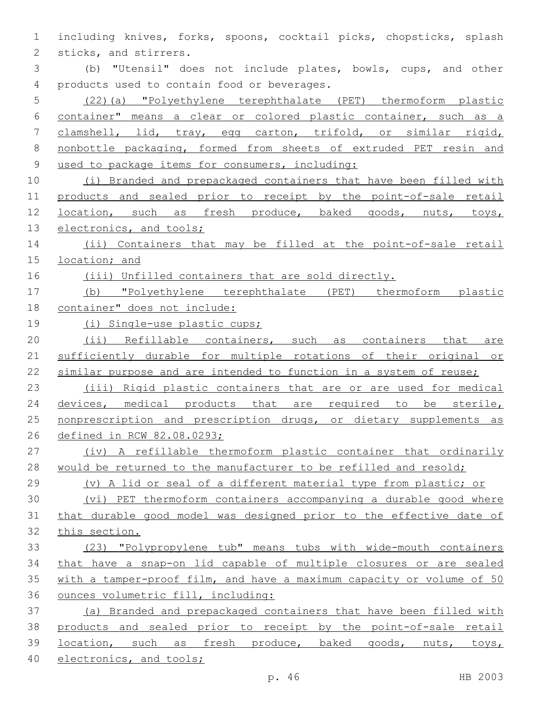| 1              | including knives, forks, spoons, cocktail picks, chopsticks, splash   |
|----------------|-----------------------------------------------------------------------|
| 2              | sticks, and stirrers.                                                 |
| 3              | (b) "Utensil" does not include plates, bowls, cups, and other         |
| 4              | products used to contain food or beverages.                           |
| 5              | (22)(a) "Polyethylene terephthalate (PET) thermoform plastic          |
| 6              | container" means a clear or colored plastic container, such as a      |
| 7              | clamshell, lid, tray, eqq carton, trifold, or similar rigid,          |
| 8              | nonbottle packaging, formed from sheets of extruded PET resin and     |
| $\overline{9}$ | used to package items for consumers, including:                       |
| 10             | (i) Branded and prepackaged containers that have been filled with     |
| 11             | products and sealed prior to receipt by the point-of-sale retail      |
| 12             | location, such as fresh produce, baked goods, nuts, toys,             |
| 13             | electronics, and tools;                                               |
| 14             | (ii) Containers that may be filled at the point-of-sale retail        |
| 15             | location; and                                                         |
| 16             | (iii) Unfilled containers that are sold directly.                     |
| 17             | (b) "Polyethylene terephthalate (PET) thermoform plastic              |
| 18             | container" does not include:                                          |
| 19             | (i) Single-use plastic cups;                                          |
| 20             | (ii) Refillable containers, such as containers that are               |
| 21             | sufficiently durable for multiple rotations of their original or      |
| 22             | similar purpose and are intended to function in a system of reuse;    |
| 23             | (iii) Rigid plastic containers that are or are used for medical       |
| 24             | devices, medical products that are required to be sterile,            |
| 25             | nonprescription and prescription drugs, or dietary supplements as     |
| 26             | defined in RCW 82.08.0293;                                            |
| 27             | (iv) A refillable thermoform plastic container that ordinarily        |
| 28             | would be returned to the manufacturer to be refilled and resold;      |
| 29             | (v) A lid or seal of a different material type from plastic; or       |
| 30             | (vi) PET thermoform containers accompanying a durable good where      |
| 31             | that durable good model was designed prior to the effective date of   |
| 32             | this section.                                                         |
| 33             | (23) "Polypropylene tub" means tubs with wide-mouth containers        |
| 34             | that have a snap-on lid capable of multiple closures or are sealed    |
| 35             | with a tamper-proof film, and have a maximum capacity or volume of 50 |
| 36             | ounces volumetric fill, including:                                    |
| 37             | (a) Branded and prepackaged containers that have been filled with     |
| 38             | products and sealed prior to receipt by the point-of-sale retail      |
| 39             | location, such as fresh produce, baked goods, nuts, toys,             |
| 40             | electronics, and tools;                                               |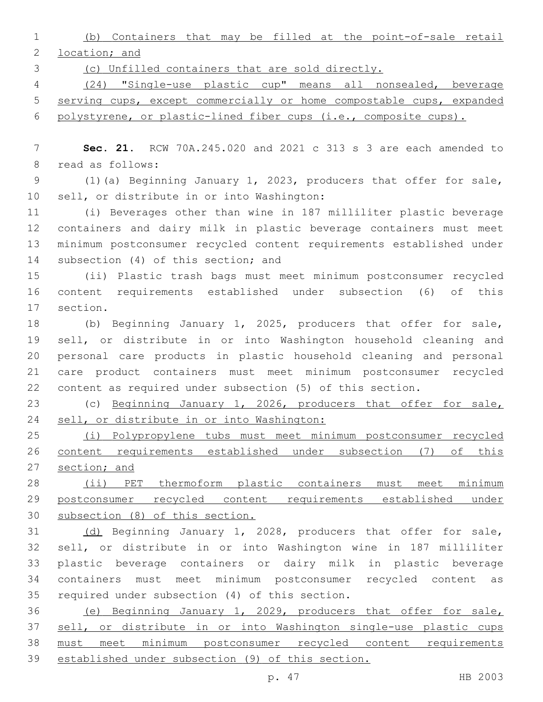(b) Containers that may be filled at the point-of-sale retail location; and

(c) Unfilled containers that are sold directly.

 (24) "Single-use plastic cup" means all nonsealed, beverage serving cups, except commercially or home compostable cups, expanded polystyrene, or plastic-lined fiber cups (i.e., composite cups).

 **Sec. 21.** RCW 70A.245.020 and 2021 c 313 s 3 are each amended to 8 read as follows:

 (1)(a) Beginning January 1, 2023, producers that offer for sale, 10 sell, or distribute in or into Washington:

 (i) Beverages other than wine in 187 milliliter plastic beverage containers and dairy milk in plastic beverage containers must meet minimum postconsumer recycled content requirements established under 14 subsection (4) of this section; and

 (ii) Plastic trash bags must meet minimum postconsumer recycled content requirements established under subsection (6) of this 17 section.

 (b) Beginning January 1, 2025, producers that offer for sale, sell, or distribute in or into Washington household cleaning and personal care products in plastic household cleaning and personal care product containers must meet minimum postconsumer recycled content as required under subsection (5) of this section.

 (c) Beginning January 1, 2026, producers that offer for sale, 24 sell, or distribute in or into Washington:

 (i) Polypropylene tubs must meet minimum postconsumer recycled content requirements established under subsection (7) of this 27 section; and

 (ii) PET thermoform plastic containers must meet minimum postconsumer recycled content requirements established under subsection (8) of this section.

 (d) Beginning January 1, 2028, producers that offer for sale, sell, or distribute in or into Washington wine in 187 milliliter plastic beverage containers or dairy milk in plastic beverage containers must meet minimum postconsumer recycled content as 35 required under subsection (4) of this section.

 (e) Beginning January 1, 2029, producers that offer for sale, sell, or distribute in or into Washington single-use plastic cups must meet minimum postconsumer recycled content requirements established under subsection (9) of this section.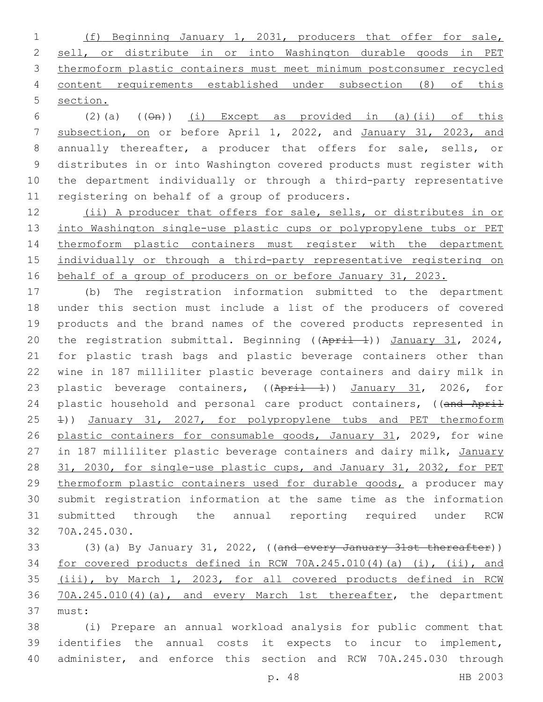(f) Beginning January 1, 2031, producers that offer for sale, sell, or distribute in or into Washington durable goods in PET thermoform plastic containers must meet minimum postconsumer recycled content requirements established under subsection (8) of this section.

6 (2)(a)  $((\theta n))$  (i) Except as provided in (a)(ii) of this subsection, on or before April 1, 2022, and January 31, 2023, and annually thereafter, a producer that offers for sale, sells, or distributes in or into Washington covered products must register with the department individually or through a third-party representative 11 registering on behalf of a group of producers.

12 (ii) A producer that offers for sale, sells, or distributes in or into Washington single-use plastic cups or polypropylene tubs or PET thermoform plastic containers must register with the department individually or through a third-party representative registering on 16 behalf of a group of producers on or before January 31, 2023.

 (b) The registration information submitted to the department under this section must include a list of the producers of covered products and the brand names of the covered products represented in 20 the registration submittal. Beginning ((April 1)) January 31, 2024, for plastic trash bags and plastic beverage containers other than wine in 187 milliliter plastic beverage containers and dairy milk in 23 plastic beverage containers, ((April 1)) January 31, 2026, for 24 plastic household and personal care product containers, ((and April 1)) January 31, 2027, for polypropylene tubs and PET thermoform plastic containers for consumable goods, January 31, 2029, for wine 27 in 187 milliliter plastic beverage containers and dairy milk, January 31, 2030, for single-use plastic cups, and January 31, 2032, for PET 29 thermoform plastic containers used for durable goods, a producer may submit registration information at the same time as the information submitted through the annual reporting required under RCW 32 70A.245.030.

33 (3)(a) By January 31, 2022, ((and every January 31st thereafter)) for covered products defined in RCW 70A.245.010(4)(a) (i), (ii), and (iii), by March 1, 2023, for all covered products defined in RCW 70A.245.010(4)(a), and every March 1st thereafter, the department 37 must:

 (i) Prepare an annual workload analysis for public comment that identifies the annual costs it expects to incur to implement, administer, and enforce this section and RCW 70A.245.030 through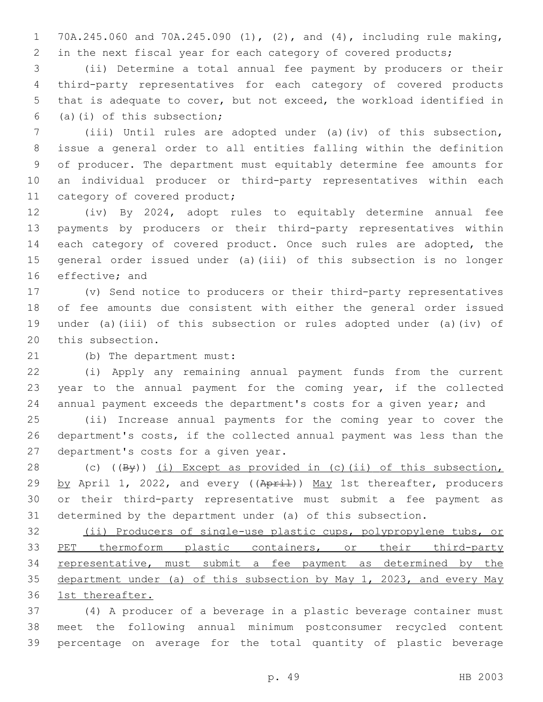70A.245.060 and 70A.245.090 (1), (2), and (4), including rule making, 2 in the next fiscal year for each category of covered products;

 (ii) Determine a total annual fee payment by producers or their third-party representatives for each category of covered products that is adequate to cover, but not exceed, the workload identified in  $(5)(i)$  of this subsection;

 (iii) Until rules are adopted under (a)(iv) of this subsection, issue a general order to all entities falling within the definition of producer. The department must equitably determine fee amounts for an individual producer or third-party representatives within each 11 category of covered product;

 (iv) By 2024, adopt rules to equitably determine annual fee payments by producers or their third-party representatives within 14 each category of covered product. Once such rules are adopted, the general order issued under (a)(iii) of this subsection is no longer 16 effective; and

 (v) Send notice to producers or their third-party representatives of fee amounts due consistent with either the general order issued under (a)(iii) of this subsection or rules adopted under (a)(iv) of 20 this subsection.

21 (b) The department must:

 (i) Apply any remaining annual payment funds from the current year to the annual payment for the coming year, if the collected annual payment exceeds the department's costs for a given year; and

 (ii) Increase annual payments for the coming year to cover the department's costs, if the collected annual payment was less than the 27 department's costs for a given year.

28 (c)  $(\sqrt{By})$  (i) Except as provided in (c)(ii) of this subsection, 29 by April 1, 2022, and every ((April)) May 1st thereafter, producers or their third-party representative must submit a fee payment as determined by the department under (a) of this subsection.

 (ii) Producers of single-use plastic cups, polypropylene tubs, or 33 PET thermoform plastic containers, or their third-party representative, must submit a fee payment as determined by the department under (a) of this subsection by May 1, 2023, and every May 1st thereafter.

 (4) A producer of a beverage in a plastic beverage container must meet the following annual minimum postconsumer recycled content percentage on average for the total quantity of plastic beverage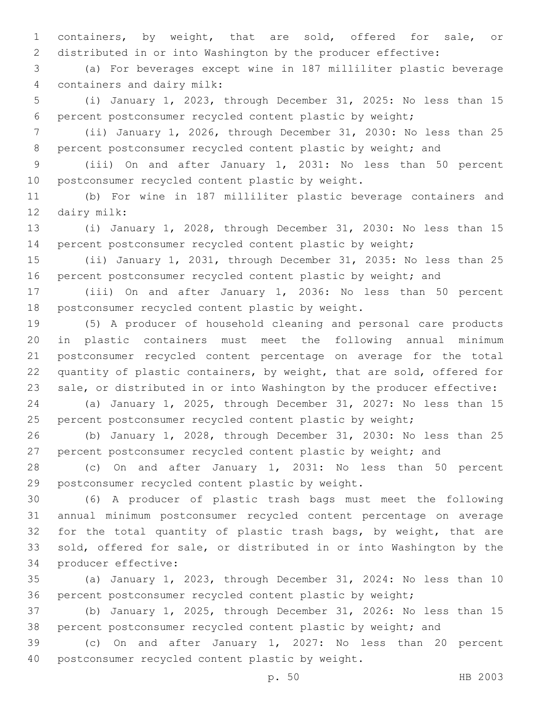containers, by weight, that are sold, offered for sale, or distributed in or into Washington by the producer effective:

 (a) For beverages except wine in 187 milliliter plastic beverage containers and dairy milk:4

 (i) January 1, 2023, through December 31, 2025: No less than 15 percent postconsumer recycled content plastic by weight;

 (ii) January 1, 2026, through December 31, 2030: No less than 25 8 percent postconsumer recycled content plastic by weight; and

 (iii) On and after January 1, 2031: No less than 50 percent 10 postconsumer recycled content plastic by weight.

 (b) For wine in 187 milliliter plastic beverage containers and 12 dairy milk:

 (i) January 1, 2028, through December 31, 2030: No less than 15 percent postconsumer recycled content plastic by weight;

 (ii) January 1, 2031, through December 31, 2035: No less than 25 16 percent postconsumer recycled content plastic by weight; and

 (iii) On and after January 1, 2036: No less than 50 percent 18 postconsumer recycled content plastic by weight.

 (5) A producer of household cleaning and personal care products in plastic containers must meet the following annual minimum postconsumer recycled content percentage on average for the total quantity of plastic containers, by weight, that are sold, offered for sale, or distributed in or into Washington by the producer effective:

 (a) January 1, 2025, through December 31, 2027: No less than 15 25 percent postconsumer recycled content plastic by weight;

 (b) January 1, 2028, through December 31, 2030: No less than 25 27 percent postconsumer recycled content plastic by weight; and

 (c) On and after January 1, 2031: No less than 50 percent 29 postconsumer recycled content plastic by weight.

 (6) A producer of plastic trash bags must meet the following annual minimum postconsumer recycled content percentage on average 32 for the total quantity of plastic trash bags, by weight, that are sold, offered for sale, or distributed in or into Washington by the 34 producer effective:

 (a) January 1, 2023, through December 31, 2024: No less than 10 percent postconsumer recycled content plastic by weight;

 (b) January 1, 2025, through December 31, 2026: No less than 15 percent postconsumer recycled content plastic by weight; and

 (c) On and after January 1, 2027: No less than 20 percent 40 postconsumer recycled content plastic by weight.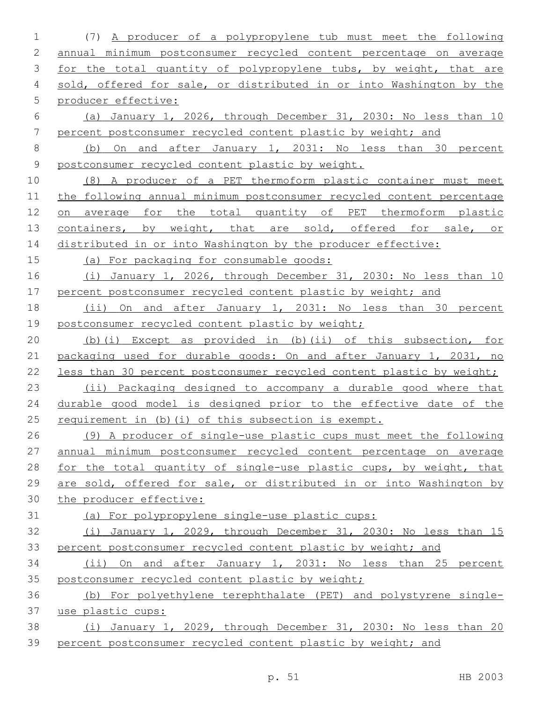(7) A producer of a polypropylene tub must meet the following annual minimum postconsumer recycled content percentage on average 3 for the total quantity of polypropylene tubs, by weight, that are 4 sold, offered for sale, or distributed in or into Washington by the producer effective: (a) January 1, 2026, through December 31, 2030: No less than 10 percent postconsumer recycled content plastic by weight; and (b) On and after January 1, 2031: No less than 30 percent postconsumer recycled content plastic by weight. (8) A producer of a PET thermoform plastic container must meet the following annual minimum postconsumer recycled content percentage on average for the total quantity of PET thermoform plastic 13 containers, by weight, that are sold, offered for sale, or distributed in or into Washington by the producer effective: (a) For packaging for consumable goods: (i) January 1, 2026, through December 31, 2030: No less than 10 17 percent postconsumer recycled content plastic by weight; and (ii) On and after January 1, 2031: No less than 30 percent 19 postconsumer recycled content plastic by weight; (b)(i) Except as provided in (b)(ii) of this subsection, for 21 packaging used for durable goods: On and after January 1, 2031, no less than 30 percent postconsumer recycled content plastic by weight; (ii) Packaging designed to accompany a durable good where that 24 durable good model is designed prior to the effective date of the 25 requirement in (b)(i) of this subsection is exempt. (9) A producer of single-use plastic cups must meet the following annual minimum postconsumer recycled content percentage on average 28 for the total quantity of single-use plastic cups, by weight, that are sold, offered for sale, or distributed in or into Washington by the producer effective: (a) For polypropylene single-use plastic cups: (i) January 1, 2029, through December 31, 2030: No less than 15 percent postconsumer recycled content plastic by weight; and (ii) On and after January 1, 2031: No less than 25 percent postconsumer recycled content plastic by weight; (b) For polyethylene terephthalate (PET) and polystyrene single- use plastic cups: (i) January 1, 2029, through December 31, 2030: No less than 20 percent postconsumer recycled content plastic by weight; and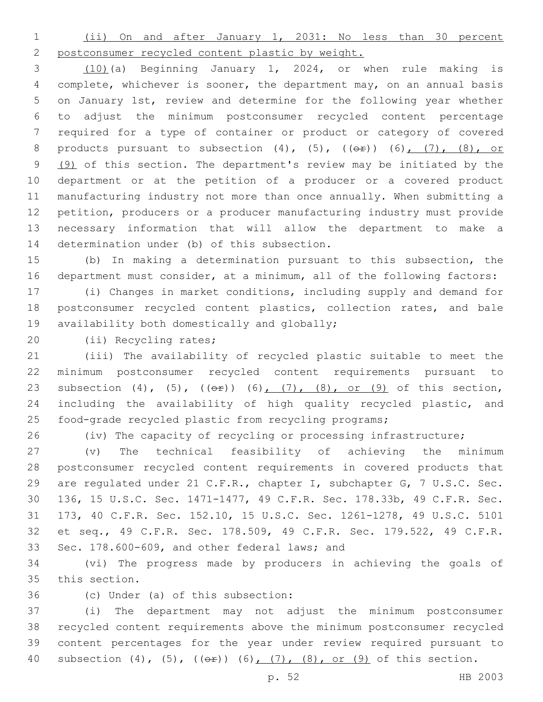(ii) On and after January 1, 2031: No less than 30 percent

postconsumer recycled content plastic by weight.

 (10)(a) Beginning January 1, 2024, or when rule making is complete, whichever is sooner, the department may, on an annual basis on January 1st, review and determine for the following year whether to adjust the minimum postconsumer recycled content percentage required for a type of container or product or category of covered 8 products pursuant to subsection  $(4)$ ,  $(5)$ ,  $((e^e))$   $(6)$ ,  $(7)$ ,  $(8)$ , or 9 (9) of this section. The department's review may be initiated by the department or at the petition of a producer or a covered product manufacturing industry not more than once annually. When submitting a petition, producers or a producer manufacturing industry must provide necessary information that will allow the department to make a 14 determination under (b) of this subsection.

 (b) In making a determination pursuant to this subsection, the department must consider, at a minimum, all of the following factors:

 (i) Changes in market conditions, including supply and demand for postconsumer recycled content plastics, collection rates, and bale 19 availability both domestically and globally;

20 (ii) Recycling rates;

 (iii) The availability of recycled plastic suitable to meet the minimum postconsumer recycled content requirements pursuant to 23 subsection (4), (5),  $((e^2))$  (6),  $(7)$ , (8), or (9) of this section, including the availability of high quality recycled plastic, and food-grade recycled plastic from recycling programs;

(iv) The capacity of recycling or processing infrastructure;

 (v) The technical feasibility of achieving the minimum postconsumer recycled content requirements in covered products that are regulated under 21 C.F.R., chapter I, subchapter G, 7 U.S.C. Sec. 136, 15 U.S.C. Sec. 1471-1477, 49 C.F.R. Sec. 178.33b, 49 C.F.R. Sec. 173, 40 C.F.R. Sec. 152.10, 15 U.S.C. Sec. 1261-1278, 49 U.S.C. 5101 et seq., 49 C.F.R. Sec. 178.509, 49 C.F.R. Sec. 179.522, 49 C.F.R. Sec. 178.600-609, and other federal laws; and

 (vi) The progress made by producers in achieving the goals of 35 this section.

36 (c) Under (a) of this subsection:

 (i) The department may not adjust the minimum postconsumer recycled content requirements above the minimum postconsumer recycled content percentages for the year under review required pursuant to 40 subsection  $(4)$ ,  $(5)$ ,  $((e^2))$   $(6)$ ,  $(7)$ ,  $(8)$ , or  $(9)$  of this section.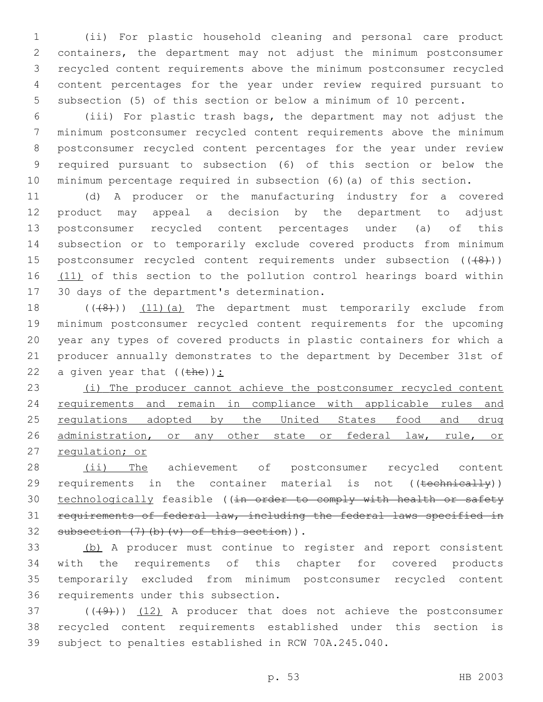(ii) For plastic household cleaning and personal care product containers, the department may not adjust the minimum postconsumer recycled content requirements above the minimum postconsumer recycled content percentages for the year under review required pursuant to subsection (5) of this section or below a minimum of 10 percent.

 (iii) For plastic trash bags, the department may not adjust the minimum postconsumer recycled content requirements above the minimum postconsumer recycled content percentages for the year under review required pursuant to subsection (6) of this section or below the minimum percentage required in subsection (6)(a) of this section.

11 (d) A producer or the manufacturing industry for a covered 12 product may appeal a decision by the department to adjust 13 postconsumer recycled content percentages under (a) of this 14 subsection or to temporarily exclude covered products from minimum 15 postconsumer recycled content requirements under subsection  $((+8))$ 16 (11) of this section to the pollution control hearings board within 17 30 days of the department's determination.

18 (((48))) (11)(a) The department must temporarily exclude from 19 minimum postconsumer recycled content requirements for the upcoming 20 year any types of covered products in plastic containers for which a 21 producer annually demonstrates to the department by December 31st of 22 a given year that  $(\theta) :$ 

23 (i) The producer cannot achieve the postconsumer recycled content 24 requirements and remain in compliance with applicable rules and 25 regulations adopted by the United States food and drug 26 administration, or any other state or federal law, rule, or 27 regulation; or

28 (ii) The achievement of postconsumer recycled content 29 requirements in the container material is not ((technically)) 30 technologically feasible ((in order to comply with health or safety 31 requirements of federal law, including the federal laws specified in 32 subsection  $(7)$  (b)  $(v)$  of this section)).

 (b) A producer must continue to register and report consistent with the requirements of this chapter for covered products temporarily excluded from minimum postconsumer recycled content 36 requirements under this subsection.

 $(1)$  ( $(1)$ ) (12) A producer that does not achieve the postconsumer 38 recycled content requirements established under this section is 39 subject to penalties established in RCW 70A.245.040.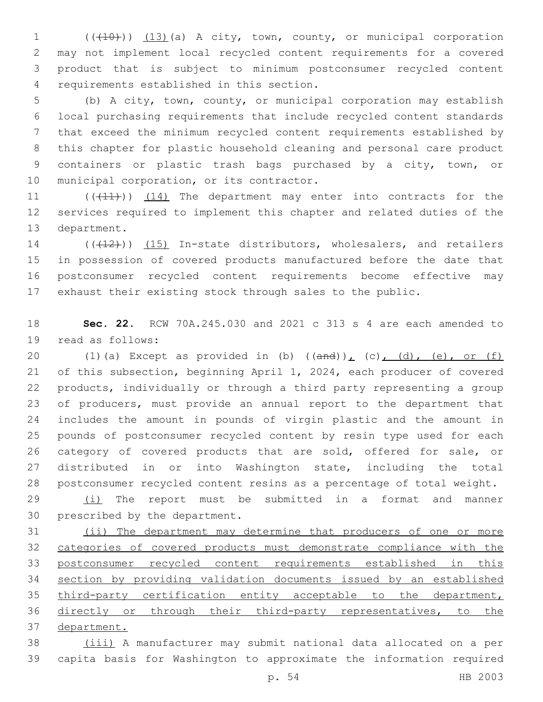1 (( $(10)$ )) (13)(a) A city, town, county, or municipal corporation may not implement local recycled content requirements for a covered product that is subject to minimum postconsumer recycled content requirements established in this section.4

 (b) A city, town, county, or municipal corporation may establish local purchasing requirements that include recycled content standards that exceed the minimum recycled content requirements established by this chapter for plastic household cleaning and personal care product containers or plastic trash bags purchased by a city, town, or 10 municipal corporation, or its contractor.

11 (((41))) (14) The department may enter into contracts for the services required to implement this chapter and related duties of the 13 department.

14 (((412))) (15) In-state distributors, wholesalers, and retailers in possession of covered products manufactured before the date that postconsumer recycled content requirements become effective may exhaust their existing stock through sales to the public.

 **Sec. 22.** RCW 70A.245.030 and 2021 c 313 s 4 are each amended to 19 read as follows:

20 (1)(a) Except as provided in (b)  $((and))_L$  (c), (d), (e), or (f) of this subsection, beginning April 1, 2024, each producer of covered products, individually or through a third party representing a group of producers, must provide an annual report to the department that includes the amount in pounds of virgin plastic and the amount in pounds of postconsumer recycled content by resin type used for each category of covered products that are sold, offered for sale, or distributed in or into Washington state, including the total postconsumer recycled content resins as a percentage of total weight.

29 (i) The report must be submitted in a format and manner 30 prescribed by the department.

 (ii) The department may determine that producers of one or more categories of covered products must demonstrate compliance with the postconsumer recycled content requirements established in this section by providing validation documents issued by an established third-party certification entity acceptable to the department, directly or through their third-party representatives, to the department.

 (iii) A manufacturer may submit national data allocated on a per capita basis for Washington to approximate the information required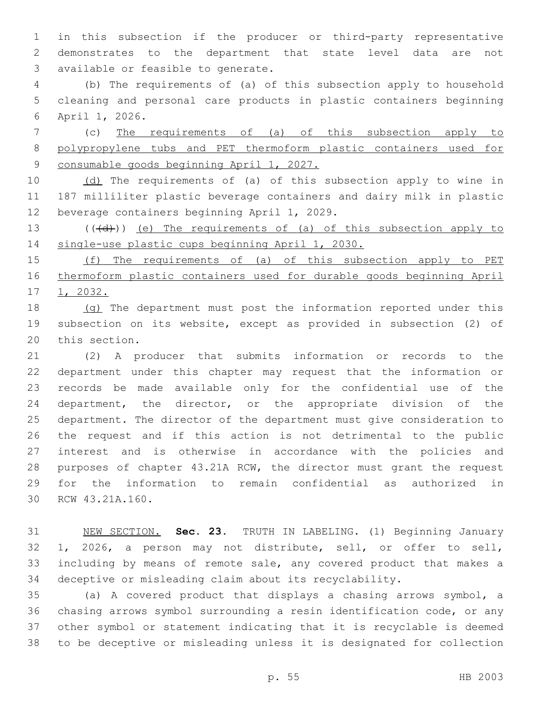in this subsection if the producer or third-party representative demonstrates to the department that state level data are not 3 available or feasible to generate.

 (b) The requirements of (a) of this subsection apply to household cleaning and personal care products in plastic containers beginning 6 April 1, 2026.

 (c) The requirements of (a) of this subsection apply to polypropylene tubs and PET thermoform plastic containers used for consumable goods beginning April 1, 2027.

10 (d) The requirements of (a) of this subsection apply to wine in 187 milliliter plastic beverage containers and dairy milk in plastic 12 beverage containers beginning April 1, 2029.

13 (((+d))) (e) The requirements of (a) of this subsection apply to single-use plastic cups beginning April 1, 2030.

 (f) The requirements of (a) of this subsection apply to PET thermoform plastic containers used for durable goods beginning April 1, 2032.

18 (g) The department must post the information reported under this subsection on its website, except as provided in subsection (2) of 20 this section.

 (2) A producer that submits information or records to the department under this chapter may request that the information or records be made available only for the confidential use of the department, the director, or the appropriate division of the department. The director of the department must give consideration to the request and if this action is not detrimental to the public interest and is otherwise in accordance with the policies and purposes of chapter 43.21A RCW, the director must grant the request for the information to remain confidential as authorized in 30 RCW 43.21A.160.

 NEW SECTION. **Sec. 23.** TRUTH IN LABELING. (1) Beginning January 1, 2026, a person may not distribute, sell, or offer to sell, including by means of remote sale, any covered product that makes a deceptive or misleading claim about its recyclability.

 (a) A covered product that displays a chasing arrows symbol, a chasing arrows symbol surrounding a resin identification code, or any other symbol or statement indicating that it is recyclable is deemed to be deceptive or misleading unless it is designated for collection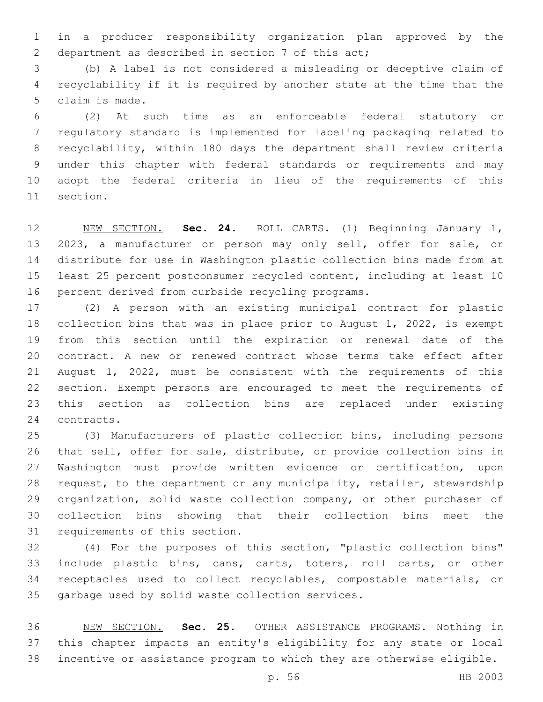in a producer responsibility organization plan approved by the 2 department as described in section 7 of this act;

 (b) A label is not considered a misleading or deceptive claim of recyclability if it is required by another state at the time that the 5 claim is made.

 (2) At such time as an enforceable federal statutory or regulatory standard is implemented for labeling packaging related to recyclability, within 180 days the department shall review criteria under this chapter with federal standards or requirements and may adopt the federal criteria in lieu of the requirements of this 11 section.

 NEW SECTION. **Sec. 24.** ROLL CARTS. (1) Beginning January 1, 2023, a manufacturer or person may only sell, offer for sale, or distribute for use in Washington plastic collection bins made from at least 25 percent postconsumer recycled content, including at least 10 percent derived from curbside recycling programs.

 (2) A person with an existing municipal contract for plastic collection bins that was in place prior to August 1, 2022, is exempt from this section until the expiration or renewal date of the contract. A new or renewed contract whose terms take effect after August 1, 2022, must be consistent with the requirements of this section. Exempt persons are encouraged to meet the requirements of this section as collection bins are replaced under existing 24 contracts.

 (3) Manufacturers of plastic collection bins, including persons that sell, offer for sale, distribute, or provide collection bins in Washington must provide written evidence or certification, upon request, to the department or any municipality, retailer, stewardship organization, solid waste collection company, or other purchaser of collection bins showing that their collection bins meet the 31 requirements of this section.

 (4) For the purposes of this section, "plastic collection bins" include plastic bins, cans, carts, toters, roll carts, or other receptacles used to collect recyclables, compostable materials, or 35 garbage used by solid waste collection services.

 NEW SECTION. **Sec. 25.** OTHER ASSISTANCE PROGRAMS. Nothing in this chapter impacts an entity's eligibility for any state or local incentive or assistance program to which they are otherwise eligible.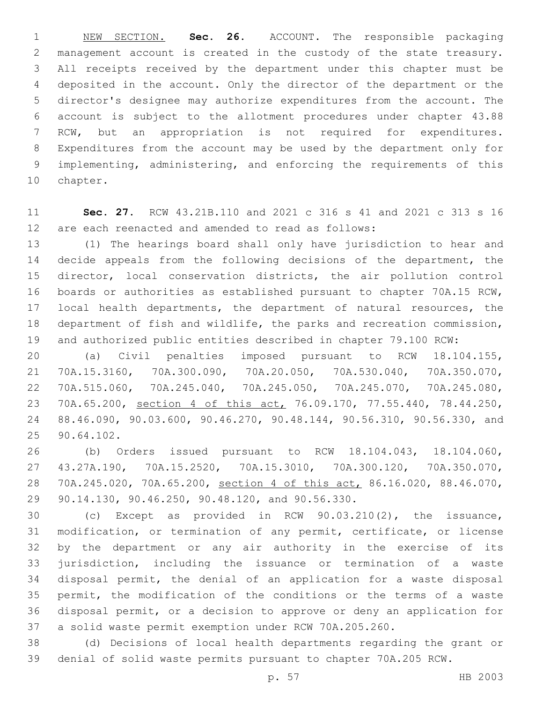NEW SECTION. **Sec. 26.** ACCOUNT. The responsible packaging management account is created in the custody of the state treasury. All receipts received by the department under this chapter must be deposited in the account. Only the director of the department or the director's designee may authorize expenditures from the account. The account is subject to the allotment procedures under chapter 43.88 RCW, but an appropriation is not required for expenditures. Expenditures from the account may be used by the department only for implementing, administering, and enforcing the requirements of this chapter.

 **Sec. 27.** RCW 43.21B.110 and 2021 c 316 s 41 and 2021 c 313 s 16 are each reenacted and amended to read as follows:

 (1) The hearings board shall only have jurisdiction to hear and 14 decide appeals from the following decisions of the department, the director, local conservation districts, the air pollution control boards or authorities as established pursuant to chapter 70A.15 RCW, local health departments, the department of natural resources, the department of fish and wildlife, the parks and recreation commission, and authorized public entities described in chapter 79.100 RCW:

 (a) Civil penalties imposed pursuant to RCW 18.104.155, 70A.15.3160, 70A.300.090, 70A.20.050, 70A.530.040, 70A.350.070, 70A.515.060, 70A.245.040, 70A.245.050, 70A.245.070, 70A.245.080, 70A.65.200, section 4 of this act, 76.09.170, 77.55.440, 78.44.250, 88.46.090, 90.03.600, 90.46.270, 90.48.144, 90.56.310, 90.56.330, and 25 90.64.102.

 (b) Orders issued pursuant to RCW 18.104.043, 18.104.060, 43.27A.190, 70A.15.2520, 70A.15.3010, 70A.300.120, 70A.350.070, 70A.245.020, 70A.65.200, section 4 of this act, 86.16.020, 88.46.070, 29 90.14.130, 90.46.250, 90.48.120, and 90.56.330.

 (c) Except as provided in RCW 90.03.210(2), the issuance, modification, or termination of any permit, certificate, or license by the department or any air authority in the exercise of its jurisdiction, including the issuance or termination of a waste disposal permit, the denial of an application for a waste disposal permit, the modification of the conditions or the terms of a waste disposal permit, or a decision to approve or deny an application for a solid waste permit exemption under RCW 70A.205.260.

 (d) Decisions of local health departments regarding the grant or denial of solid waste permits pursuant to chapter 70A.205 RCW.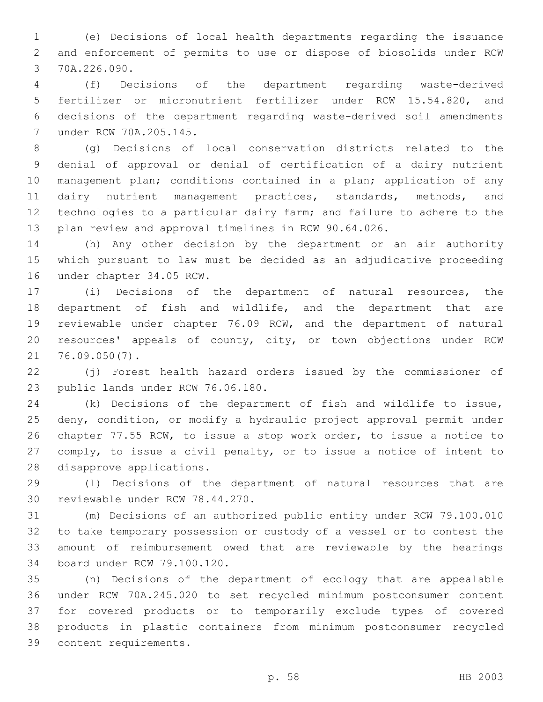(e) Decisions of local health departments regarding the issuance and enforcement of permits to use or dispose of biosolids under RCW 3 70A.226.090.

 (f) Decisions of the department regarding waste-derived fertilizer or micronutrient fertilizer under RCW 15.54.820, and decisions of the department regarding waste-derived soil amendments 7 under RCW 70A.205.145.

 (g) Decisions of local conservation districts related to the denial of approval or denial of certification of a dairy nutrient management plan; conditions contained in a plan; application of any 11 dairy nutrient management practices, standards, methods, and technologies to a particular dairy farm; and failure to adhere to the plan review and approval timelines in RCW 90.64.026.

 (h) Any other decision by the department or an air authority which pursuant to law must be decided as an adjudicative proceeding 16 under chapter 34.05 RCW.

 (i) Decisions of the department of natural resources, the department of fish and wildlife, and the department that are reviewable under chapter 76.09 RCW, and the department of natural resources' appeals of county, city, or town objections under RCW 76.09.050(7).21

 (j) Forest health hazard orders issued by the commissioner of 23 public lands under RCW 76.06.180.

 (k) Decisions of the department of fish and wildlife to issue, deny, condition, or modify a hydraulic project approval permit under chapter 77.55 RCW, to issue a stop work order, to issue a notice to comply, to issue a civil penalty, or to issue a notice of intent to 28 disapprove applications.

 (l) Decisions of the department of natural resources that are 30 reviewable under RCW 78.44.270.

 (m) Decisions of an authorized public entity under RCW 79.100.010 to take temporary possession or custody of a vessel or to contest the amount of reimbursement owed that are reviewable by the hearings 34 board under RCW 79.100.120.

 (n) Decisions of the department of ecology that are appealable under RCW 70A.245.020 to set recycled minimum postconsumer content for covered products or to temporarily exclude types of covered products in plastic containers from minimum postconsumer recycled 39 content requirements.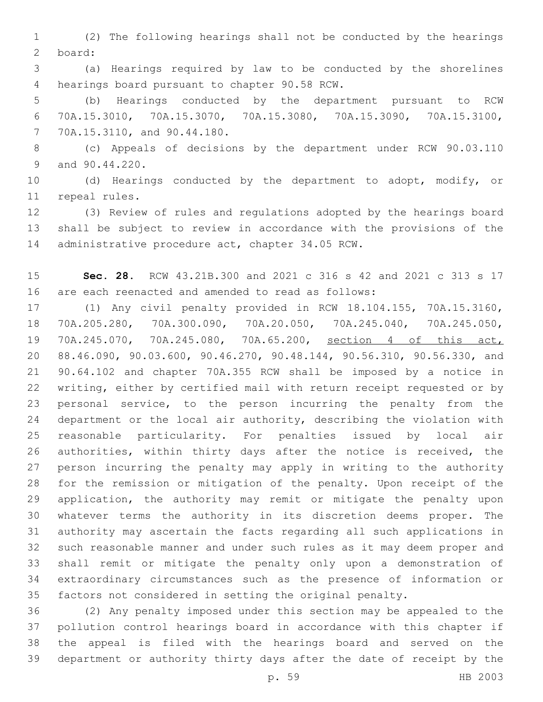(2) The following hearings shall not be conducted by the hearings board:2

 (a) Hearings required by law to be conducted by the shorelines 4 hearings board pursuant to chapter 90.58 RCW.

 (b) Hearings conducted by the department pursuant to RCW 70A.15.3010, 70A.15.3070, 70A.15.3080, 70A.15.3090, 70A.15.3100, 70A.15.3110, and 90.44.180.7

 (c) Appeals of decisions by the department under RCW 90.03.110 9 and 90.44.220.

 (d) Hearings conducted by the department to adopt, modify, or 11 repeal rules.

 (3) Review of rules and regulations adopted by the hearings board shall be subject to review in accordance with the provisions of the 14 administrative procedure act, chapter 34.05 RCW.

 **Sec. 28.** RCW 43.21B.300 and 2021 c 316 s 42 and 2021 c 313 s 17 are each reenacted and amended to read as follows:

 (1) Any civil penalty provided in RCW 18.104.155, 70A.15.3160, 70A.205.280, 70A.300.090, 70A.20.050, 70A.245.040, 70A.245.050, 70A.245.070, 70A.245.080, 70A.65.200, section 4 of this act, 88.46.090, 90.03.600, 90.46.270, 90.48.144, 90.56.310, 90.56.330, and 90.64.102 and chapter 70A.355 RCW shall be imposed by a notice in writing, either by certified mail with return receipt requested or by personal service, to the person incurring the penalty from the department or the local air authority, describing the violation with reasonable particularity. For penalties issued by local air authorities, within thirty days after the notice is received, the person incurring the penalty may apply in writing to the authority for the remission or mitigation of the penalty. Upon receipt of the application, the authority may remit or mitigate the penalty upon whatever terms the authority in its discretion deems proper. The authority may ascertain the facts regarding all such applications in such reasonable manner and under such rules as it may deem proper and shall remit or mitigate the penalty only upon a demonstration of extraordinary circumstances such as the presence of information or factors not considered in setting the original penalty.

 (2) Any penalty imposed under this section may be appealed to the pollution control hearings board in accordance with this chapter if the appeal is filed with the hearings board and served on the department or authority thirty days after the date of receipt by the

p. 59 HB 2003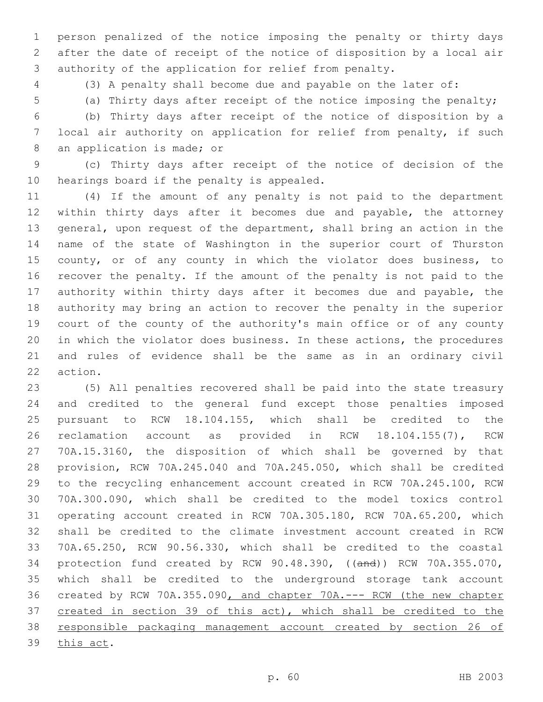person penalized of the notice imposing the penalty or thirty days after the date of receipt of the notice of disposition by a local air authority of the application for relief from penalty.

(3) A penalty shall become due and payable on the later of:

(a) Thirty days after receipt of the notice imposing the penalty;

 (b) Thirty days after receipt of the notice of disposition by a local air authority on application for relief from penalty, if such 8 an application is made; or

 (c) Thirty days after receipt of the notice of decision of the 10 hearings board if the penalty is appealed.

 (4) If the amount of any penalty is not paid to the department within thirty days after it becomes due and payable, the attorney general, upon request of the department, shall bring an action in the name of the state of Washington in the superior court of Thurston county, or of any county in which the violator does business, to recover the penalty. If the amount of the penalty is not paid to the authority within thirty days after it becomes due and payable, the authority may bring an action to recover the penalty in the superior court of the county of the authority's main office or of any county in which the violator does business. In these actions, the procedures and rules of evidence shall be the same as in an ordinary civil 22 action.

 (5) All penalties recovered shall be paid into the state treasury and credited to the general fund except those penalties imposed pursuant to RCW 18.104.155, which shall be credited to the reclamation account as provided in RCW 18.104.155(7), RCW 70A.15.3160, the disposition of which shall be governed by that provision, RCW 70A.245.040 and 70A.245.050, which shall be credited to the recycling enhancement account created in RCW 70A.245.100, RCW 70A.300.090, which shall be credited to the model toxics control operating account created in RCW 70A.305.180, RCW 70A.65.200, which shall be credited to the climate investment account created in RCW 70A.65.250, RCW 90.56.330, which shall be credited to the coastal protection fund created by RCW 90.48.390, ((and)) RCW 70A.355.070, which shall be credited to the underground storage tank account created by RCW 70A.355.090, and chapter 70A.--- RCW (the new chapter created in section 39 of this act), which shall be credited to the responsible packaging management account created by section 26 of 39 this act.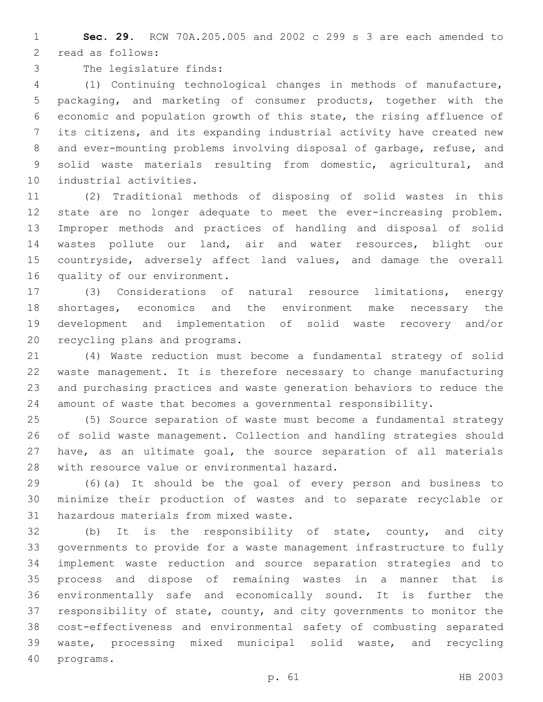**Sec. 29.** RCW 70A.205.005 and 2002 c 299 s 3 are each amended to 2 read as follows:

3 The legislature finds:

 (1) Continuing technological changes in methods of manufacture, packaging, and marketing of consumer products, together with the economic and population growth of this state, the rising affluence of its citizens, and its expanding industrial activity have created new and ever-mounting problems involving disposal of garbage, refuse, and solid waste materials resulting from domestic, agricultural, and 10 industrial activities.

 (2) Traditional methods of disposing of solid wastes in this state are no longer adequate to meet the ever-increasing problem. Improper methods and practices of handling and disposal of solid wastes pollute our land, air and water resources, blight our 15 countryside, adversely affect land values, and damage the overall 16 quality of our environment.

 (3) Considerations of natural resource limitations, energy shortages, economics and the environment make necessary the development and implementation of solid waste recovery and/or 20 recycling plans and programs.

 (4) Waste reduction must become a fundamental strategy of solid waste management. It is therefore necessary to change manufacturing and purchasing practices and waste generation behaviors to reduce the amount of waste that becomes a governmental responsibility.

 (5) Source separation of waste must become a fundamental strategy of solid waste management. Collection and handling strategies should have, as an ultimate goal, the source separation of all materials 28 with resource value or environmental hazard.

 (6)(a) It should be the goal of every person and business to minimize their production of wastes and to separate recyclable or 31 hazardous materials from mixed waste.

 (b) It is the responsibility of state, county, and city governments to provide for a waste management infrastructure to fully implement waste reduction and source separation strategies and to process and dispose of remaining wastes in a manner that is environmentally safe and economically sound. It is further the responsibility of state, county, and city governments to monitor the cost-effectiveness and environmental safety of combusting separated waste, processing mixed municipal solid waste, and recycling 40 programs.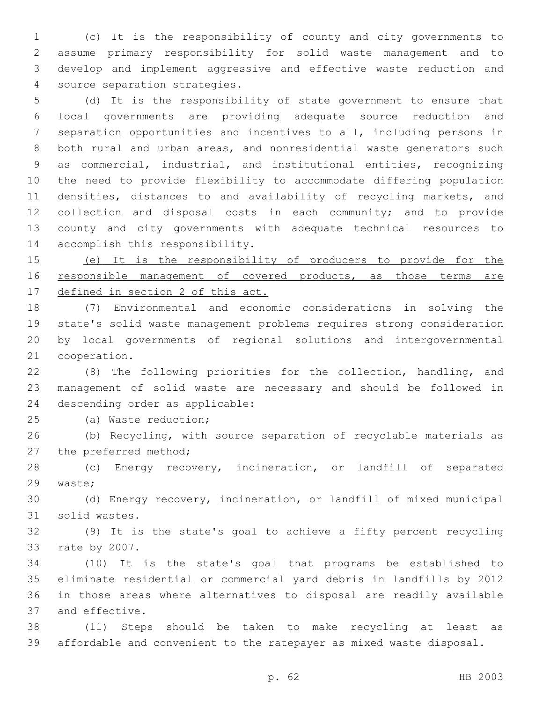(c) It is the responsibility of county and city governments to assume primary responsibility for solid waste management and to develop and implement aggressive and effective waste reduction and 4 source separation strategies.

 (d) It is the responsibility of state government to ensure that local governments are providing adequate source reduction and separation opportunities and incentives to all, including persons in both rural and urban areas, and nonresidential waste generators such as commercial, industrial, and institutional entities, recognizing the need to provide flexibility to accommodate differing population densities, distances to and availability of recycling markets, and collection and disposal costs in each community; and to provide county and city governments with adequate technical resources to 14 accomplish this responsibility.

 (e) It is the responsibility of producers to provide for the 16 responsible management of covered products, as those terms are 17 defined in section 2 of this act.

 (7) Environmental and economic considerations in solving the state's solid waste management problems requires strong consideration by local governments of regional solutions and intergovernmental 21 cooperation.

 (8) The following priorities for the collection, handling, and management of solid waste are necessary and should be followed in 24 descending order as applicable:

(a) Waste reduction;25

 (b) Recycling, with source separation of recyclable materials as 27 the preferred method;

 (c) Energy recovery, incineration, or landfill of separated 29 waste;

 (d) Energy recovery, incineration, or landfill of mixed municipal 31 solid wastes.

 (9) It is the state's goal to achieve a fifty percent recycling 33 rate by 2007.

 (10) It is the state's goal that programs be established to eliminate residential or commercial yard debris in landfills by 2012 in those areas where alternatives to disposal are readily available 37 and effective.

 (11) Steps should be taken to make recycling at least as affordable and convenient to the ratepayer as mixed waste disposal.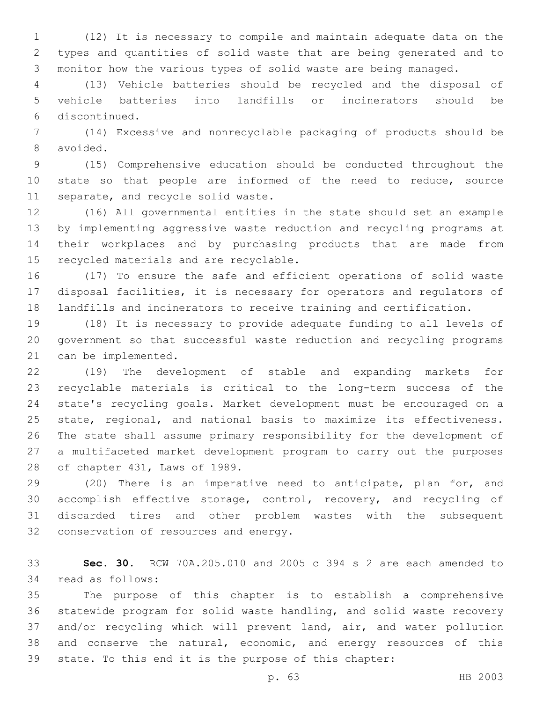(12) It is necessary to compile and maintain adequate data on the types and quantities of solid waste that are being generated and to monitor how the various types of solid waste are being managed.

 (13) Vehicle batteries should be recycled and the disposal of vehicle batteries into landfills or incinerators should be discontinued.6

 (14) Excessive and nonrecyclable packaging of products should be 8 avoided.

 (15) Comprehensive education should be conducted throughout the 10 state so that people are informed of the need to reduce, source 11 separate, and recycle solid waste.

 (16) All governmental entities in the state should set an example by implementing aggressive waste reduction and recycling programs at their workplaces and by purchasing products that are made from 15 recycled materials and are recyclable.

 (17) To ensure the safe and efficient operations of solid waste disposal facilities, it is necessary for operators and regulators of landfills and incinerators to receive training and certification.

 (18) It is necessary to provide adequate funding to all levels of government so that successful waste reduction and recycling programs 21 can be implemented.

 (19) The development of stable and expanding markets for recyclable materials is critical to the long-term success of the state's recycling goals. Market development must be encouraged on a state, regional, and national basis to maximize its effectiveness. The state shall assume primary responsibility for the development of a multifaceted market development program to carry out the purposes 28 of chapter 431, Laws of 1989.

 (20) There is an imperative need to anticipate, plan for, and 30 accomplish effective storage, control, recovery, and recycling of discarded tires and other problem wastes with the subsequent 32 conservation of resources and energy.

 **Sec. 30.** RCW 70A.205.010 and 2005 c 394 s 2 are each amended to 34 read as follows:

 The purpose of this chapter is to establish a comprehensive statewide program for solid waste handling, and solid waste recovery and/or recycling which will prevent land, air, and water pollution 38 and conserve the natural, economic, and energy resources of this state. To this end it is the purpose of this chapter: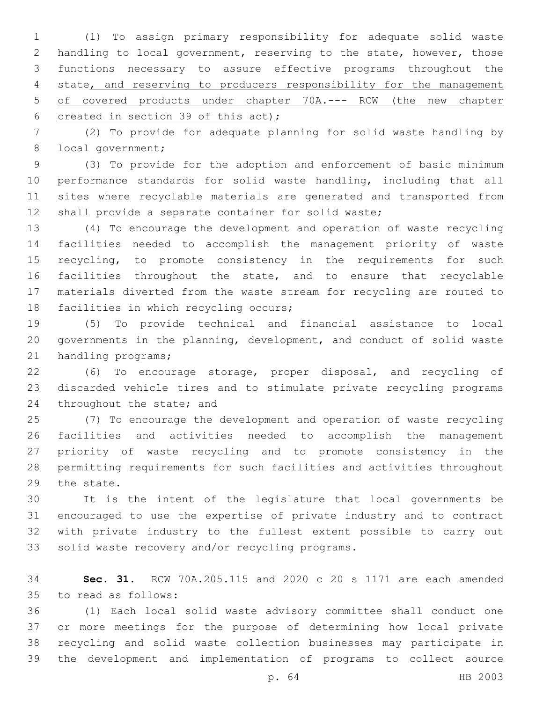(1) To assign primary responsibility for adequate solid waste handling to local government, reserving to the state, however, those functions necessary to assure effective programs throughout the 4 state, and reserving to producers responsibility for the management of covered products under chapter 70A.--- RCW (the new chapter 6 created in section 39 of this  $act$ ;

 (2) To provide for adequate planning for solid waste handling by 8 local government;

 (3) To provide for the adoption and enforcement of basic minimum performance standards for solid waste handling, including that all sites where recyclable materials are generated and transported from shall provide a separate container for solid waste;

 (4) To encourage the development and operation of waste recycling facilities needed to accomplish the management priority of waste 15 recycling, to promote consistency in the requirements for such 16 facilities throughout the state, and to ensure that recyclable materials diverted from the waste stream for recycling are routed to 18 facilities in which recycling occurs;

 (5) To provide technical and financial assistance to local governments in the planning, development, and conduct of solid waste 21 handling programs;

 (6) To encourage storage, proper disposal, and recycling of discarded vehicle tires and to stimulate private recycling programs 24 throughout the state; and

 (7) To encourage the development and operation of waste recycling facilities and activities needed to accomplish the management priority of waste recycling and to promote consistency in the permitting requirements for such facilities and activities throughout 29 the state.

 It is the intent of the legislature that local governments be encouraged to use the expertise of private industry and to contract with private industry to the fullest extent possible to carry out 33 solid waste recovery and/or recycling programs.

 **Sec. 31.** RCW 70A.205.115 and 2020 c 20 s 1171 are each amended 35 to read as follows:

 (1) Each local solid waste advisory committee shall conduct one or more meetings for the purpose of determining how local private recycling and solid waste collection businesses may participate in the development and implementation of programs to collect source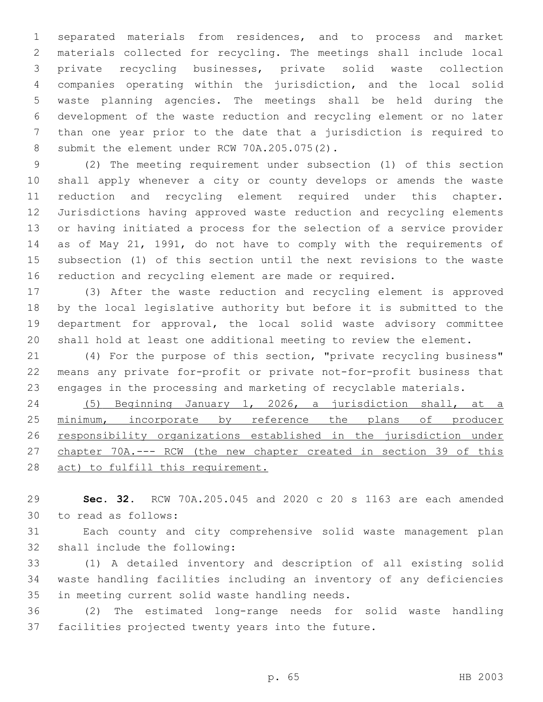separated materials from residences, and to process and market materials collected for recycling. The meetings shall include local private recycling businesses, private solid waste collection companies operating within the jurisdiction, and the local solid waste planning agencies. The meetings shall be held during the development of the waste reduction and recycling element or no later than one year prior to the date that a jurisdiction is required to 8 submit the element under RCW 70A.205.075(2).

 (2) The meeting requirement under subsection (1) of this section shall apply whenever a city or county develops or amends the waste reduction and recycling element required under this chapter. Jurisdictions having approved waste reduction and recycling elements or having initiated a process for the selection of a service provider as of May 21, 1991, do not have to comply with the requirements of subsection (1) of this section until the next revisions to the waste reduction and recycling element are made or required.

 (3) After the waste reduction and recycling element is approved by the local legislative authority but before it is submitted to the department for approval, the local solid waste advisory committee shall hold at least one additional meeting to review the element.

 (4) For the purpose of this section, "private recycling business" means any private for-profit or private not-for-profit business that engages in the processing and marketing of recyclable materials.

 (5) Beginning January 1, 2026, a jurisdiction shall, at a 25 minimum, incorporate by reference the plans of producer responsibility organizations established in the jurisdiction under chapter 70A.--- RCW (the new chapter created in section 39 of this 28 act) to fulfill this requirement.

 **Sec. 32.** RCW 70A.205.045 and 2020 c 20 s 1163 are each amended 30 to read as follows:

 Each county and city comprehensive solid waste management plan 32 shall include the following:

 (1) A detailed inventory and description of all existing solid waste handling facilities including an inventory of any deficiencies 35 in meeting current solid waste handling needs.

 (2) The estimated long-range needs for solid waste handling facilities projected twenty years into the future.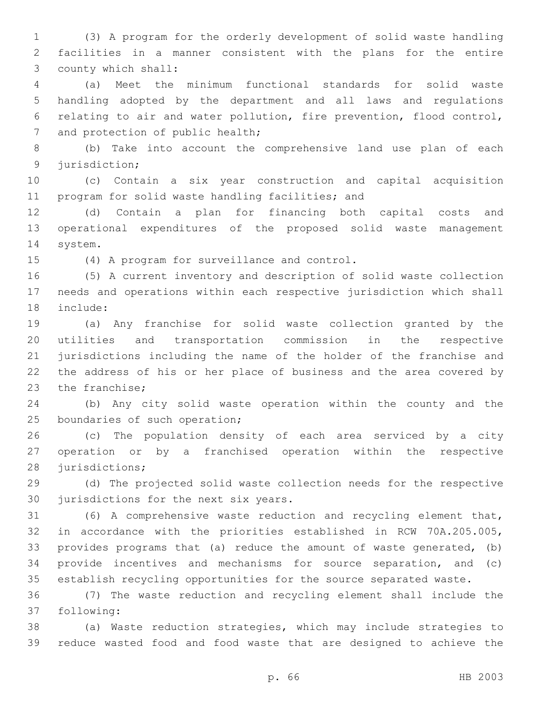(3) A program for the orderly development of solid waste handling facilities in a manner consistent with the plans for the entire 3 county which shall:

 (a) Meet the minimum functional standards for solid waste handling adopted by the department and all laws and regulations relating to air and water pollution, fire prevention, flood control, 7 and protection of public health;

 (b) Take into account the comprehensive land use plan of each 9 jurisdiction;

 (c) Contain a six year construction and capital acquisition 11 program for solid waste handling facilities; and

 (d) Contain a plan for financing both capital costs and operational expenditures of the proposed solid waste management 14 system.

15 (4) A program for surveillance and control.

 (5) A current inventory and description of solid waste collection needs and operations within each respective jurisdiction which shall 18 include:

 (a) Any franchise for solid waste collection granted by the utilities and transportation commission in the respective jurisdictions including the name of the holder of the franchise and the address of his or her place of business and the area covered by 23 the franchise;

 (b) Any city solid waste operation within the county and the 25 boundaries of such operation;

 (c) The population density of each area serviced by a city operation or by a franchised operation within the respective 28 jurisdictions;

 (d) The projected solid waste collection needs for the respective 30 jurisdictions for the next six years.

 (6) A comprehensive waste reduction and recycling element that, in accordance with the priorities established in RCW 70A.205.005, provides programs that (a) reduce the amount of waste generated, (b) provide incentives and mechanisms for source separation, and (c) establish recycling opportunities for the source separated waste.

 (7) The waste reduction and recycling element shall include the 37 following:

 (a) Waste reduction strategies, which may include strategies to reduce wasted food and food waste that are designed to achieve the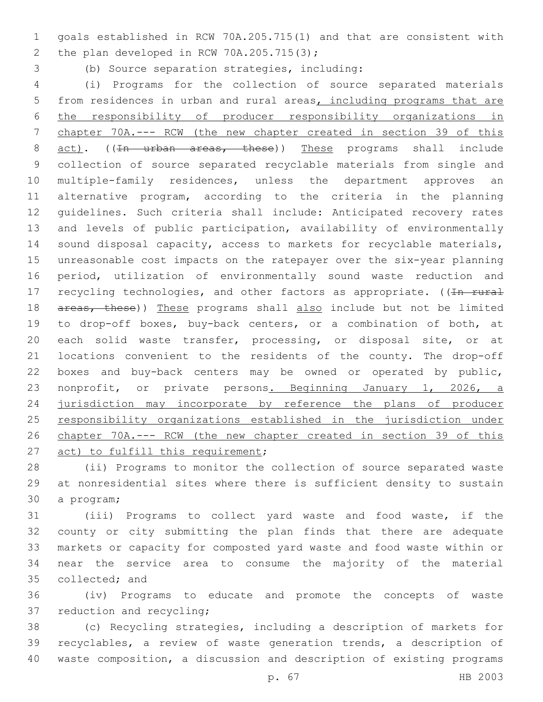goals established in RCW 70A.205.715(1) and that are consistent with 2 the plan developed in RCW 70A.205.715(3);

(b) Source separation strategies, including:3

 (i) Programs for the collection of source separated materials 5 from residences in urban and rural areas, including programs that are the responsibility of producer responsibility organizations in chapter 70A.--- RCW (the new chapter created in section 39 of this 8 act). ((In urban areas, these)) These programs shall include collection of source separated recyclable materials from single and multiple-family residences, unless the department approves an alternative program, according to the criteria in the planning guidelines. Such criteria shall include: Anticipated recovery rates and levels of public participation, availability of environmentally sound disposal capacity, access to markets for recyclable materials, unreasonable cost impacts on the ratepayer over the six-year planning period, utilization of environmentally sound waste reduction and 17 recycling technologies, and other factors as appropriate. ((In rural 18 areas, these)) These programs shall also include but not be limited to drop-off boxes, buy-back centers, or a combination of both, at each solid waste transfer, processing, or disposal site, or at locations convenient to the residents of the county. The drop-off boxes and buy-back centers may be owned or operated by public, 23 nonprofit, or private persons. Beginning January 1, 2026, a jurisdiction may incorporate by reference the plans of producer responsibility organizations established in the jurisdiction under chapter 70A.--- RCW (the new chapter created in section 39 of this 27 act) to fulfill this requirement;

 (ii) Programs to monitor the collection of source separated waste at nonresidential sites where there is sufficient density to sustain 30 a program;

 (iii) Programs to collect yard waste and food waste, if the county or city submitting the plan finds that there are adequate markets or capacity for composted yard waste and food waste within or near the service area to consume the majority of the material 35 collected; and

 (iv) Programs to educate and promote the concepts of waste 37 reduction and recycling;

 (c) Recycling strategies, including a description of markets for recyclables, a review of waste generation trends, a description of waste composition, a discussion and description of existing programs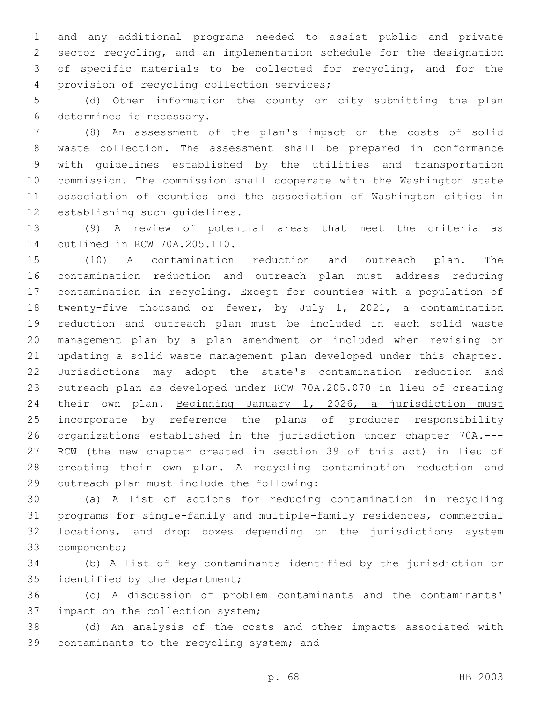and any additional programs needed to assist public and private sector recycling, and an implementation schedule for the designation of specific materials to be collected for recycling, and for the 4 provision of recycling collection services;

 (d) Other information the county or city submitting the plan 6 determines is necessary.

 (8) An assessment of the plan's impact on the costs of solid waste collection. The assessment shall be prepared in conformance with guidelines established by the utilities and transportation commission. The commission shall cooperate with the Washington state association of counties and the association of Washington cities in 12 establishing such quidelines.

 (9) A review of potential areas that meet the criteria as 14 outlined in RCW 70A.205.110.

 (10) A contamination reduction and outreach plan. The contamination reduction and outreach plan must address reducing contamination in recycling. Except for counties with a population of twenty-five thousand or fewer, by July 1, 2021, a contamination reduction and outreach plan must be included in each solid waste management plan by a plan amendment or included when revising or updating a solid waste management plan developed under this chapter. Jurisdictions may adopt the state's contamination reduction and outreach plan as developed under RCW 70A.205.070 in lieu of creating their own plan. Beginning January 1, 2026, a jurisdiction must 25 incorporate by reference the plans of producer responsibility organizations established in the jurisdiction under chapter 70A.--- RCW (the new chapter created in section 39 of this act) in lieu of 28 creating their own plan. A recycling contamination reduction and 29 outreach plan must include the following:

 (a) A list of actions for reducing contamination in recycling programs for single-family and multiple-family residences, commercial locations, and drop boxes depending on the jurisdictions system 33 components;

 (b) A list of key contaminants identified by the jurisdiction or 35 identified by the department;

 (c) A discussion of problem contaminants and the contaminants' 37 impact on the collection system;

 (d) An analysis of the costs and other impacts associated with 39 contaminants to the recycling system; and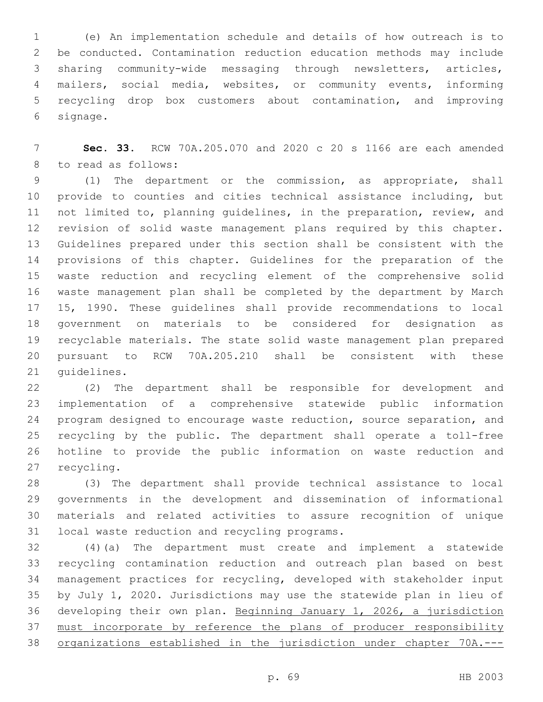(e) An implementation schedule and details of how outreach is to be conducted. Contamination reduction education methods may include sharing community-wide messaging through newsletters, articles, mailers, social media, websites, or community events, informing recycling drop box customers about contamination, and improving signage.6

 **Sec. 33.** RCW 70A.205.070 and 2020 c 20 s 1166 are each amended 8 to read as follows:

 (1) The department or the commission, as appropriate, shall provide to counties and cities technical assistance including, but not limited to, planning guidelines, in the preparation, review, and revision of solid waste management plans required by this chapter. Guidelines prepared under this section shall be consistent with the provisions of this chapter. Guidelines for the preparation of the waste reduction and recycling element of the comprehensive solid waste management plan shall be completed by the department by March 15, 1990. These guidelines shall provide recommendations to local government on materials to be considered for designation as recyclable materials. The state solid waste management plan prepared pursuant to RCW 70A.205.210 shall be consistent with these 21 quidelines.

 (2) The department shall be responsible for development and implementation of a comprehensive statewide public information program designed to encourage waste reduction, source separation, and recycling by the public. The department shall operate a toll-free hotline to provide the public information on waste reduction and 27 recycling.

 (3) The department shall provide technical assistance to local governments in the development and dissemination of informational materials and related activities to assure recognition of unique 31 local waste reduction and recycling programs.

 (4)(a) The department must create and implement a statewide recycling contamination reduction and outreach plan based on best management practices for recycling, developed with stakeholder input by July 1, 2020. Jurisdictions may use the statewide plan in lieu of developing their own plan. Beginning January 1, 2026, a jurisdiction 37 must incorporate by reference the plans of producer responsibility organizations established in the jurisdiction under chapter 70A.---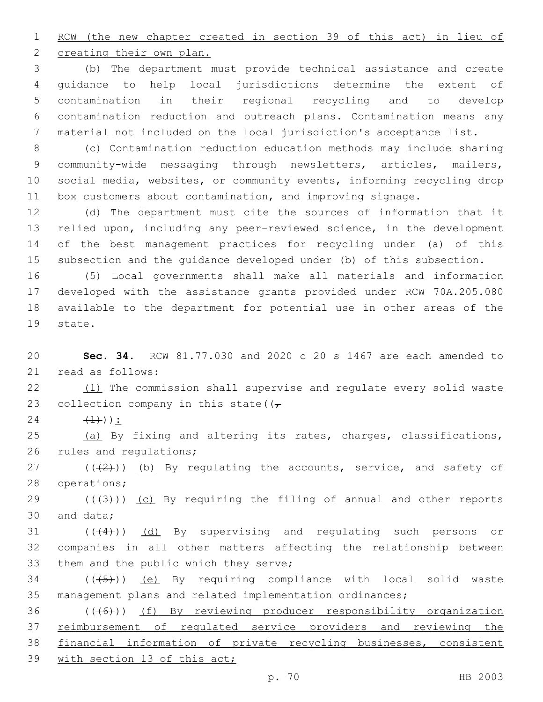RCW (the new chapter created in section 39 of this act) in lieu of 2 creating their own plan.

 (b) The department must provide technical assistance and create guidance to help local jurisdictions determine the extent of contamination in their regional recycling and to develop contamination reduction and outreach plans. Contamination means any material not included on the local jurisdiction's acceptance list.

 (c) Contamination reduction education methods may include sharing community-wide messaging through newsletters, articles, mailers, social media, websites, or community events, informing recycling drop box customers about contamination, and improving signage.

 (d) The department must cite the sources of information that it relied upon, including any peer-reviewed science, in the development of the best management practices for recycling under (a) of this subsection and the guidance developed under (b) of this subsection.

 (5) Local governments shall make all materials and information developed with the assistance grants provided under RCW 70A.205.080 available to the department for potential use in other areas of the 19 state.

 **Sec. 34.** RCW 81.77.030 and 2020 c 20 s 1467 are each amended to 21 read as follows:

22 (1) The commission shall supervise and regulate every solid waste 23 collection company in this state( $(\tau)$ 

24  $(\pm)$ ):

 (a) By fixing and altering its rates, charges, classifications, 26 rules and regulations;

 ( $(\frac{2}{2})$ ) (b) By regulating the accounts, service, and safety of 28 operations;

29  $((+3+))$  (c) By requiring the filing of annual and other reports 30 and data;

 ( $(\frac{44}{9})$ ) (d) By supervising and regulating such persons or companies in all other matters affecting the relationship between 33 them and the public which they serve;

34 (((45)) (e) By requiring compliance with local solid waste management plans and related implementation ordinances;

36 (((6)) (f) By reviewing producer responsibility organization reimbursement of regulated service providers and reviewing the financial information of private recycling businesses, consistent with section 13 of this act;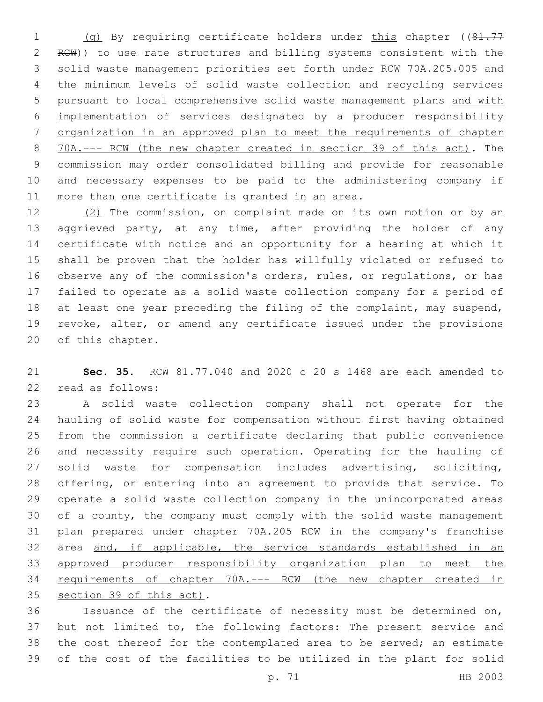1 (g) By requiring certificate holders under this chapter ((81.77 RCW)) to use rate structures and billing systems consistent with the solid waste management priorities set forth under RCW 70A.205.005 and the minimum levels of solid waste collection and recycling services pursuant to local comprehensive solid waste management plans and with implementation of services designated by a producer responsibility organization in an approved plan to meet the requirements of chapter 70A.--- RCW (the new chapter created in section 39 of this act). The commission may order consolidated billing and provide for reasonable and necessary expenses to be paid to the administering company if more than one certificate is granted in an area.

12 (2) The commission, on complaint made on its own motion or by an aggrieved party, at any time, after providing the holder of any certificate with notice and an opportunity for a hearing at which it shall be proven that the holder has willfully violated or refused to observe any of the commission's orders, rules, or regulations, or has failed to operate as a solid waste collection company for a period of 18 at least one year preceding the filing of the complaint, may suspend, revoke, alter, or amend any certificate issued under the provisions 20 of this chapter.

 **Sec. 35.** RCW 81.77.040 and 2020 c 20 s 1468 are each amended to 22 read as follows:

 A solid waste collection company shall not operate for the hauling of solid waste for compensation without first having obtained from the commission a certificate declaring that public convenience and necessity require such operation. Operating for the hauling of solid waste for compensation includes advertising, soliciting, offering, or entering into an agreement to provide that service. To operate a solid waste collection company in the unincorporated areas of a county, the company must comply with the solid waste management plan prepared under chapter 70A.205 RCW in the company's franchise area and, if applicable, the service standards established in an approved producer responsibility organization plan to meet the requirements of chapter 70A.--- RCW (the new chapter created in 35 section 39 of this act).

 Issuance of the certificate of necessity must be determined on, but not limited to, the following factors: The present service and the cost thereof for the contemplated area to be served; an estimate of the cost of the facilities to be utilized in the plant for solid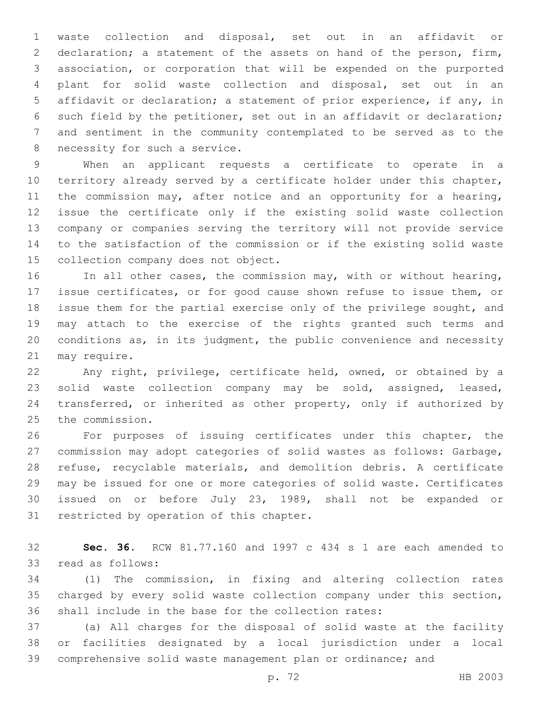waste collection and disposal, set out in an affidavit or 2 declaration; a statement of the assets on hand of the person, firm, association, or corporation that will be expended on the purported plant for solid waste collection and disposal, set out in an affidavit or declaration; a statement of prior experience, if any, in such field by the petitioner, set out in an affidavit or declaration; and sentiment in the community contemplated to be served as to the 8 necessity for such a service.

 When an applicant requests a certificate to operate in a 10 territory already served by a certificate holder under this chapter, the commission may, after notice and an opportunity for a hearing, issue the certificate only if the existing solid waste collection company or companies serving the territory will not provide service to the satisfaction of the commission or if the existing solid waste 15 collection company does not object.

 In all other cases, the commission may, with or without hearing, issue certificates, or for good cause shown refuse to issue them, or issue them for the partial exercise only of the privilege sought, and may attach to the exercise of the rights granted such terms and conditions as, in its judgment, the public convenience and necessity 21 may require.

 Any right, privilege, certificate held, owned, or obtained by a solid waste collection company may be sold, assigned, leased, transferred, or inherited as other property, only if authorized by 25 the commission.

 For purposes of issuing certificates under this chapter, the commission may adopt categories of solid wastes as follows: Garbage, refuse, recyclable materials, and demolition debris. A certificate may be issued for one or more categories of solid waste. Certificates issued on or before July 23, 1989, shall not be expanded or 31 restricted by operation of this chapter.

 **Sec. 36.** RCW 81.77.160 and 1997 c 434 s 1 are each amended to 33 read as follows:

 (1) The commission, in fixing and altering collection rates charged by every solid waste collection company under this section, shall include in the base for the collection rates:

 (a) All charges for the disposal of solid waste at the facility or facilities designated by a local jurisdiction under a local comprehensive solid waste management plan or ordinance; and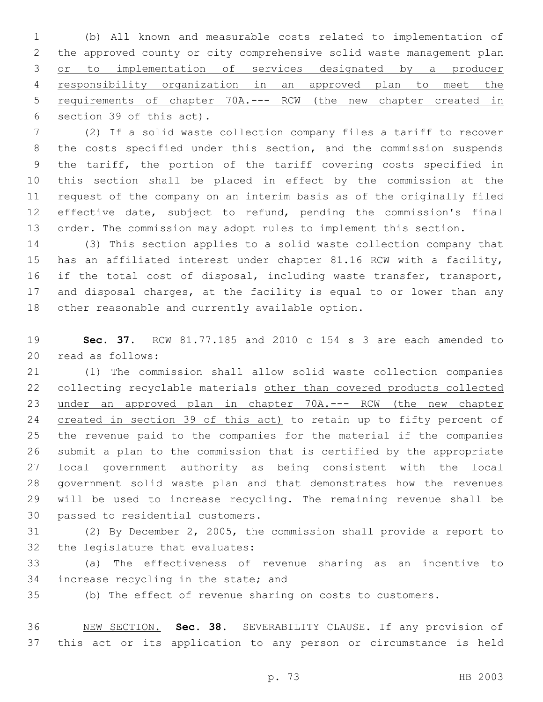(b) All known and measurable costs related to implementation of the approved county or city comprehensive solid waste management plan or to implementation of services designated by a producer responsibility organization in an approved plan to meet the requirements of chapter 70A.--- RCW (the new chapter created in 6 section 39 of this act).

 (2) If a solid waste collection company files a tariff to recover the costs specified under this section, and the commission suspends the tariff, the portion of the tariff covering costs specified in this section shall be placed in effect by the commission at the request of the company on an interim basis as of the originally filed effective date, subject to refund, pending the commission's final order. The commission may adopt rules to implement this section.

 (3) This section applies to a solid waste collection company that has an affiliated interest under chapter 81.16 RCW with a facility, if the total cost of disposal, including waste transfer, transport, and disposal charges, at the facility is equal to or lower than any 18 other reasonable and currently available option.

 **Sec. 37.** RCW 81.77.185 and 2010 c 154 s 3 are each amended to 20 read as follows:

 (1) The commission shall allow solid waste collection companies collecting recyclable materials other than covered products collected under an approved plan in chapter 70A.--- RCW (the new chapter created in section 39 of this act) to retain up to fifty percent of the revenue paid to the companies for the material if the companies submit a plan to the commission that is certified by the appropriate local government authority as being consistent with the local government solid waste plan and that demonstrates how the revenues will be used to increase recycling. The remaining revenue shall be 30 passed to residential customers.

 (2) By December 2, 2005, the commission shall provide a report to 32 the legislature that evaluates:

 (a) The effectiveness of revenue sharing as an incentive to 34 increase recycling in the state; and

(b) The effect of revenue sharing on costs to customers.

 NEW SECTION. **Sec. 38.** SEVERABILITY CLAUSE. If any provision of this act or its application to any person or circumstance is held